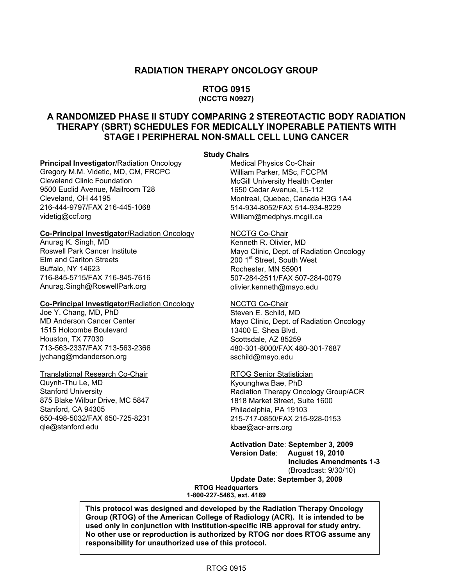#### **RADIATION THERAPY ONCOLOGY GROUP**

#### **RTOG 0915 (NCCTG N0927)**

#### **A RANDOMIZED PHASE II STUDY COMPARING 2 STEREOTACTIC BODY RADIATION THERAPY (SBRT) SCHEDULES FOR MEDICALLY INOPERABLE PATIENTS WITH STAGE I PERIPHERAL NON-SMALL CELL LUNG CANCER**

#### **Study Chairs**

Gregory M.M. Videtic, MD, CM, FRCPC<br>Cleveland Clinic Foundation 9500 Euclid Avenue, Mailroom T28 1650 Cedar Avenue, L5-112 Cleveland, OH 44195 Montreal, Quebec, Canada H3G 1A4 [videtig@ccf.org](mailto:videtig@ccf.org) [William@medphys.mcgill.ca](mailto:William@medphys.mcgill.ca) 

#### **Co-Principal Investigator/Radiation Oncology MCCTG Co-Chair**

Anurag K. Singh, MD Kenneth R. Olivier, MD Elm and Carlton Streets 200 1<sup>st</sup> Street, South West<br>Buffalo, NY 14623 2001 Rochester, MN 55901 716-845-5715/FAX 716-845-7616 507-284-2511/FAX 507-284-0079 Anurag[.Singh@RoswellPark.org](mailto:Singh@RoswellPark.org) olivier[.kenneth@mayo.edu](mailto:kenneth@mayo.edu) 

#### **Co-Principal Investigator/Radiation Oncology MCCTG Co-Chair**

Joe Y. Chang, MD, PhD Steven E. Schild, MD 1515 Holcombe Boulevard 1515 Holcombe Boulevard 13400 E. Shea Blvd. Houston, TX 77030 Scottsdale, AZ 85259 [jychang@mdanderson.org](mailto:jychang@mdanderson.org) [sschild@mayo.edu](mailto:sschild@mayo.edu) 

Translational Research Co-Chair<br>
Quynh-Thu Le, MD<br>
Ryounghwa Bae, PhD Stanford, CA 94305 Philadelphia, PA 19103 650-498-5032/FAX 650-725-8231 215-717-0850/FAX 215-928-0153 [qle@stanford.edu](mailto:qle@stanford.edu) kbae@acr-arrs.org

**Principal Investigator**/Radiation Oncology Medical Physics Co-Chair<br>Gregory M.M. Videtic, MD, CM, FRCPC William Parker, MSc, FCCPM McGill University Health Center 514-934-8052/FAX 514-934-8229

Roswell Park Cancer Institute **Mayo Clinic, Dept. of Radiation Oncology** Rochester, MN 55901

MD Anderson Cancer Center Mayo Clinic, Dept. of Radiation Oncology 713-563-2337/FAX 713-563-2366 480-301-8000/FAX 480-301-7687

Kyounghwa Bae, PhD Stanford University<br>
875 Blake Wilbur Drive. MC 5847<br>
1818 Market Street. Suite 1600 1818 Market Street, Suite 1600

> **Activation Date**: **September 3, 2009 Version Date**: **August 19, 2010 Includes Amendments 1-3**  (Broadcast: 9/30/10) **Update Date**: **September 3, 2009**

**RTOG Headquarters 1-800-227-5463, ext. 4189** 

 **This protocol was designed and developed by the Radiation Therapy Oncology Group (RTOG) of the American College of Radiology (ACR). It is intended to be used only in conjunction with institution-specific IRB approval for study entry. No other use or reproduction is authorized by RTOG nor does RTOG assume any responsibility for unauthorized use of this protocol.**

#### RTOG 0915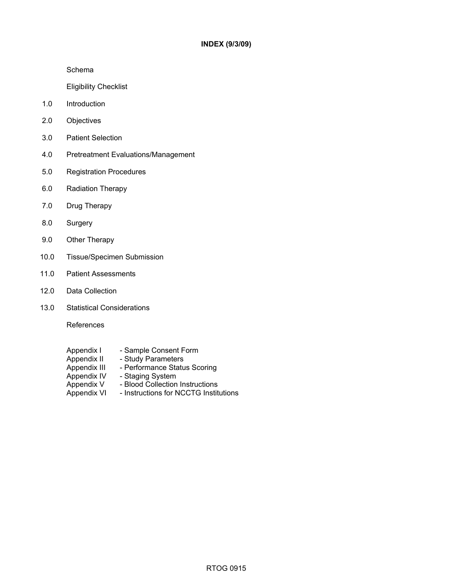Schema

Eligibility Checklist

- 1.0 Introduction
- 2.0 Objectives
- 3.0 Patient Selection
- 4.0 Pretreatment Evaluations/Management
- 5.0 Registration Procedures
- 6.0 Radiation Therapy
- 7.0 Drug Therapy
- 8.0 Surgery
- 9.0 Other Therapy
- 10.0 Tissue/Specimen Submission
- 11.0 Patient Assessments
- 12.0 Data Collection
- 13.0 Statistical Considerations

References

- Appendix I Sample Consent Form<br>Appendix II Study Parameters
- Appendix II Study Parameters<br>Appendix III Performance Statu
- Appendix III Performance Status Scoring<br>Appendix IV Staging System
- Appendix IV Staging System<br>Appendix V Blood Collection
	- Blood Collection Instructions
- Appendix VI Instructions for NCCTG Institutions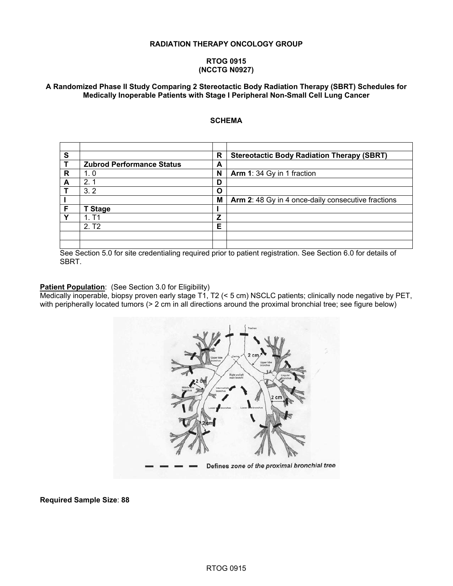#### **RADIATION THERAPY ONCOLOGY GROUP**

#### **RTOG 0915 (NCCTG N0927)**

#### **A Randomized Phase II Study Comparing 2 Stereotactic Body Radiation Therapy (SBRT) Schedules for Medically Inoperable Patients with Stage I Peripheral Non-Small Cell Lung Cancer**

#### **SCHEMA**

| S            |                                  | R | <b>Stereotactic Body Radiation Therapy (SBRT)</b>  |
|--------------|----------------------------------|---|----------------------------------------------------|
| Т            | <b>Zubrod Performance Status</b> | А |                                                    |
| R            | 1.0                              | N | Arm 1: 34 Gy in 1 fraction                         |
| A            | 2.1                              | D |                                                    |
|              | 3.2                              | O |                                                    |
|              |                                  | M | Arm 2: 48 Gy in 4 once-daily consecutive fractions |
| F            | <b>T Stage</b>                   |   |                                                    |
| $\checkmark$ | 1. T1                            | Z |                                                    |
|              | 2. T <sub>2</sub>                | Е |                                                    |
|              |                                  |   |                                                    |
|              |                                  |   |                                                    |

See Section 5.0 for site credentialing required prior to patient registration. See Section 6.0 for details of SBRT.

#### **Patient Population:** (See Section 3.0 for Eligibility)

Medically inoperable, biopsy proven early stage T1, T2 (< 5 cm) NSCLC patients; clinically node negative by PET, with peripherally located tumors (> 2 cm in all directions around the proximal bronchial tree; see figure below)



**Required Sample Size**: **88**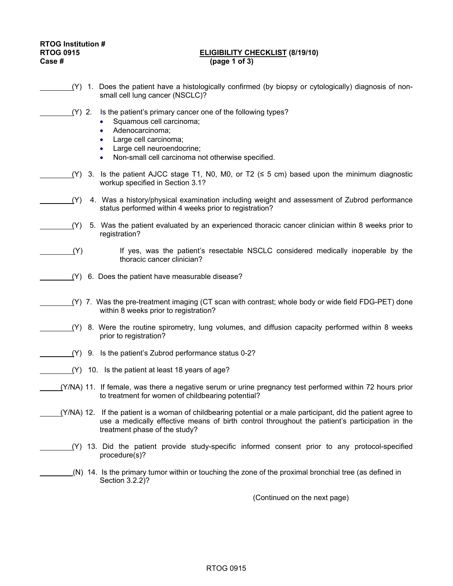# **RTOG Institution #**

#### **RTOG 0915 ELIGIBILITY CHECKLIST (8/19/10) Case # (page 1 of 3)**

 (Y) 1. Does the patient have a histologically confirmed (by biopsy or cytologically) diagnosis of nonsmall cell lung cancer (NSCLC)? (Y) 2. Is the patient's primary cancer one of the following types? Squamous cell carcinoma: • Adenocarcinoma; • Large cell carcinoma; Large cell neuroendocrine; • Non-small cell carcinoma not otherwise specified.  $(Y)$  3. Is the patient AJCC stage T1, N0, M0, or T2 ( $\leq$  5 cm) based upon the minimum diagnostic workup specified in Section 3.1? (Y) 4. Was a history/physical examination including weight and assessment of Zubrod performance status performed within 4 weeks prior to registration? (Y) 5. Was the patient evaluated by an experienced thoracic cancer clinician within 8 weeks prior to registration?  $(Y)$  If yes, was the patient's resectable NSCLC considered medically inoperable by the thoracic cancer clinician? (Y) 6. Does the patient have measurable disease? (Y) 7. Was the pre-treatment imaging (CT scan with contrast; whole body or wide field FDG-PET) done within 8 weeks prior to registration? (Y) 8. Were the routine spirometry, lung volumes, and diffusion capacity performed within 8 weeks prior to registration? (Y) 9. Is the patient's Zubrod performance status 0-2? (Y) 10. Is the patient at least 18 years of age?  $(Y/N)$  11. If female, was there a negative serum or urine pregnancy test performed within 72 hours prior to treatment for women of childbearing potential? (Y/NA) 12. If the patient is a woman of childbearing potential or a male participant, did the patient agree to use a medically effective means of birth control throughout the patient's participation in the treatment phase of the study? (Y) 13. Did the patient provide study-specific informed consent prior to any protocol-specified procedure(s)? \_\_\_\_\_\_\_\_(N) 14. Is the primary tumor within or touching the zone of the proximal bronchial tree (as defined in Section 3.2.2)? (Continued on the next page)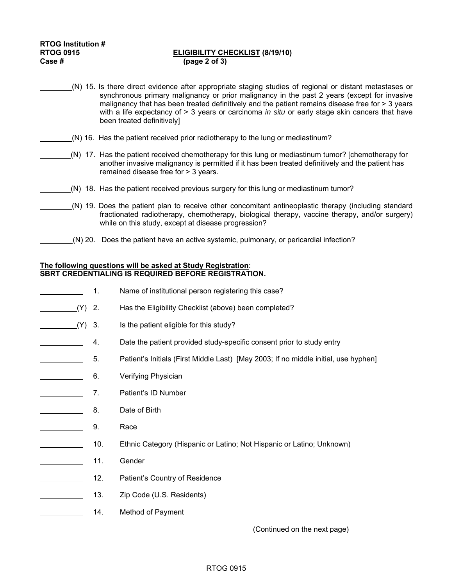#### RTOG 0915 **ELIGIBILITY CHECKLIST** (8/19/10)<br>Case # (page 2 of 3) **Case # (page 2 of 3)**

- (N) 15. Is there direct evidence after appropriate staging studies of regional or distant metastases or synchronous primary malignancy or prior malignancy in the past 2 years (except for invasive malignancy that has been treated definitively and the patient remains disease free for > 3 years with a life expectancy of > 3 years or carcinoma *in situ* or early stage skin cancers that have been treated definitively]
- (N) 16. Has the patient received prior radiotherapy to the lung or mediastinum?
	- (N) 17. Has the patient received chemotherapy for this lung or mediastinum tumor? [chemotherapy for another invasive malignancy is permitted if it has been treated definitively and the patient has remained disease free for > 3 years.
- (N) 18. Has the patient received previous surgery for this lung or mediastinum tumor?
- (N) 19. Does the patient plan to receive other concomitant antineoplastic therapy (including standard fractionated radiotherapy, chemotherapy, biological therapy, vaccine therapy, and/or surgery) while on this study, except at disease progression?
	- (N) 20. Does the patient have an active systemic, pulmonary, or pericardial infection?

#### **The following questions will be asked at Study Registration**: **SBRT CREDENTIALING IS REQUIRED BEFORE REGISTRATION.**

- 1. Name of institutional person registering this case? (Y) 2. Has the Eligibility Checklist (above) been completed? (Y) 3. Is the patient eligible for this study? 4. Date the patient provided study-specific consent prior to study entry 5. Patient's Initials (First Middle Last) [May 2003; If no middle initial, use hyphen] **Example 2** 6. Verifying Physician **7.** Patient's ID Number 8. Date of Birth 9. Race 10. Ethnic Category (Hispanic or Latino; Not Hispanic or Latino; Unknown) 11. Gender **12.** Patient's Country of Residence 13. Zip Code (U.S. Residents)
- **14.** Method of Payment

(Continued on the next page)

#### RTOG 0915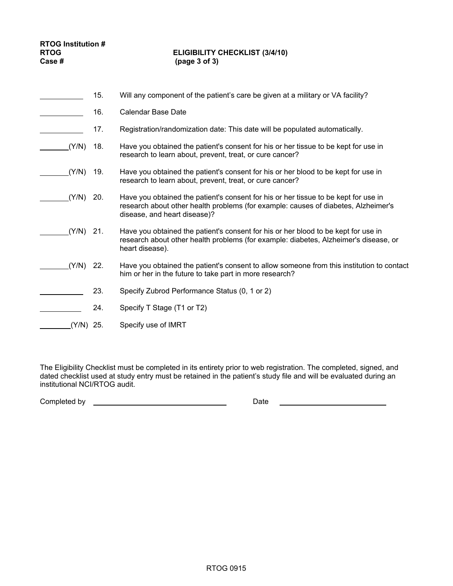#### RTOG **ELIGIBILITY CHECKLIST** (3/4/10)<br>Case # (page 3 of 3) **Case # (page 3 of 3)**

|       | 15. | Will any component of the patient's care be given at a military or VA facility?                                                                                                                           |
|-------|-----|-----------------------------------------------------------------------------------------------------------------------------------------------------------------------------------------------------------|
|       | 16. | Calendar Base Date                                                                                                                                                                                        |
|       | 17. | Registration/randomization date: This date will be populated automatically.                                                                                                                               |
| (Y/N) | 18. | Have you obtained the patient's consent for his or her tissue to be kept for use in<br>research to learn about, prevent, treat, or cure cancer?                                                           |
| (Y/N) | 19. | Have you obtained the patient's consent for his or her blood to be kept for use in<br>research to learn about, prevent, treat, or cure cancer?                                                            |
| (Y/N) | 20. | Have you obtained the patient's consent for his or her tissue to be kept for use in<br>research about other health problems (for example: causes of diabetes, Alzheimer's<br>disease, and heart disease)? |
| (Y/N) | 21. | Have you obtained the patient's consent for his or her blood to be kept for use in<br>research about other health problems (for example: diabetes, Alzheimer's disease, or<br>heart disease).             |
| (Y/N) | 22. | Have you obtained the patient's consent to allow someone from this institution to contact<br>him or her in the future to take part in more research?                                                      |
|       | 23. | Specify Zubrod Performance Status (0, 1 or 2)                                                                                                                                                             |
|       | 24. | Specify T Stage (T1 or T2)                                                                                                                                                                                |
| Y/N). | 25. | Specify use of IMRT                                                                                                                                                                                       |

The Eligibility Checklist must be completed in its entirety prior to web registration. The completed, signed, and dated checklist used at study entry must be retained in the patient's study file and will be evaluated during an institutional NCI/RTOG audit.

Completed by Date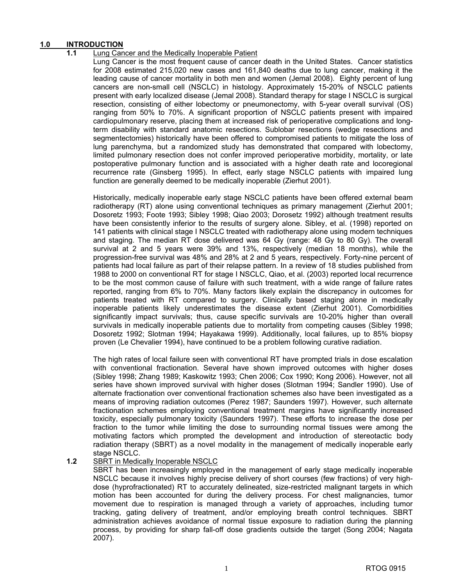#### **1.0 INTRODUCTION**

#### **1.1** Lung Cancer and the Medically Inoperable Patient

Lung Cancer is the most frequent cause of cancer death in the United States. Cancer statistics for 2008 estimated 215,020 new cases and 161,840 deaths due to lung cancer, making it the leading cause of cancer mortality in both men and women (Jemal 2008). Eighty percent of lung cancers are non-small cell (NSCLC) in histology. Approximately 15-20% of NSCLC patients present with early localized disease (Jemal 2008). Standard therapy for stage I NSCLC is surgical resection, consisting of either lobectomy or pneumonectomy, with 5-year overall survival (OS) ranging from 50% to 70%. A significant proportion of NSCLC patients present with impaired cardiopulmonary reserve, placing them at increased risk of perioperative complications and longterm disability with standard anatomic resections. Sublobar resections (wedge resections and segmentectomies) historically have been offered to compromised patients to mitigate the loss of lung parenchyma, but a randomized study has demonstrated that compared with lobectomy, limited pulmonary resection does not confer improved perioperative morbidity, mortality, or late postoperative pulmonary function and is associated with a higher death rate and locoregional recurrence rate (Ginsberg 1995). In effect, early stage NSCLC patients with impaired lung function are generally deemed to be medically inoperable (Zierhut 2001).

Historically, medically inoperable early stage NSCLC patients have been offered external beam radiotherapy (RT) alone using conventional techniques as primary management (Zierhut 2001; Dosoretz 1993; Foote 1993; Sibley 1998; Qiao 2003; Dorosetz 1992) although treatment results have been consistently inferior to the results of surgery alone. Sibley, et al. (1998) reported on 141 patients with clinical stage I NSCLC treated with radiotherapy alone using modern techniques and staging. The median RT dose delivered was 64 Gy (range: 48 Gy to 80 Gy). The overall survival at 2 and 5 years were 39% and 13%, respectively (median 18 months), while the progression-free survival was 48% and 28% at 2 and 5 years, respectively. Forty-nine percent of patients had local failure as part of their relapse pattern. In a review of 18 studies published from 1988 to 2000 on conventional RT for stage I NSCLC, Qiao, et al. (2003) reported local recurrence to be the most common cause of failure with such treatment, with a wide range of failure rates reported, ranging from 6% to 70%. Many factors likely explain the discrepancy in outcomes for patients treated with RT compared to surgery. Clinically based staging alone in medically inoperable patients likely underestimates the disease extent (Zierhut 2001). Comorbidities significantly impact survivals; thus, cause specific survivals are 10-20% higher than overall survivals in medically inoperable patients due to mortality from competing causes (Sibley 1998; Dosoretz 1992; Slotman 1994; Hayakawa 1999). Additionally, local failures, up to 85% biopsy proven (Le Chevalier 1994), have continued to be a problem following curative radiation.

The high rates of local failure seen with conventional RT have prompted trials in dose escalation with conventional fractionation. Several have shown improved outcomes with higher doses (Sibley 1998; Zhang 1989; Kaskowitz 1993; Chen 2006; Cox 1990; Kong 2006). However, not all series have shown improved survival with higher doses (Slotman 1994; Sandler 1990). Use of alternate fractionation over conventional fractionation schemes also have been investigated as a means of improving radiation outcomes (Perez 1987; Saunders 1997). However, such alternate fractionation schemes employing conventional treatment margins have significantly increased toxicity, especially pulmonary toxicity (Saunders 1997). These efforts to increase the dose per fraction to the tumor while limiting the dose to surrounding normal tissues were among the motivating factors which prompted the development and introduction of stereotactic body radiation therapy (SBRT) as a novel modality in the management of medically inoperable early stage NSCLC.

#### 1.2 SBRT in Medically Inoperable NSCLC

SBRT has been increasingly employed in the management of early stage medically inoperable NSCLC because it involves highly precise delivery of short courses (few fractions) of very highdose (hyprofractionated) RT to accurately delineated, size-restricted malignant targets in which motion has been accounted for during the delivery process. For chest malignancies, tumor movement due to respiration is managed through a variety of approaches, including tumor tracking, gating delivery of treatment, and/or employing breath control techniques. SBRT administration achieves avoidance of normal tissue exposure to radiation during the planning process, by providing for sharp fall-off dose gradients outside the target (Song 2004; Nagata 2007).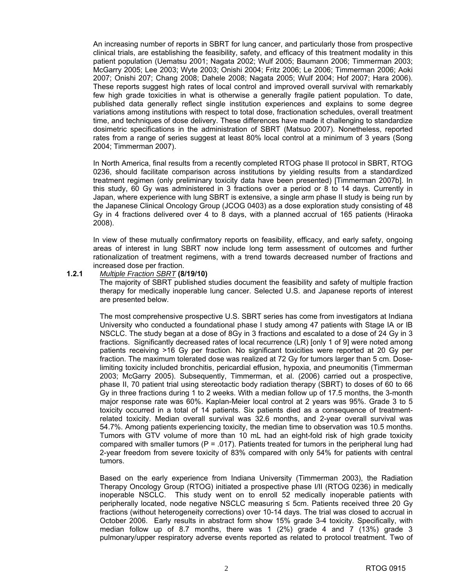An increasing number of reports in SBRT for lung cancer, and particularly those from prospective clinical trials, are establishing the feasibility, safety, and efficacy of this treatment modality in this patient population (Uematsu 2001; Nagata 2002; Wulf 2005; Baumann 2006; Timmerman 2003; McGarry 2005; Lee 2003; Wyte 2003; Onishi 2004; Fritz 2006; Le 2006; Timmerman 2006; Aoki 2007; Onishi 207; Chang 2008; Dahele 2008; Nagata 2005; Wulf 2004; Hof 2007; Hara 2006). These reports suggest high rates of local control and improved overall survival with remarkably few high grade toxicities in what is otherwise a generally fragile patient population. To date, published data generally reflect single institution experiences and explains to some degree variations among institutions with respect to total dose, fractionation schedules, overall treatment time, and techniques of dose delivery. These differences have made it challenging to standardize dosimetric specifications in the administration of SBRT (Matsuo 2007). Nonetheless, reported rates from a range of series suggest at least 80% local control at a minimum of 3 years (Song 2004; Timmerman 2007).

In North America, final results from a recently completed RTOG phase II protocol in SBRT, RTOG 0236, should facilitate comparison across institutions by yielding results from a standardized treatment regimen (only preliminary toxicity data have been presented) [Timmerman 2007b]. In this study, 60 Gy was administered in 3 fractions over a period or 8 to 14 days. Currently in Japan, where experience with lung SBRT is extensive, a single arm phase II study is being run by the Japanese Clinical Oncology Group (JCOG 0403) as a dose exploration study consisting of 48 Gy in 4 fractions delivered over 4 to 8 days, with a planned accrual of 165 patients (Hiraoka 2008).

In view of these mutually confirmatory reports on feasibility, efficacy, and early safety, ongoing areas of interest in lung SBRT now include long term assessment of outcomes and further rationalization of treatment regimens, with a trend towards decreased number of fractions and increased dose per fraction.

#### **1.2.1** *Multiple Fraction SBRT* **(8/19/10)**

The majority of SBRT published studies document the feasibility and safety of multiple fraction therapy for medically inoperable lung cancer. Selected U.S. and Japanese reports of interest are presented below.

The most comprehensive prospective U.S. SBRT series has come from investigators at Indiana University who conducted a foundational phase I study among 47 patients with Stage IA or IB NSCLC. The study began at a dose of 8Gy in 3 fractions and escalated to a dose of 24 Gy in 3 fractions. Significantly decreased rates of local recurrence (LR) [only 1 of 9] were noted among patients receiving >16 Gy per fraction. No significant toxicities were reported at 20 Gy per fraction. The maximum tolerated dose was realized at 72 Gy for tumors larger than 5 cm. Doselimiting toxicity included bronchitis, pericardial effusion, hypoxia, and pneumonitis (Timmerman 2003; McGarry 2005). Subsequently, Timmerman, et al. (2006) carried out a prospective, phase II, 70 patient trial using stereotactic body radiation therapy (SBRT) to doses of 60 to 66 Gy in three fractions during 1 to 2 weeks. With a median follow up of 17.5 months, the 3-month major response rate was 60%. Kaplan-Meier local control at 2 years was 95%. Grade 3 to 5 toxicity occurred in a total of 14 patients. Six patients died as a consequence of treatmentrelated toxicity. Median overall survival was 32.6 months, and 2-year overall survival was 54.7%. Among patients experiencing toxicity, the median time to observation was 10.5 months. Tumors with GTV volume of more than 10 mL had an eight-fold risk of high grade toxicity compared with smaller tumors ( $P = .017$ ). Patients treated for tumors in the peripheral lung had 2-year freedom from severe toxicity of 83% compared with only 54% for patients with central tumors.

Based on the early experience from Indiana University (Timmerman 2003), the Radiation Therapy Oncology Group (RTOG) initiated a prospective phase I/II (RTOG 0236) in medically inoperable NSCLC. This study went on to enroll 52 medically inoperable patients with peripherally located, node negative NSCLC measuring ≤ 5cm. Patients received three 20 Gy fractions (without heterogeneity corrections) over 10-14 days. The trial was closed to accrual in October 2006. Early results in abstract form show 15% grade 3-4 toxicity. Specifically, with median follow up of 8.7 months, there was 1 (2%) grade 4 and 7 (13%) grade 3 pulmonary/upper respiratory adverse events reported as related to protocol treatment. Two of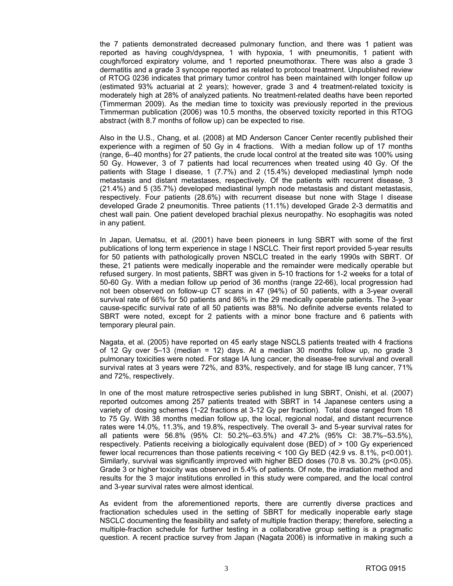the 7 patients demonstrated decreased pulmonary function, and there was 1 patient was reported as having cough/dyspnea, 1 with hypoxia, 1 with pneumonitis, 1 patient with cough/forced expiratory volume, and 1 reported pneumothorax. There was also a grade 3 dermatitis and a grade 3 syncope reported as related to protocol treatment. Unpublished review of RTOG 0236 indicates that primary tumor control has been maintained with longer follow up (estimated 93% actuarial at 2 years); however, grade 3 and 4 treatment-related toxicity is moderately high at 28% of analyzed patients. No treatment-related deaths have been reported (Timmerman 2009). As the median time to toxicity was previously reported in the previous Timmerman publication (2006) was 10.5 months, the observed toxicity reported in this RTOG abstract (with 8.7 months of follow up) can be expected to rise.

Also in the U.S., Chang, et al. (2008) at MD Anderson Cancer Center recently published their experience with a regimen of 50 Gy in 4 fractions. With a median follow up of 17 months (range, 6–40 months) for 27 patients, the crude local control at the treated site was 100% using 50 Gy. However, 3 of 7 patients had local recurrences when treated using 40 Gy. Of the patients with Stage I disease, 1 (7.7%) and 2 (15.4%) developed mediastinal lymph node metastasis and distant metastases, respectively. Of the patients with recurrent disease, 3 (21.4%) and 5 (35.7%) developed mediastinal lymph node metastasis and distant metastasis, respectively. Four patients (28.6%) with recurrent disease but none with Stage I disease developed Grade 2 pneumonitis. Three patients (11.1%) developed Grade 2-3 dermatitis and chest wall pain. One patient developed brachial plexus neuropathy. No esophagitis was noted in any patient.

In Japan, Uematsu, et al. (2001) have been pioneers in lung SBRT with some of the first publications of long term experience in stage I NSCLC. Their first report provided 5-year results for 50 patients with pathologically proven NSCLC treated in the early 1990s with SBRT. Of these, 21 patients were medically inoperable and the remainder were medically operable but refused surgery. In most patients, SBRT was given in 5-10 fractions for 1-2 weeks for a total of 50-60 Gy. With a median follow up period of 36 months (range 22-66), local progression had not been observed on follow-up CT scans in 47 (94%) of 50 patients, with a 3-year overall survival rate of 66% for 50 patients and 86% in the 29 medically operable patients. The 3-year cause-specific survival rate of all 50 patients was 88%. No definite adverse events related to SBRT were noted, except for 2 patients with a minor bone fracture and 6 patients with temporary pleural pain.

Nagata, et al. (2005) have reported on 45 early stage NSCLS patients treated with 4 fractions of 12 Gy over 5–13 (median = 12) days. At a median 30 months follow up, no grade 3 pulmonary toxicities were noted. For stage IA lung cancer, the disease-free survival and overall survival rates at 3 years were 72%, and 83%, respectively, and for stage IB lung cancer, 71% and 72%, respectively.

In one of the most mature retrospective series published in lung SBRT, Onishi, et al. (2007) reported outcomes among 257 patients treated with SBRT in 14 Japanese centers using a variety of dosing schemes (1-22 fractions at 3-12 Gy per fraction). Total dose ranged from 18 to 75 Gy. With 38 months median follow up, the local, regional nodal, and distant recurrence rates were 14.0%, 11.3%, and 19.8%, respectively. The overall 3- and 5-year survival rates for all patients were 56.8% (95% CI: 50.2%–63.5%) and 47.2% (95% CI: 38.7%–53.5%), respectively. Patients receiving a biologically equivalent dose (BED) of > 100 Gy experienced fewer local recurrences than those patients receiving < 100 Gy BED (42.9 vs. 8.1%, p<0.001). Similarly, survival was significantly improved with higher BED doses (70.8 vs. 30.2% (p<0.05). Grade 3 or higher toxicity was observed in 5.4% of patients. Of note, the irradiation method and results for the 3 major institutions enrolled in this study were compared, and the local control and 3-year survival rates were almost identical.

As evident from the aforementioned reports, there are currently diverse practices and fractionation schedules used in the setting of SBRT for medically inoperable early stage NSCLC documenting the feasibility and safety of multiple fraction therapy; therefore, selecting a multiple-fraction schedule for further testing in a collaborative group setting is a pragmatic question. A recent practice survey from Japan (Nagata 2006) is informative in making such a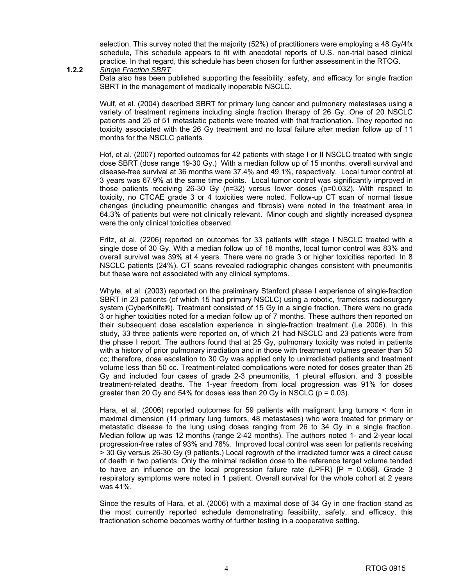selection. This survey noted that the majority (52%) of practitioners were employing a 48 Gy/4fx schedule, This schedule appears to fit with anecdotal reports of U.S. non-trial based clinical practice. In that regard, this schedule has been chosen for further assessment in the RTOG.

#### **1.2.2** *Single Fraction SBRT*

Data also has been published supporting the feasibility, safety, and efficacy for single fraction SBRT in the management of medically inoperable NSCLC.

Wulf, et al. (2004) described SBRT for primary lung cancer and pulmonary metastases using a variety of treatment regimens including single fraction therapy of 26 Gy. One of 20 NSCLC patients and 25 of 51 metastatic patients were treated with that fractionation. They reported no toxicity associated with the 26 Gy treatment and no local failure after median follow up of 11 months for the NSCLC patients.

Hof, et al. (2007) reported outcomes for 42 patients with stage I or II NSCLC treated with single dose SBRT (dose range 19-30 Gy.) With a median follow up of 15 months, overall survival and disease-free survival at 36 months were 37.4% and 49.1%, respectively. Local tumor control at 3 years was 67.9% at the same time points. Local tumor control was significantly improved in those patients receiving 26-30 Gy (n=32) versus lower doses (p=0.032). With respect to toxicity, no CTCAE grade 3 or 4 toxicities were noted. Follow-up CT scan of normal tissue changes (including pneumonitic changes and fibrosis) were noted in the treatment area in 64.3% of patients but were not clinically relevant. Minor cough and slightly increased dyspnea were the only clinical toxicities observed.

Fritz, et al. (2206) reported on outcomes for 33 patients with stage I NSCLC treated with a single dose of 30 Gy. With a median follow up of 18 months, local tumor control was 83% and overall survival was 39% at 4 years. There were no grade 3 or higher toxicities reported. In 8 NSCLC patients (24%), CT scans revealed radiographic changes consistent with pneumonitis but these were not associated with any clinical symptoms.

Whyte, et al. (2003) reported on the preliminary Stanford phase I experience of single-fraction SBRT in 23 patients (of which 15 had primary NSCLC) using a robotic, frameless radiosurgery system (CyberKnife®). Treatment consisted of 15 Gy in a single fraction. There were no grade 3 or higher toxicities noted for a median follow up of 7 months. These authors then reported on their subsequent dose escalation experience in single-fraction treatment (Le 2006). In this study, 33 three patients were reported on, of which 21 had NSCLC and 23 patients were from the phase I report. The authors found that at 25 Gy, pulmonary toxicity was noted in patients with a history of prior pulmonary irradiation and in those with treatment volumes greater than 50 cc; therefore, dose escalation to 30 Gy was applied only to unirradiated patients and treatment volume less than 50 cc. Treatment-related complications were noted for doses greater than 25 Gy and included four cases of grade 2-3 pneumonitis, 1 pleural effusion, and 3 possible treatment-related deaths. The 1-year freedom from local progression was 91% for doses greater than 20 Gy and 54% for doses less than 20 Gy in NSCLC ( $p = 0.03$ ).

Hara, et al. (2006) reported outcomes for 59 patients with malignant lung tumors < 4cm in maximal dimension (11 primary lung tumors, 48 metastases) who were treated for primary or metastatic disease to the lung using doses ranging from 26 to 34 Gy in a single fraction. Median follow up was 12 months (range 2-42 months). The authors noted 1- and 2-year local progression-free rates of 93% and 78%. Improved local control was seen for patients receiving > 30 Gy versus 26-30 Gy (9 patients.) Local regrowth of the irradiated tumor was a direct cause of death in two patients. Only the minimal radiation dose to the reference target volume tended to have an influence on the local progression failure rate (LPFR)  $[**P** = 0.068]$ . Grade 3 respiratory symptoms were noted in 1 patient. Overall survival for the whole cohort at 2 years was 41%.

Since the results of Hara, et al. (2006) with a maximal dose of 34 Gy in one fraction stand as the most currently reported schedule demonstrating feasibility, safety, and efficacy, this fractionation scheme becomes worthy of further testing in a cooperative setting.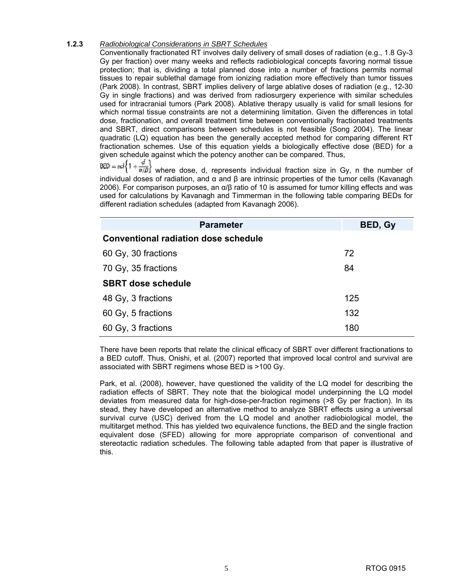#### **1.2.3** *Radiobiological Considerations in SBRT Schedules*

Conventionally fractionated RT involves daily delivery of small doses of radiation (e.g., 1.8 Gy-3 Gy per fraction) over many weeks and reflects radiobiological concepts favoring normal tissue protection; that is, dividing a total planned dose into a number of fractions permits normal tissues to repair sublethal damage from ionizing radiation more effectively than tumor tissues (Park 2008). In contrast, SBRT implies delivery of large ablative doses of radiation (e.g., 12-30 Gy in single fractions) and was derived from radiosurgery experience with similar schedules used for intracranial tumors (Park 2008). Ablative therapy usually is valid for small lesions for which normal tissue constraints are not a determining limitation. Given the differences in total dose, fractionation, and overall treatment time between conventionally fractionated treatments and SBRT, direct comparisons between schedules is not feasible (Song 2004). The linear quadratic (LQ) equation has been the generally accepted method for comparing different RT fractionation schemes. Use of this equation yields a biologically effective dose (BED) for a given schedule against which the potency another can be compared. Thus,

 where dose, d, represents individual fraction size in Gy, n the number of individual doses of radiation, and α and β are intrinsic properties of the tumor cells (Kavanagh 2006). For comparison purposes, an  $α/β$  ratio of 10 is assumed for tumor killing effects and was used for calculations by Kavanagh and Timmerman in the following table comparing BEDs for different radiation schedules (adapted from Kavanagh 2006).

| <b>Parameter</b>                            | BED, Gy |
|---------------------------------------------|---------|
| <b>Conventional radiation dose schedule</b> |         |
| 60 Gy, 30 fractions                         | 72      |
| 70 Gy, 35 fractions                         | 84      |
| <b>SBRT dose schedule</b>                   |         |
| 48 Gy, 3 fractions                          | 125     |
| 60 Gy, 5 fractions                          | 132     |
| 60 Gy, 3 fractions                          | 180     |

There have been reports that relate the clinical efficacy of SBRT over different fractionations to a BED cutoff. Thus, Onishi, et al. (2007) reported that improved local control and survival are associated with SBRT regimens whose BED is >100 Gy.

Park, et al. (2008), however, have questioned the validity of the LQ model for describing the radiation effects of SBRT. They note that the biological model underpinning the LQ model deviates from measured data for high-dose-per-fraction regimens (>8 Gy per fraction). In its stead, they have developed an alternative method to analyze SBRT effects using a universal survival curve (USC) derived from the LQ model and another radiobiological model, the multitarget method. This has yielded two equivalence functions, the BED and the single fraction equivalent dose (SFED) allowing for more appropriate comparison of conventional and stereotactic radiation schedules. The following table adapted from that paper is illustrative of this.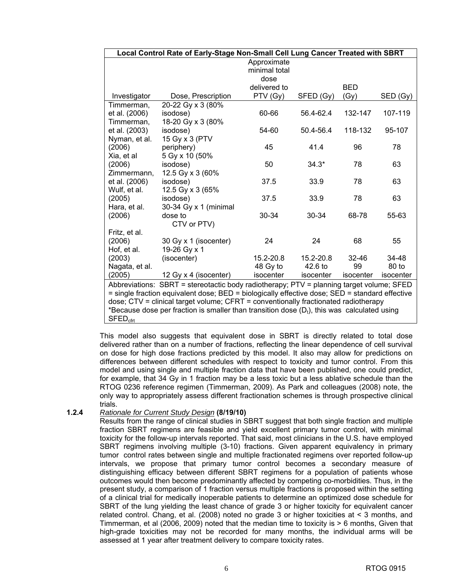|                                                                                                | Local Control Rate of Early-Stage Non-Small Cell Lung Cancer Treated with SBRT                 |                              |           |                    |           |
|------------------------------------------------------------------------------------------------|------------------------------------------------------------------------------------------------|------------------------------|-----------|--------------------|-----------|
|                                                                                                |                                                                                                | Approximate<br>minimal total |           |                    |           |
|                                                                                                |                                                                                                | dose                         |           |                    |           |
| Investigator                                                                                   | Dose, Prescription                                                                             | delivered to<br>PTV (Gy)     | SFED (Gy) | <b>BED</b><br>(Gy) | SED (Gy)  |
| Timmerman,                                                                                     | 20-22 Gy x 3 (80%                                                                              |                              |           |                    |           |
| et al. (2006)                                                                                  | isodose)                                                                                       | 60-66                        | 56.4-62.4 | 132-147            | 107-119   |
| Timmerman,                                                                                     |                                                                                                |                              |           |                    |           |
| et al. (2003)                                                                                  | 18-20 Gy x 3 (80%<br>isodose)                                                                  | 54-60                        | 50.4-56.4 | 118-132            | 95-107    |
|                                                                                                |                                                                                                |                              |           |                    |           |
| Nyman, et al.                                                                                  | 15 Gy x 3 (PTV                                                                                 | 45                           | 41.4      | 96                 | 78        |
| (2006)                                                                                         | periphery)                                                                                     |                              |           |                    |           |
| Xia, et al                                                                                     | 5 Gy x 10 (50%                                                                                 | 50                           |           | 78                 |           |
| (2006)                                                                                         | isodose)                                                                                       |                              | $34.3*$   |                    | 63        |
| Zimmermann,                                                                                    | 12.5 Gy x 3 (60%                                                                               | 37.5                         | 33.9      | 78                 | 63        |
| et al. (2006)                                                                                  | isodose)                                                                                       |                              |           |                    |           |
| Wulf, et al.                                                                                   | 12.5 Gy x 3 (65%                                                                               |                              |           |                    |           |
| (2005)                                                                                         | isodose)                                                                                       | 37.5                         | 33.9      | 78                 | 63        |
| Hara, et al.                                                                                   | 30-34 Gy x 1 (minimal                                                                          |                              |           |                    |           |
| (2006)                                                                                         | dose to                                                                                        | 30-34                        | 30-34     | 68-78              | 55-63     |
|                                                                                                | CTV or PTV)                                                                                    |                              |           |                    |           |
| Fritz, et al.                                                                                  |                                                                                                |                              |           |                    |           |
| (2006)                                                                                         | 30 Gy x 1 (isocenter)                                                                          | 24                           | 24        | 68                 | 55        |
| Hof, et al.                                                                                    | 19-26 Gy x 1                                                                                   |                              |           |                    |           |
| (2003)                                                                                         | (isocenter)                                                                                    | 15.2-20.8                    | 15.2-20.8 | 32-46              | 34-48     |
| Nagata, et al.                                                                                 |                                                                                                | 48 Gy to                     | 42.6 to   | 99                 | 80 to     |
| (2005)                                                                                         | 12 Gy x 4 (isocenter)                                                                          | isocenter                    | isocenter | isocenter          | isocenter |
| Abbreviations: SBRT = stereotactic body radiotherapy; PTV = planning target volume; SFED       |                                                                                                |                              |           |                    |           |
| = single fraction equivalent dose; BED = biologically effective dose; SED = standard effective |                                                                                                |                              |           |                    |           |
|                                                                                                | dose; CTV = clinical target volume; CFRT = conventionally fractionated radiotherapy            |                              |           |                    |           |
|                                                                                                | *Because dose per fraction is smaller than transition dose $(D_t)$ , this was calculated using |                              |           |                    |           |
| $SFED_{\text{cfr}}$                                                                            |                                                                                                |                              |           |                    |           |

This model also suggests that equivalent dose in SBRT is directly related to total dose delivered rather than on a number of fractions, reflecting the linear dependence of cell survival on dose for high dose fractions predicted by this model. It also may allow for predictions on differences between different schedules with respect to toxicity and tumor control. From this model and using single and multiple fraction data that have been published, one could predict, for example, that 34 Gy in 1 fraction may be a less toxic but a less ablative schedule than the RTOG 0236 reference regimen (Timmerman, 2009). As Park and colleagues (2008) note, the only way to appropriately assess different fractionation schemes is through prospective clinical trials.

#### **1.2.4** *Rationale for Current Study Design* **(8/19/10)**

Results from the range of clinical studies in SBRT suggest that both single fraction and multiple fraction SBRT regimens are feasible and yield excellent primary tumor control, with minimal toxicity for the follow-up intervals reported. That said, most clinicians in the U.S. have employed SBRT regimens involving multiple (3-10) fractions. Given apparent equivalency in primary tumor control rates between single and multiple fractionated regimens over reported follow-up intervals, we propose that primary tumor control becomes a secondary measure of distinguishing efficacy between different SBRT regimens for a population of patients whose outcomes would then become predominantly affected by competing co-morbidities. Thus, in the present study, a comparison of 1 fraction versus multiple fractions is proposed within the setting of a clinical trial for medically inoperable patients to determine an optimized dose schedule for SBRT of the lung yielding the least chance of grade 3 or higher toxicity for equivalent cancer related control. Chang, et al. (2008) noted no grade 3 or higher toxicities at < 3 months, and Timmerman, et al (2006, 2009) noted that the median time to toxicity is  $> 6$  months, Given that high-grade toxicities may not be recorded for many months, the individual arms will be assessed at 1 year after treatment delivery to compare toxicity rates.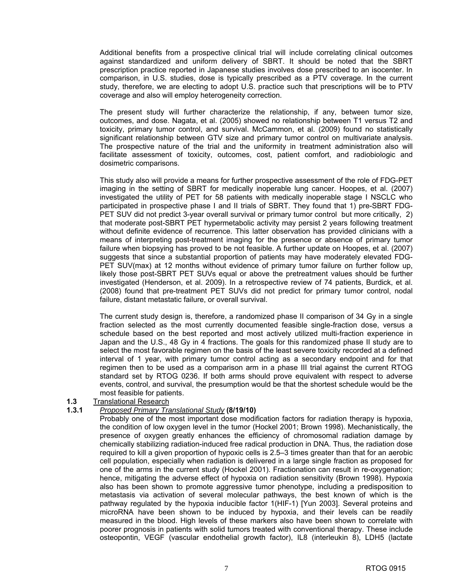Additional benefits from a prospective clinical trial will include correlating clinical outcomes against standardized and uniform delivery of SBRT. It should be noted that the SBRT prescription practice reported in Japanese studies involves dose prescribed to an isocenter. In comparison, in U.S. studies, dose is typically prescribed as a PTV coverage. In the current study, therefore, we are electing to adopt U.S. practice such that prescriptions will be to PTV coverage and also will employ heterogeneity correction.

The present study will further characterize the relationship, if any, between tumor size, outcomes, and dose. Nagata, et al. (2005) showed no relationship between T1 versus T2 and toxicity, primary tumor control, and survival. McCammon, et al. (2009) found no statistically significant relationship between GTV size and primary tumor control on multivariate analysis. The prospective nature of the trial and the uniformity in treatment administration also will facilitate assessment of toxicity, outcomes, cost, patient comfort, and radiobiologic and dosimetric comparisons.

This study also will provide a means for further prospective assessment of the role of FDG-PET imaging in the setting of SBRT for medically inoperable lung cancer. Hoopes, et al. (2007) investigated the utility of PET for 58 patients with medically inoperable stage I NSCLC who participated in prospective phase I and II trials of SBRT. They found that 1) pre-SBRT FDG-PET SUV did not predict 3-year overall survival or primary tumor control but more critically, 2) that moderate post-SBRT PET hypermetabolic activity may persist 2 years following treatment without definite evidence of recurrence. This latter observation has provided clinicians with a means of interpreting post-treatment imaging for the presence or absence of primary tumor failure when biopsying has proved to be not feasible. A further update on Hoopes, et al. (2007) suggests that since a substantial proportion of patients may have moderately elevated FDG-PET SUV(max) at 12 months without evidence of primary tumor failure on further follow up, likely those post-SBRT PET SUVs equal or above the pretreatment values should be further investigated (Henderson, et al. 2009). In a retrospective review of 74 patients, Burdick, et al. (2008) found that pre-treatment PET SUVs did not predict for primary tumor control, nodal failure, distant metastatic failure, or overall survival.

The current study design is, therefore, a randomized phase II comparison of 34 Gy in a single fraction selected as the most currently documented feasible single-fraction dose, versus a schedule based on the best reported and most actively utilized multi-fraction experience in Japan and the U.S., 48 Gy in 4 fractions. The goals for this randomized phase II study are to select the most favorable regimen on the basis of the least severe toxicity recorded at a defined interval of 1 year, with primary tumor control acting as a secondary endpoint and for that regimen then to be used as a comparison arm in a phase III trial against the current RTOG standard set by RTOG 0236. If both arms should prove equivalent with respect to adverse events, control, and survival, the presumption would be that the shortest schedule would be the most feasible for patients.

#### **1.3** Translational Research

#### **1.3.1** *Proposed Primary Translational Study* **(8/19/10)**

Probably one of the most important dose modification factors for radiation therapy is hypoxia, the condition of low oxygen level in the tumor (Hockel 2001; Brown 1998). Mechanistically, the presence of oxygen greatly enhances the efficiency of chromosomal radiation damage by chemically stabilizing radiation-induced free radical production in DNA. Thus, the radiation dose required to kill a given proportion of hypoxic cells is 2.5–3 times greater than that for an aerobic cell population, especially when radiation is delivered in a large single fraction as proposed for one of the arms in the current study (Hockel 2001). Fractionation can result in re-oxygenation; hence, mitigating the adverse effect of hypoxia on radiation sensitivity (Brown 1998). Hypoxia also has been shown to promote aggressive tumor phenotype, including a predisposition to metastasis via activation of several molecular pathways, the best known of which is the pathway regulated by the hypoxia inducible factor 1(HIF-1) [Yun 2003]. Several proteins and microRNA have been shown to be induced by hypoxia, and their levels can be readily measured in the blood. High levels of these markers also have been shown to correlate with poorer prognosis in patients with solid tumors treated with conventional therapy. These include osteopontin, VEGF (vascular endothelial growth factor), IL8 (interleukin 8), LDH5 (lactate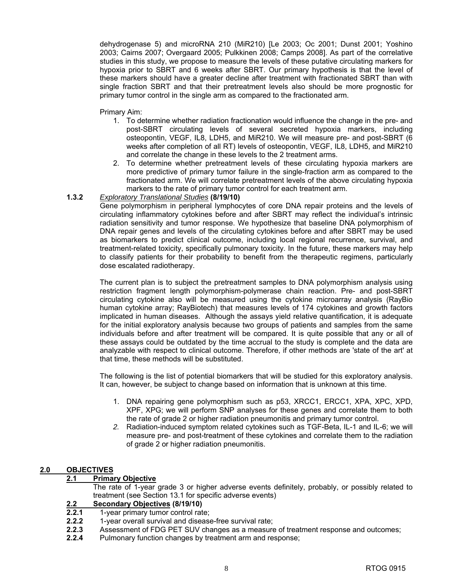dehydrogenase 5) and microRNA 210 (MiR210) [Le 2003; Oc 2001; Dunst 2001; Yoshino 2003; Cairns 2007; Overgaard 2005; Pulkkinen 2008; Camps 2008]. As part of the correlative studies in this study, we propose to measure the levels of these putative circulating markers for hypoxia prior to SBRT and 6 weeks after SBRT. Our primary hypothesis is that the level of these markers should have a greater decline after treatment with fractionated SBRT than with single fraction SBRT and that their pretreatment levels also should be more prognostic for primary tumor control in the single arm as compared to the fractionated arm.

Primary Aim:

- 1. To determine whether radiation fractionation would influence the change in the pre- and post-SBRT circulating levels of several secreted hypoxia markers, including osteopontin, VEGF, IL8, LDH5, and MiR210. We will measure pre- and post-SBRT (6 weeks after completion of all RT) levels of osteopontin, VEGF, IL8, LDH5, and MiR210 and correlate the change in these levels to the 2 treatment arms.
- 2. To determine whether pretreatment levels of these circulating hypoxia markers are more predictive of primary tumor failure in the single-fraction arm as compared to the fractionated arm. We will correlate pretreatment levels of the above circulating hypoxia markers to the rate of primary tumor control for each treatment arm.

#### **1.3.2** *Exploratory Translational Studies* **(8/19/10)**

Gene polymorphism in peripheral lymphocytes of core DNA repair proteins and the levels of circulating inflammatory cytokines before and after SBRT may reflect the individual's intrinsic radiation sensitivity and tumor response. We hypothesize that baseline DNA polymorphism of DNA repair genes and levels of the circulating cytokines before and after SBRT may be used as biomarkers to predict clinical outcome, including local regional recurrence, survival, and treatment-related toxicity, specifically pulmonary toxicity. In the future, these markers may help to classify patients for their probability to benefit from the therapeutic regimens, particularly dose escalated radiotherapy.

The current plan is to subject the pretreatment samples to DNA polymorphism analysis using restriction fragment length polymorphism-polymerase chain reaction. Pre- and post-SBRT circulating cytokine also will be measured using the cytokine microarray analysis (RayBio human cytokine array; RayBiotech) that measures levels of 174 cytokines and growth factors implicated in human diseases. Although the assays yield relative quantification, it is adequate for the initial exploratory analysis because two groups of patients and samples from the same individuals before and after treatment will be compared. It is quite possible that any or all of these assays could be outdated by the time accrual to the study is complete and the data are analyzable with respect to clinical outcome. Therefore, if other methods are 'state of the art' at that time, these methods will be substituted.

The following is the list of potential biomarkers that will be studied for this exploratory analysis. It can, however, be subject to change based on information that is unknown at this time.

- 1. DNA repairing gene polymorphism such as p53, XRCC1, ERCC1, XPA, XPC, XPD, XPF, XPG; we will perform SNP analyses for these genes and correlate them to both the rate of grade 2 or higher radiation pneumonitis and primary tumor control.
- *2.* Radiation-induced symptom related cytokines such as TGF-Beta, IL-1 and IL-6; we will measure pre- and post-treatment of these cytokines and correlate them to the radiation of grade 2 or higher radiation pneumonitis.

#### **2.0 OBJECTIVES**

#### **2.1 Primary Objective**

 The rate of 1-year grade 3 or higher adverse events definitely, probably, or possibly related to treatment (see Section 13.1 for specific adverse events)

## 2.2 **Secondary Objectives (8/19/10)**<br>**2.2.1** 1-year primary tumor control rat

**2.2.1** 1-year primary tumor control rate;

- **2.2.2** 1-year overall survival and disease-free survival rate;
- **2.2.3** Assessment of FDG PET SUV changes as a measure of treatment response and outcomes;
- **2.2.4** Pulmonary function changes by treatment arm and response;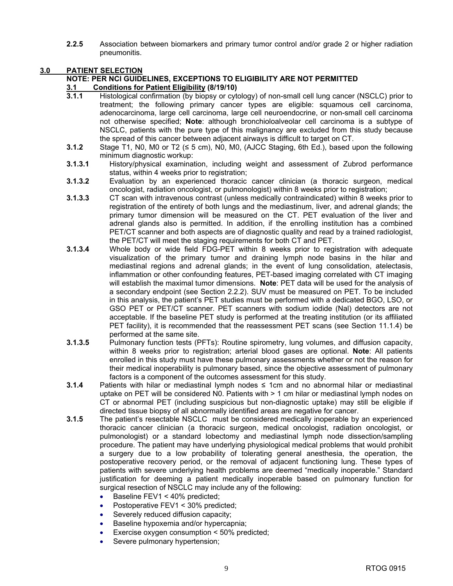**2.2.5** Association between biomarkers and primary tumor control and/or grade 2 or higher radiation pneumonitis.

#### **3.0 PATIENT SELECTION**

### **NOTE: PER NCI GUIDELINES, EXCEPTIONS TO ELIGIBILITY ARE NOT PERMITTED**

#### **3.1 Conditions for Patient Eligibility (8/19/10)**

- **3.1.1** Histological confirmation (by biopsy or cytology) of non-small cell lung cancer (NSCLC) prior to treatment; the following primary cancer types are eligible: squamous cell carcinoma, adenocarcinoma, large cell carcinoma, large cell neuroendocrine, or non-small cell carcinoma not otherwise specified; **Note**: although bronchioloalveolar cell carcinoma is a subtype of NSCLC, patients with the pure type of this malignancy are excluded from this study because the spread of this cancer between adjacent airways is difficult to target on CT.
- **3.1.2** Stage T1, N0, M0 or T2 (≤ 5 cm), N0, M0, (AJCC Staging, 6th Ed.), based upon the following minimum diagnostic workup:
- **3.1.3.1** History/physical examination, including weight and assessment of Zubrod performance status, within 4 weeks prior to registration;
- **3.1.3.2** Evaluation by an experienced thoracic cancer clinician (a thoracic surgeon, medical oncologist, radiation oncologist, or pulmonologist) within 8 weeks prior to registration;
- **3.1.3.3** CT scan with intravenous contrast (unless medically contraindicated) within 8 weeks prior to registration of the entirety of both lungs and the mediastinum, liver, and adrenal glands; the primary tumor dimension will be measured on the CT. PET evaluation of the liver and adrenal glands also is permitted. In addition, if the enrolling institution has a combined PET/CT scanner and both aspects are of diagnostic quality and read by a trained radiologist, the PET/CT will meet the staging requirements for both CT and PET.
- **3.1.3.4** Whole body or wide field FDG-PET within 8 weeks prior to registration with adequate visualization of the primary tumor and draining lymph node basins in the hilar and mediastinal regions and adrenal glands; in the event of lung consolidation, atelectasis, inflammation or other confounding features, PET-based imaging correlated with CT imaging will establish the maximal tumor dimensions. **Note**: PET data will be used for the analysis of a secondary endpoint (see Section 2.2.2). SUV must be measured on PET. To be included in this analysis, the patient's PET studies must be performed with a dedicated BGO, LSO, or GSO PET or PET/CT scanner. PET scanners with sodium iodide (Nal) detectors are not acceptable. If the baseline PET study is performed at the treating institution (or its affiliated PET facility), it is recommended that the reassessment PET scans (see Section 11.1.4) be performed at the same site.
- **3.1.3.5** Pulmonary function tests (PFTs): Routine spirometry, lung volumes, and diffusion capacity, within 8 weeks prior to registration; arterial blood gases are optional. **Note**: All patients enrolled in this study must have these pulmonary assessments whether or not the reason for their medical inoperability is pulmonary based, since the objective assessment of pulmonary factors is a component of the outcomes assessment for this study.
- **3.1.4** Patients with hilar or mediastinal lymph nodes ≤ 1cm and no abnormal hilar or mediastinal uptake on PET will be considered N0. Patients with > 1 cm hilar or mediastinal lymph nodes on CT or abnormal PET (including suspicious but non-diagnostic uptake) may still be eligible if directed tissue biopsy of all abnormally identified areas are negative for cancer.
- **3.1.5** The patient's resectable NSCLC must be considered medically inoperable by an experienced thoracic cancer clinician (a thoracic surgeon, medical oncologist, radiation oncologist, or pulmonologist) or a standard lobectomy and mediastinal lymph node dissection/sampling procedure. The patient may have underlying physiological medical problems that would prohibit a surgery due to a low probability of tolerating general anesthesia, the operation, the postoperative recovery period, or the removal of adjacent functioning lung. These types of patients with severe underlying health problems are deemed "medically inoperable." Standard justification for deeming a patient medically inoperable based on pulmonary function for surgical resection of NSCLC may include any of the following:
	- Baseline FEV1 < 40% predicted;
	- Postoperative FEV1 < 30% predicted;
	- Severely reduced diffusion capacity;
	- Baseline hypoxemia and/or hypercapnia;
	- Exercise oxygen consumption < 50% predicted;
	- Severe pulmonary hypertension;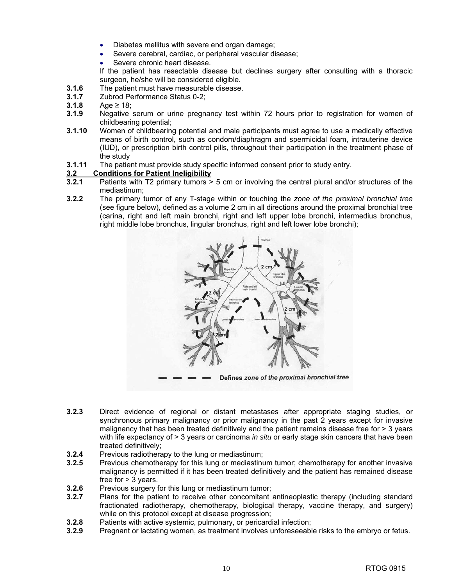- Diabetes mellitus with severe end organ damage;
- Severe cerebral, cardiac, or peripheral vascular disease;
- Severe chronic heart disease.
- If the patient has resectable disease but declines surgery after consulting with a thoracic surgeon, he/she will be considered eligible.
- **3.1.6** The patient must have measurable disease.
- **3.1.7** Zubrod Performance Status 0-2;
- **3.1.8** Age ≥ 18;
- **3.1.9** Negative serum or urine pregnancy test within 72 hours prior to registration for women of childbearing potential;
- **3.1.10** Women of childbearing potential and male participants must agree to use a medically effective means of birth control, such as condom/diaphragm and spermicidal foam, intrauterine device (IUD), or prescription birth control pills, throughout their participation in the treatment phase of the study
- **3.1.11** The patient must provide study specific informed consent prior to study entry.

#### **3.2 Conditions for Patient Ineligibility**

- **3.2.1** Patients with T2 primary tumors > 5 cm or involving the central plural and/or structures of the mediastinum;
- **3.2.2** The primary tumor of any T-stage within or touching the *zone of the proximal bronchial tree*  (see figure below), defined as a volume 2 cm in all directions around the proximal bronchial tree (carina, right and left main bronchi, right and left upper lobe bronchi, intermedius bronchus, right middle lobe bronchus, lingular bronchus, right and left lower lobe bronchi);



- **3.2.3** Direct evidence of regional or distant metastases after appropriate staging studies, or synchronous primary malignancy or prior malignancy in the past 2 years except for invasive malignancy that has been treated definitively and the patient remains disease free for  $>$  3 years with life expectancy of > 3 years or carcinoma *in situ* or early stage skin cancers that have been treated definitively;
- **3.2.4** Previous radiotherapy to the lung or mediastinum;
- **3.2.5** Previous chemotherapy for this lung or mediastinum tumor; chemotherapy for another invasive malignancy is permitted if it has been treated definitively and the patient has remained disease free for > 3 years.
- **3.2.6** Previous surgery for this lung or mediastinum tumor;<br>**3.2.7** Plans for the patient to receive other concomitant
- **3.2.7** Plans for the patient to receive other concomitant antineoplastic therapy (including standard fractionated radiotherapy, chemotherapy, biological therapy, vaccine therapy, and surgery) while on this protocol except at disease progression;
- **3.2.8** Patients with active systemic, pulmonary, or pericardial infection;<br>**3.2.9** Pregnant or lactating women, as treatment involves unforeseeable
- **3.2.9** Pregnant or lactating women, as treatment involves unforeseeable risks to the embryo or fetus.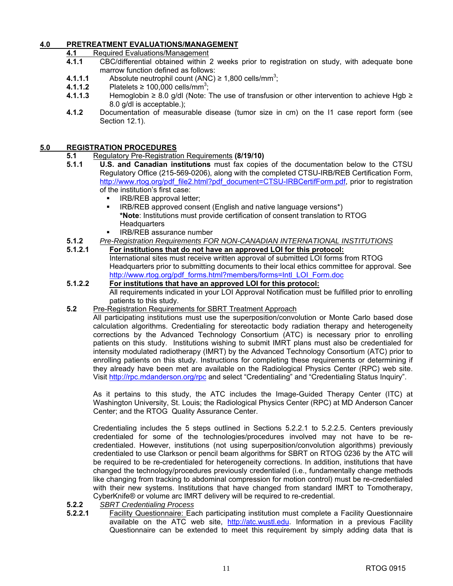#### **4.0 PRETREATMENT EVALUATIONS/MANAGEMENT**

**4.1** Required Evaluations/Management

- **4.1.1** CBC/differential obtained within 2 weeks prior to registration on study, with adequate bone marrow function defined as follows:
- **4.1.1.1** Absolute neutrophil count (ANC)  $\geq 1,800$  cells/mm<sup>3</sup>;
- **4.1.1.2** Platelets ≥ 100,000 cells/mm<sup>3</sup>;
- **4.1.1.3** Hemoglobin ≥ 8.0 g/dl (Note: The use of transfusion or other intervention to achieve Hgb ≥ 8.0 g/dl is acceptable.);
- **4.1.2** Documentation of measurable disease (tumor size in cm) on the I1 case report form (see Section 12.1).

#### **5.0 REGISTRATION PROCEDURES**

- **5.1** Regulatory Pre-Registration Requirements **(8/19/10)**
- **5.1.1 U.S. and Canadian institutions** must fax copies of the documentation below to the CTSU Regulatory Office (215-569-0206), along with the completed CTSU-IRB/REB Certification Form, [http://www.rtog.org/pdf\\_file2.html?pdf\\_document=CTSU-IRBCertifForm.pdf,](http://www.rtog.org/pdf_file2.html?pdf_document=CTSU-IRBCertifForm.pdf) prior to registration of the institution's first case:
	- IRB/REB approval letter;
	- IRB/REB approved consent (English and native language versions\*) **\*Note**: Institutions must provide certification of consent translation to RTOG **Headquarters**
	- IRB/REB assurance number
- **5.1.2** *Pre-Registration Requirements FOR NON-CANADIAN INTERNATIONAL INSTITUTIONS*
- **5.1.2.1 For institutions that do not have an approved LOI for this protocol:** International sites must receive written approval of submitted LOI forms from RTOG Headquarters prior to submitting documents to their local ethics committee for approval. See [http://www.rtog.org/pdf\\_forms.html?members/forms=Intl\\_LOI\\_Form.doc](http://www.rtog.org/pdf_forms.html?members/forms=Intl_LOI_Form.doc)

#### **5.1.2.2 For institutions that have an approved LOI for this protocol:** All requirements indicated in your LOI Approval Notification must be fulfilled prior to enrolling patients to this study.

**5.2** Pre-Registration Requirements for SBRT Treatment Approach

All participating institutions must use the superposition/convolution or Monte Carlo based dose calculation algorithms. Credentialing for stereotactic body radiation therapy and heterogeneity corrections by the Advanced Technology Consortium (ATC) is necessary prior to enrolling patients on this study. Institutions wishing to submit IMRT plans must also be credentialed for intensity modulated radiotherapy (IMRT) by the Advanced Technology Consortium (ATC) prior to enrolling patients on this study. Instructions for completing these requirements or determining if they already have been met are available on the Radiological Physics Center (RPC) web site. Visit [http://rpc.mdanderson.org/rpc an](http://rpc.mdanderson.org/rpc)d select "Credentialing" and "Credentialing Status Inquiry".

As it pertains to this study, the ATC includes the Image-Guided Therapy Center (ITC) at Washington University, St. Louis; the Radiological Physics Center (RPC) at MD Anderson Cancer Center; and the RTOG Quality Assurance Center.

Credentialing includes the 5 steps outlined in Sections 5.2.2.1 to 5.2.2.5. Centers previously credentialed for some of the technologies/procedures involved may not have to be recredentialed. However, institutions (not using superposition/convolution algorithms) previously credentialed to use Clarkson or pencil beam algorithms for SBRT on RTOG 0236 by the ATC will be required to be re-credentialed for heterogeneity corrections. In addition, institutions that have changed the technology/procedures previously credentialed (i.e., fundamentally change methods like changing from tracking to abdominal compression for motion control) must be re-credentialed with their new systems. Institutions that have changed from standard IMRT to Tomotherapy, CyberKnife® or volume arc IMRT delivery will be required to re-credential.

- **5.2.2** *SBRT Credentialing Process*
- **5.2.2.1** Facility Questionnaire: Each participating institution must complete a Facility Questionnaire available on the ATC web site, [http://atc.wustl.edu.](http://atc.wustl.edu) Information in a previous Facility Questionnaire can be extended to meet this requirement by simply adding data that is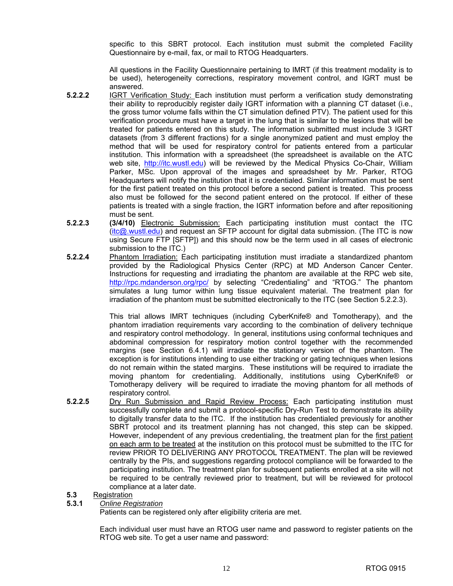specific to this SBRT protocol. Each institution must submit the completed Facility Questionnaire by e-mail, fax, or mail to RTOG Headquarters.

All questions in the Facility Questionnaire pertaining to IMRT (if this treatment modality is to be used), heterogeneity corrections, respiratory movement control, and IGRT must be answered.

- **5.2.2.2** IGRT Verification Study: Each institution must perform a verification study demonstrating their ability to reproducibly register daily IGRT information with a planning CT dataset (i.e., the gross tumor volume falls within the CT simulation defined PTV). The patient used for this verification procedure must have a target in the lung that is similar to the lesions that will be treated for patients entered on this study. The information submitted must include 3 IGRT datasets (from 3 different fractions) for a single anonymized patient and must employ the method that will be used for respiratory control for patients entered from a particular institution. This information with a spreadsheet (the spreadsheet is available on the ATC web site, [http://itc.wustl.edu\)](http://itc.wustl.edu) will be reviewed by the Medical Physics Co-Chair, William Parker, MSc. Upon approval of the images and spreadsheet by Mr. Parker, RTOG Headquarters will notify the institution that it is credentialed. Similar information must be sent for the first patient treated on this protocol before a second patient is treated. This process also must be followed for the second patient entered on the protocol. If either of these patients is treated with a single fraction, the IGRT information before and after repositioning must be sent.
- **5.2.2.3** (3/4/10) **Electronic Submission:** Each participating institution must contact the ITC (itc@.wustl.edu) and request an SFTP account for digital data submission. (The ITC is now using Secure FTP [SFTP]) and this should now be the term used in all cases of electronic submission to the ITC.)
- **5.2.2.4** Phantom Irradiation: Each participating institution must irradiate a standardized phantom provided by the Radiological Physics Center (RPC) at MD Anderson Cancer Center. Instructions for requesting and irradiating the phantom are available at the RPC web site, [http://rpc.mdanderson.org/rpc/](http://rpc.mdanderson.org/rpc) by selecting "Credentialing" and "RTOG." The phantom simulates a lung tumor within lung tissue equivalent material. The treatment plan for irradiation of the phantom must be submitted electronically to the ITC (see Section 5.2.2.3).

This trial allows IMRT techniques (including CyberKnife® and Tomotherapy), and the phantom irradiation requirements vary according to the combination of delivery technique and respiratory control methodology. In general, institutions using conformal techniques and abdominal compression for respiratory motion control together with the recommended margins (see Section 6.4.1) will irradiate the stationary version of the phantom. The exception is for institutions intending to use either tracking or gating techniques when lesions do not remain within the stated margins. These institutions will be required to irradiate the moving phantom for credentialing. Additionally, institutions using CyberKnife® or Tomotherapy delivery will be required to irradiate the moving phantom for all methods of respiratory control.

**5.2.2.5** Dry Run Submission and Rapid Review Process: Each participating institution must successfully complete and submit a protocol-specific Dry-Run Test to demonstrate its ability to digitally transfer data to the ITC. If the institution has credentialed previously for another SBRT protocol and its treatment planning has not changed, this step can be skipped. However, independent of any previous credentialing, the treatment plan for the first patient on each arm to be treated at the institution on this protocol must be submitted to the ITC for review PRIOR TO DELIVERING ANY PROTOCOL TREATMENT. The plan will be reviewed centrally by the PIs, and suggestions regarding protocol compliance will be forwarded to the participating institution. The treatment plan for subsequent patients enrolled at a site will not be required to be centrally reviewed prior to treatment, but will be reviewed for protocol compliance at a later date.

#### **5.3** Registration

#### **5.3.1** *Online Registration*

Patients can be registered only after eligibility criteria are met.

 Each individual user must have an RTOG user name and password to register patients on the RTOG web site. To get a user name and password: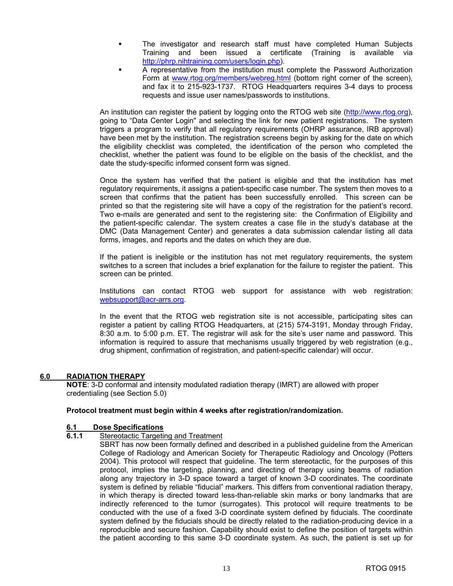- The investigator and research staff must have completed Human Subjects Training and been issued a certificate (Training is available via [http://phrp.nihtraining.com/users/login.php\).](http://phrp.nihtraining.com/users/login.php)
- A representative from the institution must complete the Password Authorization Form at [www.rtog.org/members/webreg.html \(b](http://www.rtog.org/members/webreg.html)ottom right corner of the screen), and fax it to 215-923-1737. RTOG Headquarters requires 3-4 days to process requests and issue user names/passwords to institutions.

 An institution can register the patient by logging onto the RTOG web site [\(http://www.rtog.org\),](http://www.rtog.org)  going to "Data Center Login" and selecting the link for new patient registrations. The system triggers a program to verify that all regulatory requirements (OHRP assurance, IRB approval) have been met by the institution. The registration screens begin by asking for the date on which the eligibility checklist was completed, the identification of the person who completed the checklist, whether the patient was found to be eligible on the basis of the checklist, and the date the study-specific informed consent form was signed.

 Once the system has verified that the patient is eligible and that the institution has met regulatory requirements, it assigns a patient-specific case number. The system then moves to a screen that confirms that the patient has been successfully enrolled. This screen can be printed so that the registering site will have a copy of the registration for the patient's record. Two e-mails are generated and sent to the registering site: the Confirmation of Eligibility and the patient-specific calendar. The system creates a case file in the study's database at the DMC (Data Management Center) and generates a data submission calendar listing all data forms, images, and reports and the dates on which they are due.

 If the patient is ineligible or the institution has not met regulatory requirements, the system switches to a screen that includes a brief explanation for the failure to register the patient. This screen can be printed.

 Institutions can contact RTOG web support for assistance with web registration: [websupport@acr-arrs.org.](mailto:websupport@acr-arrs.org)

 In the event that the RTOG web registration site is not accessible, participating sites can register a patient by calling RTOG Headquarters, at (215) 574-3191, Monday through Friday, 8:30 a.m. to 5:00 p.m. ET. The registrar will ask for the site's user name and password. This information is required to assure that mechanisms usually triggered by web registration (e.g., drug shipment, confirmation of registration, and patient-specific calendar) will occur.

#### **6.0 RADIATION THERAPY**

**NOTE**: 3-D conformal and intensity modulated radiation therapy (IMRT) are allowed with proper credentialing (see Section 5.0)

#### **Protocol treatment must begin within 4 weeks after registration/randomization.**

### **6.1 Dose Specifications**

- **Stereotactic Targeting and Treatment** 
	- SBRT has now been formally defined and described in a published guideline from the American College of Radiology and American Society for Therapeutic Radiology and Oncology (Potters 2004). This protocol will respect that guideline. The term stereotactic, for the purposes of this protocol, implies the targeting, planning, and directing of therapy using beams of radiation along any trajectory in 3-D space toward a target of known 3-D coordinates. The coordinate system is defined by reliable "fiducial" markers. This differs from conventional radiation therapy, in which therapy is directed toward less-than-reliable skin marks or bony landmarks that are indirectly referenced to the tumor (surrogates). This protocol will require treatments to be conducted with the use of a fixed 3-D coordinate system defined by fiducials. The coordinate system defined by the fiducials should be directly related to the radiation-producing device in a reproducible and secure fashion. Capability should exist to define the position of targets within the patient according to this same 3-D coordinate system. As such, the patient is set up for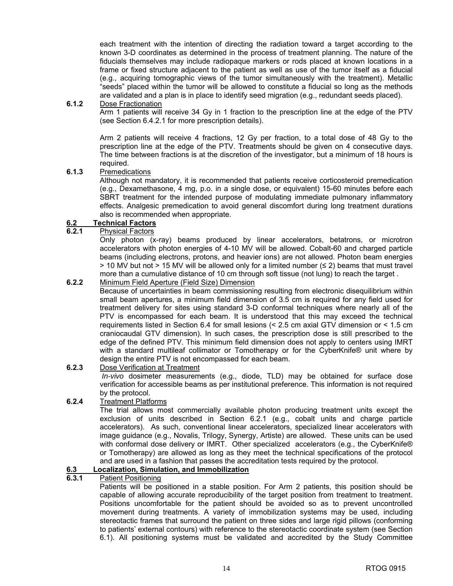each treatment with the intention of directing the radiation toward a target according to the known 3-D coordinates as determined in the process of treatment planning. The nature of the fiducials themselves may include radiopaque markers or rods placed at known locations in a frame or fixed structure adjacent to the patient as well as use of the tumor itself as a fiducial (e.g., acquiring tomographic views of the tumor simultaneously with the treatment). Metallic "seeds" placed within the tumor will be allowed to constitute a fiducial so long as the methods are validated and a plan is in place to identify seed migration (e.g., redundant seeds placed).

#### **6.1.2** Dose Fractionation

Arm 1 patients will receive 34 Gy in 1 fraction to the prescription line at the edge of the PTV (see Section 6.4.2.1 for more prescription details).

Arm 2 patients will receive 4 fractions, 12 Gy per fraction, to a total dose of 48 Gy to the prescription line at the edge of the PTV. Treatments should be given on 4 consecutive days. The time between fractions is at the discretion of the investigator, but a minimum of 18 hours is required.

#### **6.1.3** Premedications

Although not mandatory, it is recommended that patients receive corticosteroid premedication (e.g., Dexamethasone, 4 mg, p.o. in a single dose, or equivalent) 15-60 minutes before each SBRT treatment for the intended purpose of modulating immediate pulmonary inflammatory effects. Analgesic premedication to avoid general discomfort during long treatment durations also is recommended when appropriate.

#### **6.2 Technical Factors**

#### **6.2.1** Physical Factors

Only photon (x-ray) beams produced by linear accelerators, betatrons, or microtron accelerators with photon energies of 4-10 MV will be allowed. Cobalt-60 and charged particle beams (including electrons, protons, and heavier ions) are not allowed. Photon beam energies  $>$  10 MV but not  $>$  15 MV will be allowed only for a limited number ( $\leq$  2) beams that must travel more than a cumulative distance of 10 cm through soft tissue (not lung) to reach the target .

#### **6.2.2** Minimum Field Aperture (Field Size) Dimension

Because of uncertainties in beam commissioning resulting from electronic disequilibrium within small beam apertures, a minimum field dimension of 3.5 cm is required for any field used for treatment delivery for sites using standard 3-D conformal techniques where nearly all of the PTV is encompassed for each beam. It is understood that this may exceed the technical requirements listed in Section 6.4 for small lesions (< 2.5 cm axial GTV dimension or < 1.5 cm craniocaudal GTV dimension). In such cases, the prescription dose is still prescribed to the edge of the defined PTV. This minimum field dimension does not apply to centers using IMRT with a standard multileaf collimator or Tomotherapy or for the CyberKnife® unit where by design the entire PTV is not encompassed for each beam.

#### **6.2.3** Dose Verification at Treatment

*In-vivo* dosimeter measurements (e.g., diode, TLD) may be obtained for surface dose verification for accessible beams as per institutional preference. This information is not required by the protocol.

#### **6.2.4** Treatment Platforms

The trial allows most commercially available photon producing treatment units except the exclusion of units described in Section 6.2.1 (e.g., cobalt units and charge particle accelerators). As such, conventional linear accelerators, specialized linear accelerators with image guidance (e.g., Novalis, Trilogy, Synergy, Artiste) are allowed. These units can be used with conformal dose delivery or IMRT. Other specialized accelerators (e.g., the CyberKnife® or Tomotherapy) are allowed as long as they meet the technical specifications of the protocol and are used in a fashion that passes the accreditation tests required by the protocol.

#### **6.3 Localization, Simulation, and Immobilization**

#### **6.3.1** Patient Positioning

Patients will be positioned in a stable position. For Arm 2 patients, this position should be capable of allowing accurate reproducibility of the target position from treatment to treatment. Positions uncomfortable for the patient should be avoided so as to prevent uncontrolled movement during treatments. A variety of immobilization systems may be used, including stereotactic frames that surround the patient on three sides and large rigid pillows (conforming to patients' external contours) with reference to the stereotactic coordinate system (see Section 6.1). All positioning systems must be validated and accredited by the Study Committee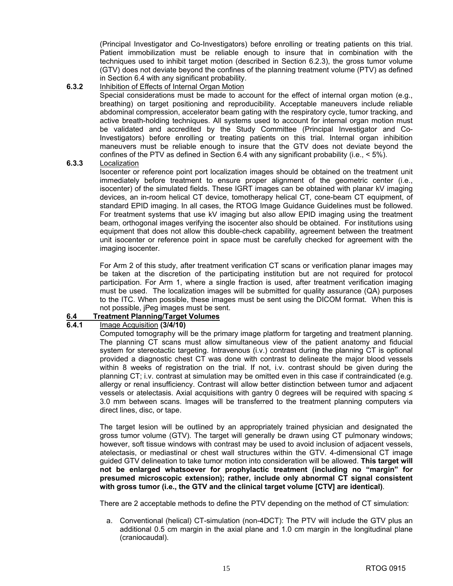(Principal Investigator and Co-Investigators) before enrolling or treating patients on this trial. Patient immobilization must be reliable enough to insure that in combination with the techniques used to inhibit target motion (described in Section 6.2.3), the gross tumor volume (GTV) does not deviate beyond the confines of the planning treatment volume (PTV) as defined in Section 6.4 with any significant probability.

#### **6.3.2** Inhibition of Effects of Internal Organ Motion

Special considerations must be made to account for the effect of internal organ motion (e.g., breathing) on target positioning and reproducibility. Acceptable maneuvers include reliable abdominal compression, accelerator beam gating with the respiratory cycle, tumor tracking, and active breath-holding techniques. All systems used to account for internal organ motion must be validated and accredited by the Study Committee (Principal Investigator and Co-Investigators) before enrolling or treating patients on this trial. Internal organ inhibition maneuvers must be reliable enough to insure that the GTV does not deviate beyond the confines of the PTV as defined in Section 6.4 with any significant probability (i.e.,  $\leq 5\%$ ).

#### **6.3.3** Localization

Isocenter or reference point port localization images should be obtained on the treatment unit immediately before treatment to ensure proper alignment of the geometric center (i.e., isocenter) of the simulated fields. These IGRT images can be obtained with planar kV imaging devices, an in-room helical CT device, tomotherapy helical CT, cone-beam CT equipment, of standard EPID imaging. In all cases, the RTOG Image Guidance Guidelines must be followed. For treatment systems that use kV imaging but also allow EPID imaging using the treatment beam, orthogonal images verifying the isocenter also should be obtained. For institutions using equipment that does not allow this double-check capability, agreement between the treatment unit isocenter or reference point in space must be carefully checked for agreement with the imaging isocenter.

For Arm 2 of this study, after treatment verification CT scans or verification planar images may be taken at the discretion of the participating institution but are not required for protocol participation. For Arm 1, where a single fraction is used, after treatment verification imaging must be used. The localization images will be submitted for quality assurance (QA) purposes to the ITC. When possible, these images must be sent using the DICOM format. When this is not possible, jPeg images must be sent.

#### **6.4 Treatment Planning/Target Volumes**

#### **6.4.1** Image Acquisition **(3/4/10)**

Computed tomography will be the primary image platform for targeting and treatment planning. The planning CT scans must allow simultaneous view of the patient anatomy and fiducial system for stereotactic targeting. Intravenous (i.v.) contrast during the planning CT is optional provided a diagnostic chest CT was done with contrast to delineate the major blood vessels within 8 weeks of registration on the trial. If not, i.v. contrast should be given during the planning CT; i.v. contrast at simulation may be omitted even in this case if contraindicated (e.g. allergy or renal insufficiency. Contrast will allow better distinction between tumor and adjacent vessels or atelectasis. Axial acquisitions with gantry 0 degrees will be required with spacing ≤ 3.0 mm between scans. Images will be transferred to the treatment planning computers via direct lines, disc, or tape.

The target lesion will be outlined by an appropriately trained physician and designated the gross tumor volume (GTV). The target will generally be drawn using CT pulmonary windows; however, soft tissue windows with contrast may be used to avoid inclusion of adjacent vessels, atelectasis, or mediastinal or chest wall structures within the GTV. 4-dimensional CT image guided GTV delineation to take tumor motion into consideration will be allowed. **This target will not be enlarged whatsoever for prophylactic treatment (including no "margin" for presumed microscopic extension); rather, include only abnormal CT signal consistent with gross tumor (i.e., the GTV and the clinical target volume [CTV] are identical)**.

There are 2 acceptable methods to define the PTV depending on the method of CT simulation:

a. Conventional (helical) CT-simulation (non-4DCT): The PTV will include the GTV plus an additional 0.5 cm margin in the axial plane and 1.0 cm margin in the longitudinal plane (craniocaudal).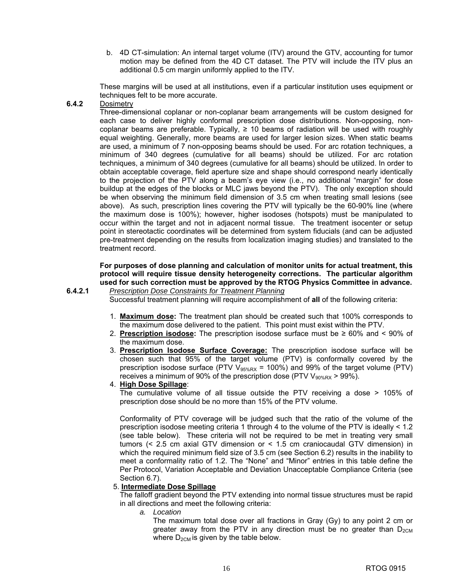b. 4D CT-simulation: An internal target volume (ITV) around the GTV, accounting for tumor motion may be defined from the 4D CT dataset. The PTV will include the ITV plus an additional 0.5 cm margin uniformly applied to the ITV.

These margins will be used at all institutions, even if a particular institution uses equipment or techniques felt to be more accurate.

**6.4.2** Dosimetry

Three-dimensional coplanar or non-coplanar beam arrangements will be custom designed for each case to deliver highly conformal prescription dose distributions. Non-opposing, noncoplanar beams are preferable. Typically,  $\geq 10$  beams of radiation will be used with roughly equal weighting. Generally, more beams are used for larger lesion sizes. When static beams are used, a minimum of 7 non-opposing beams should be used. For arc rotation techniques, a minimum of 340 degrees (cumulative for all beams) should be utilized. For arc rotation techniques, a minimum of 340 degrees (cumulative for all beams) should be utilized. In order to obtain acceptable coverage, field aperture size and shape should correspond nearly identically to the projection of the PTV along a beam's eye view (i.e., no additional "margin" for dose buildup at the edges of the blocks or MLC jaws beyond the PTV). The only exception should be when observing the minimum field dimension of 3.5 cm when treating small lesions (see above). As such, prescription lines covering the PTV will typically be the 60-90% line (where the maximum dose is 100%); however, higher isodoses (hotspots) must be manipulated to occur within the target and not in adjacent normal tissue. The treatment isocenter or setup point in stereotactic coordinates will be determined from system fiducials (and can be adjusted pre-treatment depending on the results from localization imaging studies) and translated to the treatment record.

#### **For purposes of dose planning and calculation of monitor units for actual treatment, this protocol will require tissue density heterogeneity corrections. The particular algorithm used for such correction must be approved by the RTOG Physics Committee in advance.**

**6.4.2.1** *Prescription Dose Constraints for Treatment Planning*

Successful treatment planning will require accomplishment of **all** of the following criteria:

- 1. **Maximum dose:** The treatment plan should be created such that 100% corresponds to the maximum dose delivered to the patient. This point must exist within the PTV.
- 2. **Prescription isodose:** The prescription isodose surface must be ≥ 60% and < 90% of the maximum dose.
- 3. **Prescription Isodose Surface Coverage:** The prescription isodose surface will be chosen such that 95% of the target volume (PTV) is conformally covered by the prescription isodose surface (PTV  $V_{95\%RX}$  = 100%) and 99% of the target volume (PTV) receives a minimum of 90% of the prescription dose (PTV  $V_{90\%RX}$  > 99%).
- 4. **High Dose Spillage**:

The cumulative volume of all tissue outside the PTV receiving a dose > 105% of prescription dose should be no more than 15% of the PTV volume.

Conformality of PTV coverage will be judged such that the ratio of the volume of the prescription isodose meeting criteria 1 through 4 to the volume of the PTV is ideally < 1.2 (see table below). These criteria will not be required to be met in treating very small tumors (< 2.5 cm axial GTV dimension or < 1.5 cm craniocaudal GTV dimension) in which the required minimum field size of 3.5 cm (see Section 6.2) results in the inability to meet a conformality ratio of 1.2. The "None" and "Minor" entries in this table define the Per Protocol, Variation Acceptable and Deviation Unacceptable Compliance Criteria (see Section 6.7).

#### 5. **Intermediate Dose Spillage**

The falloff gradient beyond the PTV extending into normal tissue structures must be rapid in all directions and meet the following criteria:

*a. Location* 

The maximum total dose over all fractions in Gray (Gy) to any point 2 cm or greater away from the PTV in any direction must be no greater than  $D_{2CM}$ where  $D_{2CM}$  is given by the table below.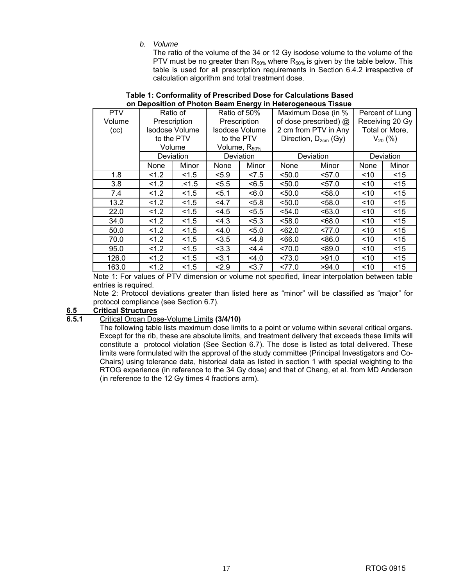*b. Volume* 

The ratio of the volume of the 34 or 12 Gy isodose volume to the volume of the PTV must be no greater than  $R_{50\%}$  where  $R_{50\%}$  is given by the table below. This table is used for all prescription requirements in Section 6.4.2 irrespective of calculation algorithm and total treatment dose.

|            | <u>UIT Deposition OFFICION Dealit Energy III Heterogeneous Tissue</u> |                       |              |                          |                       |                                  |                 |                |
|------------|-----------------------------------------------------------------------|-----------------------|--------------|--------------------------|-----------------------|----------------------------------|-----------------|----------------|
| <b>PTV</b> | Ratio of                                                              |                       | Ratio of 50% |                          | Maximum Dose (in %    |                                  | Percent of Lung |                |
| Volume     | Prescription                                                          |                       | Prescription |                          | of dose prescribed) @ |                                  | Receiving 20 Gy |                |
| (cc)       |                                                                       | <b>Isodose Volume</b> |              | <b>Isodose Volume</b>    |                       | 2 cm from PTV in Any             |                 | Total or More, |
|            |                                                                       | to the PTV            |              | to the PTV               |                       | Direction, D <sub>2cm</sub> (Gy) |                 | $V_{20}$ (%)   |
|            |                                                                       | Volume                |              | Volume, R <sub>50%</sub> |                       |                                  |                 |                |
|            |                                                                       | Deviation             |              | Deviation                |                       | Deviation                        | Deviation       |                |
|            | None                                                                  | Minor                 | None         | Minor                    | None                  | Minor                            | None            | Minor          |
| 1.8        | 1.2                                                                   | 1.5                   | < 5.9        | 27.5                     | $50.0$                | < 57.0                           | ~10             | $<$ 15         |
| 3.8        | 1.2                                                                   | .15                   | < 5.5        | < 6.5                    | < 50.0                | $<$ 57.0                         | ~10             | $<$ 15         |
| 7.4        | 1.2                                                                   | < 1.5                 | 5.1          | 5.0                      | < 50.0                | < 58.0                           | ~10             | $<$ 15         |
| 13.2       | 1.2                                                                   | 1.5                   | 4.7          | < 5.8                    | < 50.0                | < 58.0                           | ~10             | $<$ 15         |
| 22.0       | 1.2                                                                   | 1.5                   | < 4.5        | < 5.5                    | < 54.0                | < 63.0                           | ~10             | $<$ 15         |
| 34.0       | 1.2                                                                   | 1.5                   | 4.3          | < 5.3                    | < 58.0                | <68.0                            | ~10             | < 15           |
| 50.0       | 1.2                                                                   | 1.5                   | 4.0          | 5.0                      | < 62.0                | 277.0                            | ~10             | $<$ 15         |
| 70.0       | 1.2                                                                   | 1.5                   | < 3.5        | 4.8                      | 566.0                 | < 86.0                           | ~10             | $<$ 15         |
| 95.0       | 1.2                                                                   | 1.5                   | < 3.3        | 4.4                      | ~1470.0               | < 89.0                           | ~10             | $<$ 15         |
| 126.0      | 1.2                                                                   | 1.5                   | 3.1          | 4.0                      | < 73.0                | >91.0                            | ~10             | $<$ 15         |
| 163.0      | 1.2                                                                   | 1.5                   | 2.9          | 3.7                      | 277.0                 | >94.0                            | ~10             | $<$ 15         |

#### **Table 1: Conformality of Prescribed Dose for Calculations Based on Deposition of Photon Beam Energy in Heterogeneous Tissue**

Note 1: For values of PTV dimension or volume not specified, linear interpolation between table entries is required.

Note 2: Protocol deviations greater than listed here as "minor" will be classified as "major" for protocol compliance (see Section 6.7).

#### **6.5 Critical Structures**

#### **6.5.1** Critical Organ Dose-Volume Limits **(3/4/10)**

The following table lists maximum dose limits to a point or volume within several critical organs. Except for the rib, these are absolute limits, and treatment delivery that exceeds these limits will constitute a protocol violation (See Section 6.7). The dose is listed as total delivered. These limits were formulated with the approval of the study committee (Principal Investigators and Co-Chairs) using tolerance data, historical data as listed in section 1 with special weighting to the RTOG experience (in reference to the 34 Gy dose) and that of Chang, et al. from MD Anderson (in reference to the 12 Gy times 4 fractions arm).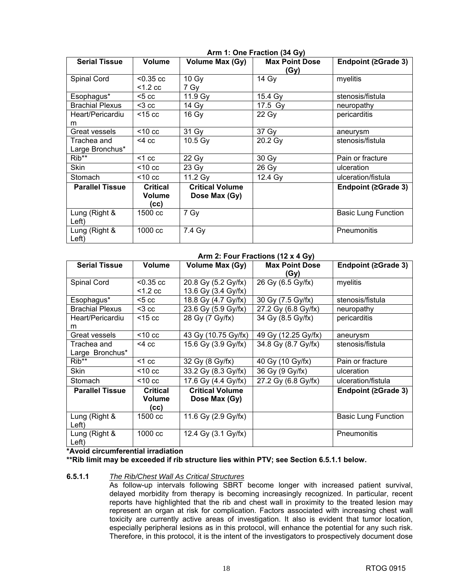|                                |                                          |                                         | $A$ $\cdots$ $B$ $B$ $C$ $D$ $D$ $E$ $D$ $D$ $E$ |                            |
|--------------------------------|------------------------------------------|-----------------------------------------|--------------------------------------------------|----------------------------|
| <b>Serial Tissue</b>           | Volume                                   | Volume Max (Gy)                         | <b>Max Point Dose</b><br>(Gy)                    | Endpoint (≥Grade 3)        |
| Spinal Cord                    | $< 0.35 \text{ cc}$<br>$<$ 1.2 cc        | 10 Gy<br>7 Gy                           | 14 Gy                                            | myelitis                   |
|                                |                                          |                                         |                                                  |                            |
| Esophagus*                     | <5 cc                                    | 11.9 Gy                                 | 15.4 Gy                                          | stenosis/fistula           |
| <b>Brachial Plexus</b>         | $3 cc$                                   | 14 Gy                                   | 17.5 Gy                                          | neuropathy                 |
| Heart/Pericardiu<br>m          | $<$ 15 $<$ cc                            | 16 Gy                                   | 22 Gy                                            | pericarditis               |
| Great vessels                  | $<$ 10 $<$ cc                            | 31 Gy                                   | 37 Gy                                            | aneurysm                   |
| Trachea and<br>Large Bronchus* | $<$ 4 $<$ $<$                            | 10.5 Gy                                 | 20.2 Gy                                          | stenosis/fistula           |
| Rib**                          | $<$ 1 cc                                 | 22 Gy                                   | 30 Gy                                            | Pain or fracture           |
| Skin                           | $<$ 10 cc                                | 23 Gy                                   | 26 Gy                                            | ulceration                 |
| Stomach                        | $<$ 10 $<$ cc                            | 11.2 Gy                                 | 12.4 Gy                                          | ulceration/fistula         |
| <b>Parallel Tissue</b>         | <b>Critical</b><br><b>Volume</b><br>(CC) | <b>Critical Volume</b><br>Dose Max (Gy) |                                                  | Endpoint (≥Grade 3)        |
| Lung (Right &<br>Left)         | 1500 cc                                  | 7 Gy                                    |                                                  | <b>Basic Lung Function</b> |
| Lung (Right &<br>Left)         | 1000 cc                                  | 7.4 Gy                                  |                                                  | Pneumonitis                |

**Arm 1: One Fraction (34 Gy)** 

#### **Arm 2: Four Fractions (12 x 4 Gy)**

| <b>Serial Tissue</b>   | <b>Volume</b>             | <b>Volume Max (Gy)</b> | <b>Max Point Dose</b> | Endpoint (≥Grade 3)        |
|------------------------|---------------------------|------------------------|-----------------------|----------------------------|
|                        |                           |                        | (Gy)                  |                            |
| Spinal Cord            | $< 0.35 \text{ cc}$       | 20.8 Gy (5.2 Gy/fx)    | 26 Gy (6.5 Gy/fx)     | myelitis                   |
|                        | $<$ 1.2 cc                | 13.6 Gy (3.4 Gy/fx)    |                       |                            |
| Esophagus*             | $<$ 5 $<$ $\circ$ $\circ$ | 18.8 Gy (4.7 Gy/fx)    | 30 Gy (7.5 Gy/fx)     | stenosis/fistula           |
| <b>Brachial Plexus</b> | $3 cc$                    | 23.6 Gy (5.9 Gy/fx)    | 27.2 Gy (6.8 Gy/fx)   | neuropathy                 |
| Heart/Pericardiu       | $<$ 15 $<$ cc             | 28 Gy (7 Gy/fx)        | 34 Gy (8.5 Gy/fx)     | pericarditis               |
| m                      |                           |                        |                       |                            |
| Great vessels          | $<$ 10 $<$ cc             | 43 Gy (10.75 Gy/fx)    | 49 Gy (12.25 Gy/fx)   | aneurysm                   |
| Trachea and            | $<$ 4 $<$ c $<$           | 15.6 Gy (3.9 Gy/fx)    | 34.8 Gy (8.7 Gy/fx)   | stenosis/fistula           |
| Large Bronchus*        |                           |                        |                       |                            |
| Rib**                  | $<$ 1 cc                  | 32 Gy (8 Gy/fx)        | 40 Gy (10 Gy/fx)      | Pain or fracture           |
| Skin                   | $10 \text{ cc}$           | 33.2 Gy (8.3 Gy/fx)    | 36 Gy (9 Gy/fx)       | ulceration                 |
| Stomach                | $<$ 10 $<$ cc             | 17.6 Gy (4.4 Gy/fx)    | 27.2 Gy (6.8 Gy/fx)   | ulceration/fistula         |
| <b>Parallel Tissue</b> | <b>Critical</b>           | <b>Critical Volume</b> |                       | Endpoint (≥Grade 3)        |
|                        | Volume                    | Dose Max (Gy)          |                       |                            |
|                        | (cc)                      |                        |                       |                            |
| Lung (Right &          | 1500 cc                   | 11.6 Gy (2.9 Gy/fx)    |                       | <b>Basic Lung Function</b> |
| Left)                  |                           |                        |                       |                            |
| Lung (Right &          | 1000 cc                   | 12.4 Gy (3.1 Gy/fx)    |                       | Pneumonitis                |
| Left)                  |                           |                        |                       |                            |

#### **\*Avoid circumferential irradiation**

#### **\*\*Rib limit may be exceeded if rib structure lies within PTV; see Section 6.5.1.1 below.**

#### **6.5.1.1** *The Rib/Chest Wall As Critical Structures*

As follow-up intervals following SBRT become longer with increased patient survival, delayed morbidity from therapy is becoming increasingly recognized. In particular, recent reports have highlighted that the rib and chest wall in proximity to the treated lesion may represent an organ at risk for complication. Factors associated with increasing chest wall toxicity are currently active areas of investigation. It also is evident that tumor location, especially peripheral lesions as in this protocol, will enhance the potential for any such risk. Therefore, in this protocol, it is the intent of the investigators to prospectively document dose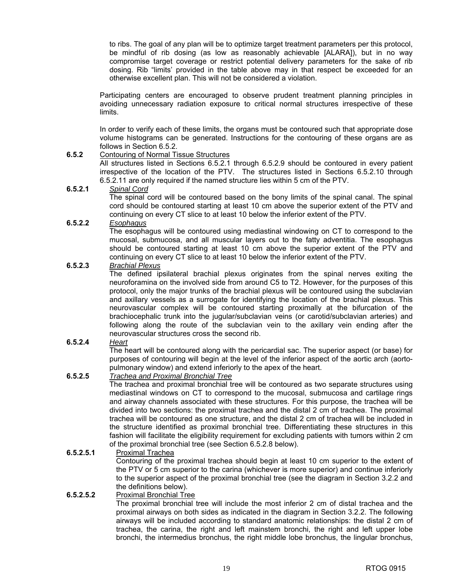to ribs. The goal of any plan will be to optimize target treatment parameters per this protocol, be mindful of rib dosing (as low as reasonably achievable [ALARA]), but in no way compromise target coverage or restrict potential delivery parameters for the sake of rib dosing. Rib "limits' provided in the table above may in that respect be exceeded for an otherwise excellent plan. This will not be considered a violation.

Participating centers are encouraged to observe prudent treatment planning principles in avoiding unnecessary radiation exposure to critical normal structures irrespective of these limits.

In order to verify each of these limits, the organs must be contoured such that appropriate dose volume histograms can be generated. Instructions for the contouring of these organs are as follows in Section 6.5.2.

#### **6.5.2** Contouring of Normal Tissue Structures

 All structures listed in Sections 6.5.2.1 through 6.5.2.9 should be contoured in every patient irrespective of the location of the PTV. The structures listed in Sections 6.5.2.10 through 6.5.2.11 are only required if the named structure lies within 5 cm of the PTV.

#### **6.5.2.1** *Spinal Cord*

The spinal cord will be contoured based on the bony limits of the spinal canal. The spinal cord should be contoured starting at least 10 cm above the superior extent of the PTV and continuing on every CT slice to at least 10 below the inferior extent of the PTV.

#### **6.5.2.2** *Esophagus*

The esophagus will be contoured using mediastinal windowing on CT to correspond to the mucosal, submucosa, and all muscular layers out to the fatty adventitia. The esophagus should be contoured starting at least 10 cm above the superior extent of the PTV and continuing on every CT slice to at least 10 below the inferior extent of the PTV.

#### **6.5.2.3** *Brachial Plexus*

The defined ipsilateral brachial plexus originates from the spinal nerves exiting the neuroforamina on the involved side from around C5 to T2. However, for the purposes of this protocol, only the major trunks of the brachial plexus will be contoured using the subclavian and axillary vessels as a surrogate for identifying the location of the brachial plexus. This neurovascular complex will be contoured starting proximally at the bifurcation of the brachiocephalic trunk into the jugular/subclavian veins (or carotid/subclavian arteries) and following along the route of the subclavian vein to the axillary vein ending after the neurovascular structures cross the second rib.

#### **6.5.2.4** *Heart*

The heart will be contoured along with the pericardial sac. The superior aspect (or base) for purposes of contouring will begin at the level of the inferior aspect of the aortic arch (aortopulmonary window) and extend inferiorly to the apex of the heart.

#### **6.5.2.5** *Trachea and Proximal Bronchial Tree*

The trachea and proximal bronchial tree will be contoured as two separate structures using mediastinal windows on CT to correspond to the mucosal, submucosa and cartilage rings and airway channels associated with these structures. For this purpose, the trachea will be divided into two sections: the proximal trachea and the distal 2 cm of trachea. The proximal trachea will be contoured as one structure, and the distal 2 cm of trachea will be included in the structure identified as proximal bronchial tree. Differentiating these structures in this fashion will facilitate the eligibility requirement for excluding patients with tumors within 2 cm of the proximal bronchial tree (see Section 6.5.2.8 below).

#### **6.5.2.5.1** Proximal Trachea

Contouring of the proximal trachea should begin at least 10 cm superior to the extent of the PTV or 5 cm superior to the carina (whichever is more superior) and continue inferiorly to the superior aspect of the proximal bronchial tree (see the diagram in Section 3.2.2 and the definitions below).

#### **6.5.2.5.2** Proximal Bronchial Tree

The proximal bronchial tree will include the most inferior 2 cm of distal trachea and the proximal airways on both sides as indicated in the diagram in Section 3.2.2. The following airways will be included according to standard anatomic relationships: the distal 2 cm of trachea, the carina, the right and left mainstem bronchi, the right and left upper lobe bronchi, the intermedius bronchus, the right middle lobe bronchus, the lingular bronchus,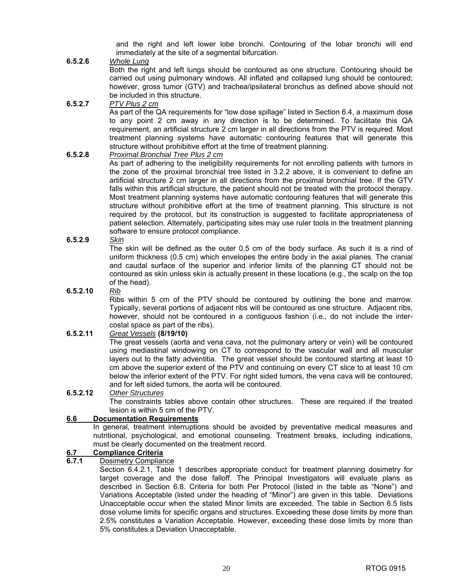and the right and left lower lobe bronchi. Contouring of the lobar bronchi will end immediately at the site of a segmental bifurcation.

#### **6.5.2.6** *Whole Lung*

Both the right and left lungs should be contoured as one structure. Contouring should be carried out using pulmonary windows. All inflated and collapsed lung should be contoured; however, gross tumor (GTV) and trachea/ipsilateral bronchus as defined above should not be included in this structure.

#### **6.5.2.7** *PTV Plus 2 cm*

As part of the QA requirements for "low dose spillage" listed in Section 6.4, a maximum dose to any point 2 cm away in any direction is to be determined. To facilitate this QA requirement, an artificial structure 2 cm larger in all directions from the PTV is required. Most treatment planning systems have automatic contouring features that will generate this structure without prohibitive effort at the time of treatment planning.

#### **6.5.2.8** *Proximal Bronchial Tree Plus 2 cm*

As part of adhering to the ineligibility requirements for not enrolling patients with tumors in the zone of the proximal bronchial tree listed in 3.2.2 above, it is convenient to define an artificial structure 2 cm larger in all directions from the proximal bronchial tree. If the GTV falls within this artificial structure, the patient should not be treated with the protocol therapy. Most treatment planning systems have automatic contouring features that will generate this structure without prohibitive effort at the time of treatment planning. This structure is not required by the protocol, but its construction is suggested to facilitate appropriateness of patient selection. Alternately, participating sites may use ruler tools in the treatment planning software to ensure protocol compliance.

#### **6.5.2.9** *Skin*

The skin will be defined as the outer 0.5 cm of the body surface. As such it is a rind of uniform thickness (0.5 cm) which envelopes the entire body in the axial planes. The cranial and caudal surface of the superior and inferior limits of the planning CT should not be contoured as skin unless skin is actually present in these locations (e.g., the scalp on the top of the head).

#### **6.5.2.10** *Rib*

Ribs within 5 cm of the PTV should be contoured by outlining the bone and marrow. Typically, several portions of adjacent ribs will be contoured as one structure. Adjacent ribs, however, should not be contoured in a contiguous fashion (i.e., do not include the intercostal space as part of the ribs).

#### **6.5.2.11** *Great Vessels* **(8/19/10)**

The great vessels (aorta and vena cava, not the pulmonary artery or vein) will be contoured using mediastinal windowing on CT to correspond to the vascular wall and all muscular layers out to the fatty adventitia. The great vessel should be contoured starting at least 10 cm above the superior extent of the PTV and continuing on every CT slice to at least 10 cm below the inferior extent of the PTV. For right sided tumors, the vena cava will be contoured, and for left sided tumors, the aorta will be contoured.

#### **6.5.2.12** *Other Structures*

The constraints tables above contain other structures. These are required if the treated lesion is within 5 cm of the PTV.

#### **6.6 Documentation Requirements**

In general, treatment interruptions should be avoided by preventative medical measures and nutritional, psychological, and emotional counseling. Treatment breaks, including indications, must be clearly documented on the treatment record.

#### **6.7 Compliance Criteria**

#### **6.7.1** Dosimetry Compliance

Section 6.4.2.1, Table 1 describes appropriate conduct for treatment planning dosimetry for target coverage and the dose falloff. The Principal Investigators will evaluate plans as described in Section 6.8. Criteria for both Per Protocol (listed in the table as "None") and Variations Acceptable (listed under the heading of "Minor") are given in this table. Deviations Unacceptable occur when the stated Minor limits are exceeded. The table in Section 6.5 lists dose volume limits for specific organs and structures. Exceeding these dose limits by more than 2.5% constitutes a Variation Acceptable. However, exceeding these dose limits by more than 5% constitutes a Deviation Unacceptable.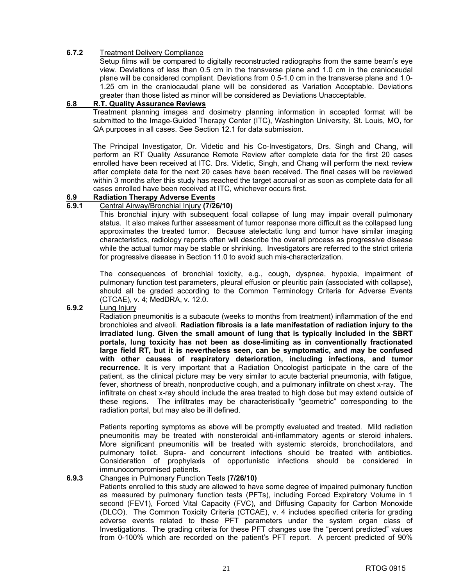#### **6.7.2** Treatment Delivery Compliance

Setup films will be compared to digitally reconstructed radiographs from the same beam's eye view. Deviations of less than 0.5 cm in the transverse plane and 1.0 cm in the craniocaudal plane will be considered compliant. Deviations from 0.5-1.0 cm in the transverse plane and 1.0- 1.25 cm in the craniocaudal plane will be considered as Variation Acceptable. Deviations greater than those listed as minor will be considered as Deviations Unacceptable.

#### **6.8 R.T. Quality Assurance Reviews**

Treatment planning images and dosimetry planning information in accepted format will be submitted to the Image-Guided Therapy Center (ITC), Washington University, St. Louis, MO, for QA purposes in all cases. See Section 12.1 for data submission.

 The Principal Investigator, Dr. Videtic and his Co-Investigators, Drs. Singh and Chang, will perform an RT Quality Assurance Remote Review after complete data for the first 20 cases enrolled have been received at ITC. Drs. Videtic, Singh, and Chang will perform the next review after complete data for the next 20 cases have been received. The final cases will be reviewed within 3 months after this study has reached the target accrual or as soon as complete data for all cases enrolled have been received at ITC, whichever occurs first.

#### **6.9 Radiation Therapy Adverse Events**

#### **6.9.1** Central Airway/Bronchial Injury **(7/26/10)**

 This bronchial injury with subsequent focal collapse of lung may impair overall pulmonary status. It also makes further assessment of tumor response more difficult as the collapsed lung approximates the treated tumor. Because atelectatic lung and tumor have similar imaging characteristics, radiology reports often will describe the overall process as progressive disease while the actual tumor may be stable or shrinking. Investigators are referred to the strict criteria for progressive disease in Section 11.0 to avoid such mis-characterization.

 The consequences of bronchial toxicity, e.g., cough, dyspnea, hypoxia, impairment of pulmonary function test parameters, pleural effusion or pleuritic pain (associated with collapse), should all be graded according to the Common Terminology Criteria for Adverse Events (CTCAE), v. 4; MedDRA, v. 12.0.

#### **6.9.2** Lung Injury

 Radiation pneumonitis is a subacute (weeks to months from treatment) inflammation of the end bronchioles and alveoli. **Radiation fibrosis is a late manifestation of radiation injury to the irradiated lung. Given the small amount of lung that is typically included in the SBRT portals, lung toxicity has not been as dose-limiting as in conventionally fractionated large field RT, but it is nevertheless seen, can be symptomatic, and may be confused with other causes of respiratory deterioration, including infections, and tumor recurrence.** It is very important that a Radiation Oncologist participate in the care of the patient, as the clinical picture may be very similar to acute bacterial pneumonia, with fatigue, fever, shortness of breath, nonproductive cough, and a pulmonary infiltrate on chest x-ray. The infiltrate on chest x-ray should include the area treated to high dose but may extend outside of these regions. The infiltrates may be characteristically "geometric" corresponding to the radiation portal, but may also be ill defined.

 Patients reporting symptoms as above will be promptly evaluated and treated. Mild radiation pneumonitis may be treated with nonsteroidal anti-inflammatory agents or steroid inhalers. More significant pneumonitis will be treated with systemic steroids, bronchodilators, and pulmonary toilet. Supra- and concurrent infections should be treated with antibiotics. Consideration of prophylaxis of opportunistic infections should be considered in immunocompromised patients.

#### **6.9.3** Changes in Pulmonary Function Tests **(7/26/10)**

 Patients enrolled to this study are allowed to have some degree of impaired pulmonary function as measured by pulmonary function tests (PFTs), including Forced Expiratory Volume in 1 second (FEV1), Forced Vital Capacity (FVC), and Diffusing Capacity for Carbon Monoxide (DLCO). The Common Toxicity Criteria (CTCAE), v. 4 includes specified criteria for grading adverse events related to these PFT parameters under the system organ class of Investigations. The grading criteria for these PFT changes use the "percent predicted" values from 0-100% which are recorded on the patient's PFT report. A percent predicted of 90%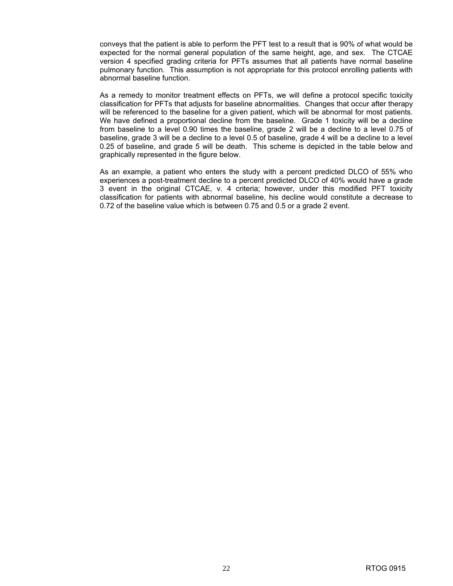conveys that the patient is able to perform the PFT test to a result that is 90% of what would be expected for the normal general population of the same height, age, and sex. The CTCAE version 4 specified grading criteria for PFTs assumes that all patients have normal baseline pulmonary function. This assumption is not appropriate for this protocol enrolling patients with abnormal baseline function.

 As a remedy to monitor treatment effects on PFTs, we will define a protocol specific toxicity classification for PFTs that adjusts for baseline abnormalities. Changes that occur after therapy will be referenced to the baseline for a given patient, which will be abnormal for most patients. We have defined a proportional decline from the baseline. Grade 1 toxicity will be a decline from baseline to a level 0.90 times the baseline, grade 2 will be a decline to a level 0.75 of baseline, grade 3 will be a decline to a level 0.5 of baseline, grade 4 will be a decline to a level 0.25 of baseline, and grade 5 will be death. This scheme is depicted in the table below and graphically represented in the figure below.

 As an example, a patient who enters the study with a percent predicted DLCO of 55% who experiences a post-treatment decline to a percent predicted DLCO of 40% would have a grade 3 event in the original CTCAE, v. 4 criteria; however, under this modified PFT toxicity classification for patients with abnormal baseline, his decline would constitute a decrease to 0.72 of the baseline value which is between 0.75 and 0.5 or a grade 2 event.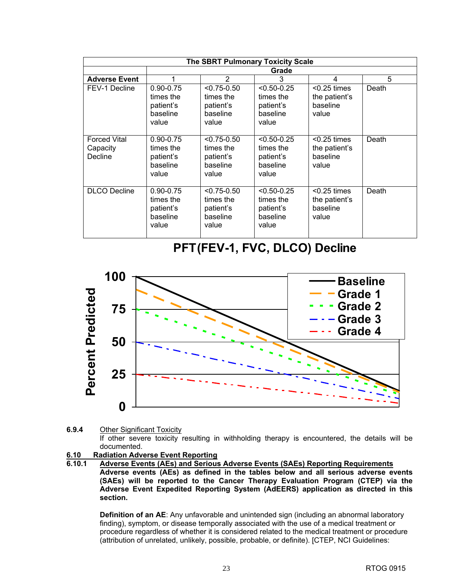|                                            | <b>The SBRT Pulmonary Toxicity Scale</b>                     |                                                                |                                                                |                                                      |       |  |  |
|--------------------------------------------|--------------------------------------------------------------|----------------------------------------------------------------|----------------------------------------------------------------|------------------------------------------------------|-------|--|--|
|                                            |                                                              | Grade                                                          |                                                                |                                                      |       |  |  |
| <b>Adverse Event</b>                       | 1                                                            | 2                                                              | 3                                                              | 4                                                    | 5     |  |  |
| FEV-1 Decline                              | $0.90 - 0.75$<br>times the<br>patient's<br>baseline<br>value | $< 0.75 - 0.50$<br>times the<br>patient's<br>baseline<br>value | $< 0.50 - 0.25$<br>times the<br>patient's<br>baseline<br>value | $< 0.25$ times<br>the patient's<br>baseline<br>value | Death |  |  |
| <b>Forced Vital</b><br>Capacity<br>Decline | $0.90 - 0.75$<br>times the<br>patient's<br>baseline<br>value | $< 0.75 - 0.50$<br>times the<br>patient's<br>baseline<br>value | $< 0.50 - 0.25$<br>times the<br>patient's<br>baseline<br>value | $< 0.25$ times<br>the patient's<br>baseline<br>value | Death |  |  |
| <b>DLCO</b> Decline                        | $0.90 - 0.75$<br>times the<br>patient's<br>baseline<br>value | $< 0.75 - 0.50$<br>times the<br>patient's<br>baseline<br>value | $< 0.50 - 0.25$<br>times the<br>patient's<br>baseline<br>value | $< 0.25$ times<br>the patient's<br>baseline<br>value | Death |  |  |

### **PFT(FEV-1, FVC, DLCO) Decline**



**<sup>6.9.4</sup>** Other Significant Toxicity If other severe toxicity resulting in withholding therapy is encountered, the details will be documented.

## **6.10 Radiation Adverse Event Reporting**

**6.10.1 Adverse Events (AEs) and Serious Adverse Events (SAEs) Reporting Requirements Adverse events (AEs) as defined in the tables below and all serious adverse events (SAEs) will be reported to the Cancer Therapy Evaluation Program (CTEP) via the Adverse Event Expedited Reporting System (AdEERS) application as directed in this section.** 

**Definition of an AE**: Any unfavorable and unintended sign (including an abnormal laboratory finding), symptom, or disease temporally associated with the use of a medical treatment or procedure regardless of whether it is considered related to the medical treatment or procedure (attribution of unrelated, unlikely, possible, probable, or definite). [CTEP, NCI Guidelines: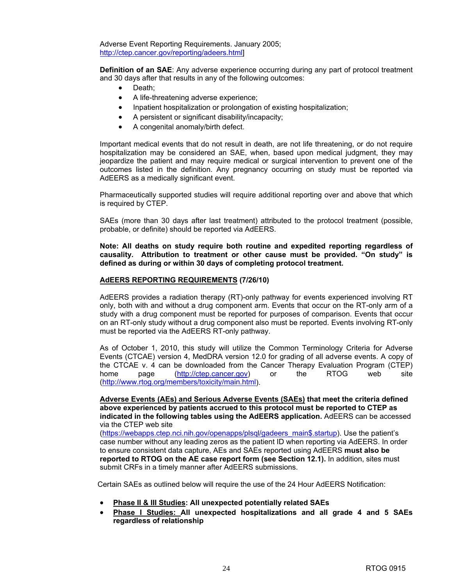Adverse Event Reporting Requirements. January 2005; [http://ctep.cancer.gov/reporting/adeers.html\]](http://ctep.cancer.gov/reporting/adeers.html) 

**Definition of an SAE:** Any adverse experience occurring during any part of protocol treatment and 30 days after that results in any of the following outcomes:

- Death:
- A life-threatening adverse experience;
- Inpatient hospitalization or prolongation of existing hospitalization;
- A persistent or significant disability/incapacity;
- A congenital anomaly/birth defect.

 Important medical events that do not result in death, are not life threatening, or do not require hospitalization may be considered an SAE, when, based upon medical judgment, they may jeopardize the patient and may require medical or surgical intervention to prevent one of the outcomes listed in the definition. Any pregnancy occurring on study must be reported via AdEERS as a medically significant event.

Pharmaceutically supported studies will require additional reporting over and above that which is required by CTEP.

SAEs (more than 30 days after last treatment) attributed to the protocol treatment (possible, probable, or definite) should be reported via AdEERS.

**Note: All deaths on study require both routine and expedited reporting regardless of causality. Attribution to treatment or other cause must be provided. "On study" is defined as during or within 30 days of completing protocol treatment.** 

#### **AdEERS REPORTING REQUIREMENTS (7/26/10)**

 AdEERS provides a radiation therapy (RT)-only pathway for events experienced involving RT only, both with and without a drug component arm. Events that occur on the RT-only arm of a study with a drug component must be reported for purposes of comparison. Events that occur on an RT-only study without a drug component also must be reported. Events involving RT-only must be reported via the AdEERS RT-only pathway.

 As of October 1, 2010, this study will utilize the Common Terminology Criteria for Adverse Events (CTCAE) version 4, MedDRA version 12.0 for grading of all adverse events. A copy of the CTCAE v. 4 can be downloaded from the Cancer Therapy Evaluation Program (CTEP) home page [\(http://ctep.cancer.gov\)](http://ctep.cancer.gov) or the RTOG web site [\(http://www.rtog.org/members/toxicity/main.html\).](http://www.rtog.org/members/toxicity/main.html) 

**Adverse Events (AEs) and Serious Adverse Events (SAEs) that meet the criteria defined above experienced by patients accrued to this protocol must be reported to CTEP as indicated in the following tables using the AdEERS application.** AdEERS can be accessed via the CTEP web site

[\(https://webapps.ctep.nci.nih.gov/openapps/plsql/gadeers\\_main\\$.startup](https://webapps.ctep.nci.nih.gov/openapps/plsql/gadeers_main$.startup)). Use the patient's case number without any leading zeros as the patient ID when reporting via AdEERS. In order to ensure consistent data capture, AEs and SAEs reported using AdEERS **must also be reported to RTOG on the AE case report form (see Section 12.1).** In addition, sites must submit CRFs in a timely manner after AdEERS submissions.

Certain SAEs as outlined below will require the use of the 24 Hour AdEERS Notification:

- **Phase II & III Studies: All unexpected potentially related SAEs**
- **Phase I Studies: All unexpected hospitalizations and all grade 4 and 5 SAEs regardless of relationship**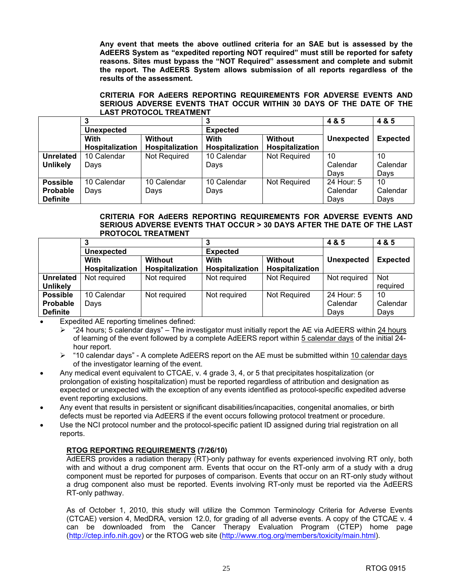**Any event that meets the above outlined criteria for an SAE but is assessed by the AdEERS System as "expedited reporting NOT required" must still be reported for safety reasons. Sites must bypass the "NOT Required" assessment and complete and submit the report. The AdEERS System allows submission of all reports regardless of the results of the assessment.** 

#### **CRITERIA FOR AdEERS REPORTING REQUIREMENTS FOR ADVERSE EVENTS AND SERIOUS ADVERSE EVENTS THAT OCCUR WITHIN 30 DAYS OF THE DATE OF THE LAST PROTOCOL TREATMENT**

|                  |                        |                 |                        |                 | 4 & 5      | 4 & 5           |
|------------------|------------------------|-----------------|------------------------|-----------------|------------|-----------------|
|                  | <b>Unexpected</b>      |                 | <b>Expected</b>        |                 |            |                 |
|                  | <b>Without</b><br>With |                 | <b>Without</b><br>With |                 | Unexpected | <b>Expected</b> |
|                  | Hospitalization        | Hospitalization | Hospitalization        | Hospitalization |            |                 |
| <b>Unrelated</b> | 10 Calendar            | Not Required    | 10 Calendar            | Not Required    | 10         | 10              |
| <b>Unlikely</b>  | Days                   |                 | Days                   |                 | Calendar   | Calendar        |
|                  |                        |                 |                        |                 | Days       | Days            |
| <b>Possible</b>  | 10 Calendar            | 10 Calendar     | 10 Calendar            | Not Required    | 24 Hour: 5 | 10              |
| <b>Probable</b>  | Days                   | Days            | Days                   |                 | Calendar   | Calendar        |
| <b>Definite</b>  |                        |                 |                        |                 | Davs       | Days            |

#### **CRITERIA FOR AdEERS REPORTING REQUIREMENTS FOR ADVERSE EVENTS AND SERIOUS ADVERSE EVENTS THAT OCCUR > 30 DAYS AFTER THE DATE OF THE LAST PROTOCOL TREATMENT**

|                  |                   |                 |                        |                        | 4 & 5             | 4 & 5           |
|------------------|-------------------|-----------------|------------------------|------------------------|-------------------|-----------------|
|                  | <b>Unexpected</b> |                 | <b>Expected</b>        |                        |                   |                 |
|                  | Without<br>With   |                 | <b>Without</b><br>With |                        | <b>Unexpected</b> | <b>Expected</b> |
|                  | Hospitalization   | Hospitalization | Hospitalization        | <b>Hospitalization</b> |                   |                 |
| <b>Unrelated</b> | Not required      | Not required    | Not required           | Not Required           | Not required      | <b>Not</b>      |
| <b>Unlikely</b>  |                   |                 |                        |                        |                   | required        |
| <b>Possible</b>  | 10 Calendar       | Not required    | Not required           | Not Required           | 24 Hour: 5        | 10              |
| <b>Probable</b>  | Days              |                 |                        |                        | Calendar          | Calendar        |
| <b>Definite</b>  |                   |                 |                        |                        | Davs              | Days            |

Expedited AE reporting timelines defined:

- $\ge$  "24 hours; 5 calendar days" The investigator must initially report the AE via AdEERS within 24 hours of learning of the event followed by a complete AdEERS report within 5 calendar days of the initial 24 hour report.
- $\triangleright$  "10 calendar days" A complete AdEERS report on the AE must be submitted within 10 calendar days of the investigator learning of the event.
- Any medical event equivalent to CTCAE, v. 4 grade 3, 4, or 5 that precipitates hospitalization (or prolongation of existing hospitalization) must be reported regardless of attribution and designation as expected or unexpected with the exception of any events identified as protocol-specific expedited adverse event reporting exclusions.
- Any event that results in persistent or significant disabilities/incapacities, congenital anomalies, or birth defects must be reported via AdEERS if the event occurs following protocol treatment or procedure.
- Use the NCI protocol number and the protocol-specific patient ID assigned during trial registration on all reports.

#### **RTOG REPORTING REQUIREMENTS (7/26/10)**

AdEERS provides a radiation therapy (RT)-only pathway for events experienced involving RT only, both with and without a drug component arm. Events that occur on the RT-only arm of a study with a drug component must be reported for purposes of comparison. Events that occur on an RT-only study without a drug component also must be reported. Events involving RT-only must be reported via the AdEERS RT-only pathway.

As of October 1, 2010, this study will utilize the Common Terminology Criteria for Adverse Events (CTCAE) version 4, MedDRA, version 12.0, for grading of all adverse events. A copy of the CTCAE v. 4 can be downloaded from the Cancer Therapy Evaluation Program (CTEP) home page [\(http://ctep.info.nih.gov\)](http://ctep.info.nih.gov) or the RTOG web site [\(http://www.rtog.org/members/toxicity/main.htm](http://www.rtog.org/members/toxicity/main.html)l).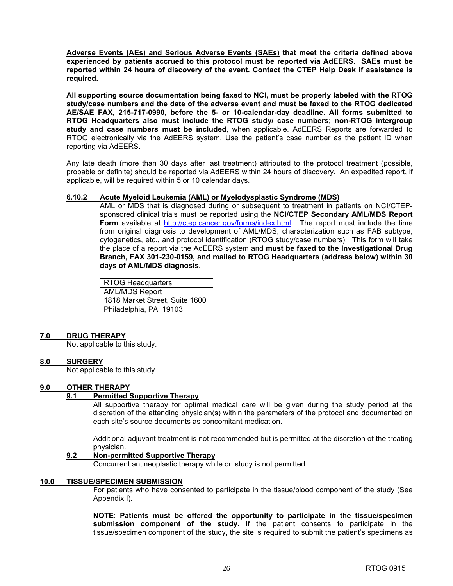**Adverse Events (AEs) and Serious Adverse Events (SAEs) that meet the criteria defined above experienced by patients accrued to this protocol must be reported via AdEERS. SAEs must be reported within 24 hours of discovery of the event. Contact the CTEP Help Desk if assistance is required.** 

**All supporting source documentation being faxed to NCI, must be properly labeled with the RTOG study/case numbers and the date of the adverse event and must be faxed to the RTOG dedicated AE/SAE FAX, 215-717-0990, before the 5- or 10-calendar-day deadline. All forms submitted to RTOG Headquarters also must include the RTOG study/ case numbers; non-RTOG intergroup study and case numbers must be included**, when applicable. AdEERS Reports are forwarded to RTOG electronically via the AdEERS system. Use the patient's case number as the patient ID when reporting via AdEERS.

Any late death (more than 30 days after last treatment) attributed to the protocol treatment (possible, probable or definite) should be reported via AdEERS within 24 hours of discovery. An expedited report, if applicable, will be required within 5 or 10 calendar days.

#### **6.10.2 Acute Myeloid Leukemia (AML) or Myelodysplastic Syndrome (MDS)**

 AML or MDS that is diagnosed during or subsequent to treatment in patients on NCI/CTEPsponsored clinical trials must be reported using the **NCI/CTEP Secondary AML/MDS Report Form** available at [http://ctep.cancer.gov/forms/index.html.](http://ctep.cancer.gov/forms/index.html) The report must include the time from original diagnosis to development of AML/MDS, characterization such as FAB subtype, cytogenetics, etc., and protocol identification (RTOG study/case numbers). This form will take the place of a report via the AdEERS system and **must be faxed to the Investigational Drug Branch, FAX 301-230-0159, and mailed to RTOG Headquarters (address below) within 30 days of AML/MDS diagnosis.** 

| <b>RTOG Headquarters</b>       |
|--------------------------------|
| <b>AML/MDS Report</b>          |
| 1818 Market Street, Suite 1600 |
| Philadelphia, PA 19103         |

#### **7.0 DRUG THERAPY**

Not applicable to this study.

#### **8.0 SURGERY**

Not applicable to this study.

#### **9.0 OTHER THERAPY**

#### **9.1 Permitted Supportive Therapy**

 All supportive therapy for optimal medical care will be given during the study period at the discretion of the attending physician(s) within the parameters of the protocol and documented on each site's source documents as concomitant medication.

 Additional adjuvant treatment is not recommended but is permitted at the discretion of the treating physician.

#### **9.2 Non-permitted Supportive Therapy**

Concurrent antineoplastic therapy while on study is not permitted.

#### **10.0 TISSUE/SPECIMEN SUBMISSION**

For patients who have consented to participate in the tissue/blood component of the study (See Appendix I).

**NOTE**: **Patients must be offered the opportunity to participate in the tissue/specimen submission component of the study.** If the patient consents to participate in the tissue/specimen component of the study, the site is required to submit the patient's specimens as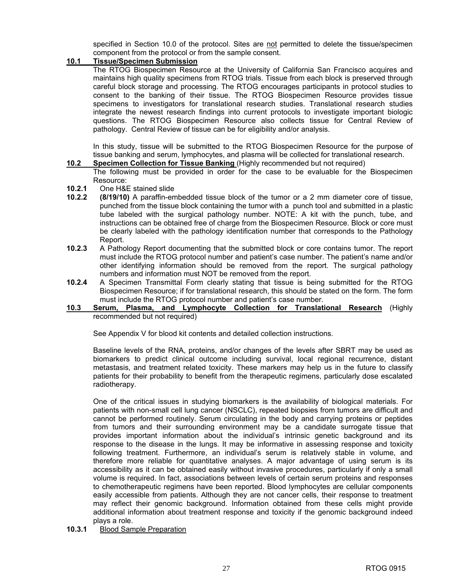specified in Section 10.0 of the protocol. Sites are not permitted to delete the tissue/specimen component from the protocol or from the sample consent.

#### **10.1 Tissue/Specimen Submission**

 The RTOG Biospecimen Resource at the University of California San Francisco acquires and maintains high quality specimens from RTOG trials. Tissue from each block is preserved through careful block storage and processing. The RTOG encourages participants in protocol studies to consent to the banking of their tissue. The RTOG Biospecimen Resource provides tissue specimens to investigators for translational research studies. Translational research studies integrate the newest research findings into current protocols to investigate important biologic questions. The RTOG Biospecimen Resource also collects tissue for Central Review of pathology. Central Review of tissue can be for eligibility and/or analysis.

 In this study, tissue will be submitted to the RTOG Biospecimen Resource for the purpose of tissue banking and serum, lymphocytes, and plasma will be collected for translational research.

**10.2 Specimen Collection for Tissue Banking** (Highly recommended but not required)

The following must be provided in order for the case to be evaluable for the Biospecimen Resource:

- **10.2.1** One H&E stained slide
- **10.2.2 (8/19/10)** A paraffin-embedded tissue block of the tumor or a 2 mm diameter core of tissue, punched from the tissue block containing the tumor with a punch tool and submitted in a plastic tube labeled with the surgical pathology number. NOTE: A kit with the punch, tube, and instructions can be obtained free of charge from the Biospecimen Resource. Block or core must be clearly labeled with the pathology identification number that corresponds to the Pathology Report.
- **10.2.3** A Pathology Report documenting that the submitted block or core contains tumor. The report must include the RTOG protocol number and patient's case number. The patient's name and/or other identifying information should be removed from the report. The surgical pathology numbers and information must NOT be removed from the report.
- **10.2.4** A Specimen Transmittal Form clearly stating that tissue is being submitted for the RTOG Biospecimen Resource; if for translational research, this should be stated on the form. The form must include the RTOG protocol number and patient's case number.
- **10.3 Serum, Plasma, and Lymphocyte Collection for Translational Research** (Highly recommended but not required)

See Appendix V for blood kit contents and detailed collection instructions.

Baseline levels of the RNA, proteins, and/or changes of the levels after SBRT may be used as biomarkers to predict clinical outcome including survival, local regional recurrence, distant metastasis, and treatment related toxicity. These markers may help us in the future to classify patients for their probability to benefit from the therapeutic regimens, particularly dose escalated radiotherapy.

One of the critical issues in studying biomarkers is the availability of biological materials. For patients with non-small cell lung cancer (NSCLC), repeated biopsies from tumors are difficult and cannot be performed routinely. Serum circulating in the body and carrying proteins or peptides from tumors and their surrounding environment may be a candidate surrogate tissue that provides important information about the individual's intrinsic genetic background and its response to the disease in the lungs. It may be informative in assessing response and toxicity following treatment. Furthermore, an individual's serum is relatively stable in volume, and therefore more reliable for quantitative analyses. A major advantage of using serum is its accessibility as it can be obtained easily without invasive procedures, particularly if only a small volume is required. In fact, associations between levels of certain serum proteins and responses to chemotherapeutic regimens have been reported. Blood lymphocytes are cellular components easily accessible from patients. Although they are not cancer cells, their response to treatment may reflect their genomic background. Information obtained from these cells might provide additional information about treatment response and toxicity if the genomic background indeed plays a role.

**10.3.1** Blood Sample Preparation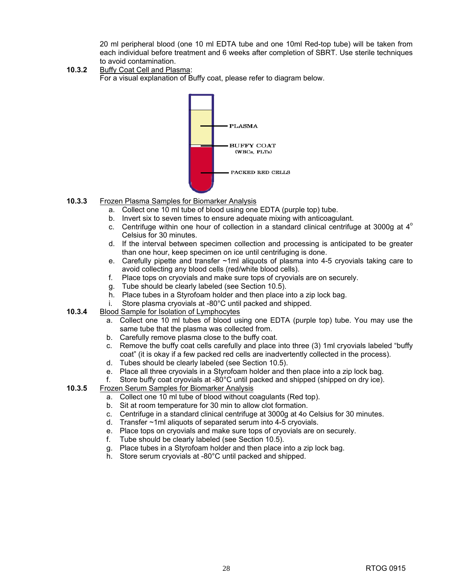20 ml peripheral blood (one 10 ml EDTA tube and one 10ml Red-top tube) will be taken from each individual before treatment and 6 weeks after completion of SBRT. Use sterile techniques to avoid contamination.

**10.3.2** Buffy Coat Cell and Plasma: For a visual explanation of Buffy coat, please refer to diagram below.



- **10.3.3** Frozen Plasma Samples for Biomarker Analysis
	- a. Collect one 10 ml tube of blood using one EDTA (purple top) tube.
	- b. Invert six to seven times to ensure adequate mixing with anticoagulant.
	- c. Centrifuge within one hour of collection in a standard clinical centrifuge at 3000g at  $4^\circ$ Celsius for 30 minutes.
	- d. If the interval between specimen collection and processing is anticipated to be greater than one hour, keep specimen on ice until centrifuging is done.
	- e. Carefully pipette and transfer ~1ml aliquots of plasma into 4-5 cryovials taking care to avoid collecting any blood cells (red/white blood cells).
	- f. Place tops on cryovials and make sure tops of cryovials are on securely.
	- g. Tube should be clearly labeled (see Section 10.5).
	- h. Place tubes in a Styrofoam holder and then place into a zip lock bag.
	- i. Store plasma cryovials at -80°C until packed and shipped.
- **10.3.4** Blood Sample for Isolation of Lymphocytes
	- a. Collect one 10 ml tubes of blood using one EDTA (purple top) tube. You may use the same tube that the plasma was collected from.
	- b. Carefully remove plasma close to the buffy coat.
	- c. Remove the buffy coat cells carefully and place into three (3) 1ml cryovials labeled "buffy coat" (it is okay if a few packed red cells are inadvertently collected in the process).
	- d. Tubes should be clearly labeled (see Section 10.5).
	- e. Place all three cryovials in a Styrofoam holder and then place into a zip lock bag.
	- f. Store buffy coat cryovials at -80°C until packed and shipped (shipped on dry ice).
- **10.3.5** Frozen Serum Samples for Biomarker Analysis
	- a. Collect one 10 ml tube of blood without coagulants (Red top).
	- b. Sit at room temperature for 30 min to allow clot formation.
	- c. Centrifuge in a standard clinical centrifuge at 3000g at 4o Celsius for 30 minutes.
	- d. Transfer ~1ml aliquots of separated serum into 4-5 cryovials.
	- e. Place tops on cryovials and make sure tops of cryovials are on securely.
	- f. Tube should be clearly labeled (see Section 10.5).
	- g. Place tubes in a Styrofoam holder and then place into a zip lock bag.
	- h. Store serum cryovials at -80°C until packed and shipped.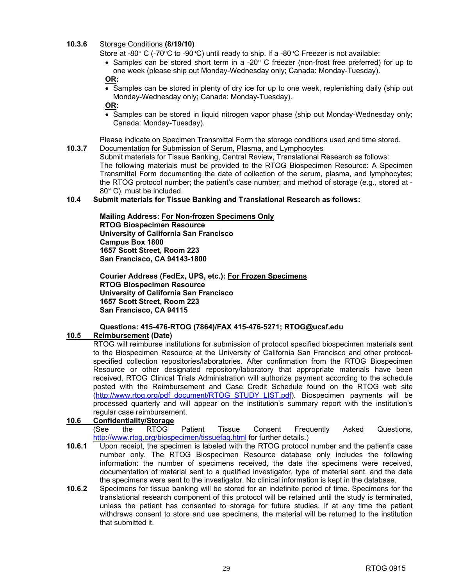#### **10.3.6** Storage Conditions **(8/19/10)**

Store at -80° C (-70°C to -90°C) until ready to ship. If a -80°C Freezer is not available:

• Samples can be stored short term in a -20 $\degree$  C freezer (non-frost free preferred) for up to one week (please ship out Monday-Wednesday only; Canada: Monday-Tuesday).

#### **OR:**

• Samples can be stored in plenty of dry ice for up to one week, replenishing daily (ship out Monday-Wednesday only; Canada: Monday-Tuesday).

**OR:** 

• Samples can be stored in liquid nitrogen vapor phase (ship out Monday-Wednesday only; Canada: Monday-Tuesday).

Please indicate on Specimen Transmittal Form the storage conditions used and time stored. **10.3.7** Documentation for Submission of Serum, Plasma, and Lymphocytes

 Submit materials for Tissue Banking, Central Review, Translational Research as follows: The following materials must be provided to the RTOG Biospecimen Resource: A Specimen Transmittal Form documenting the date of collection of the serum, plasma, and lymphocytes; the RTOG protocol number; the patient's case number; and method of storage (e.g., stored at - 80° C), must be included.

#### **10.4 Submit materials for Tissue Banking and Translational Research as follows:**

**Mailing Address: For Non-frozen Specimens Only RTOG Biospecimen Resource University of California San Francisco Campus Box 1800 1657 Scott Street, Room 223 San Francisco, CA 94143-1800** 

**Courier Address (FedEx, UPS, etc.): For Frozen Specimens RTOG Biospecimen Resource University of California San Francisco 1657 Scott Street, Room 223 San Francisco, CA 94115**

#### **Questions: 415-476-RTOG (7864)/FAX 415-476-5271; [RTOG@ucsf.edu](mailto:RTOG@ucsf.edu)**

#### **10.5 Reimbursement (Date)**

 RTOG will reimburse institutions for submission of protocol specified biospecimen materials sent to the Biospecimen Resource at the University of California San Francisco and other protocolspecified collection repositories/laboratories. After confirmation from the RTOG Biospecimen Resource or other designated repository/laboratory that appropriate materials have been received, RTOG Clinical Trials Administration will authorize payment according to the schedule posted with the Reimbursement and Case Credit Schedule found on the RTOG web site [\(http://www.rtog.org/pdf\\_document/RTOG\\_STUDY\\_LIST.pdf\). B](http://www.rtog.org/pdf_document/RTOG_STUDY_LIST.pdf)iospecimen payments will be processed quarterly and will appear on the institution's summary report with the institution's regular case reimbursement.

#### **10.6 Confidentiality/Storage**

 (See the RTOG Patient Tissue Consent Frequently Asked Questions, [http://www.rtog.org/biospecimen/tissuefaq.html fo](http://www.rtog.org/biospecimen/tissuefaq.html)r further details.)

- **10.6.1** Upon receipt, the specimen is labeled with the RTOG protocol number and the patient's case number only. The RTOG Biospecimen Resource database only includes the following information: the number of specimens received, the date the specimens were received, documentation of material sent to a qualified investigator, type of material sent, and the date the specimens were sent to the investigator. No clinical information is kept in the database.
- **10.6.2** Specimens for tissue banking will be stored for an indefinite period of time. Specimens for the translational research component of this protocol will be retained until the study is terminated, unless the patient has consented to storage for future studies. If at any time the patient withdraws consent to store and use specimens, the material will be returned to the institution that submitted it.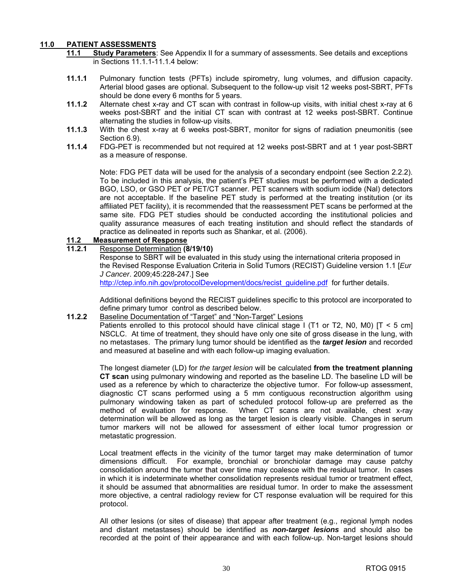#### **11.0 PATIENT ASSESSMENTS**

- **11.1 Study Parameters**: See Appendix II for a summary of assessments. See details and exceptions in Sections 11.1.1-11.1.4 below:
- **11.1.1** Pulmonary function tests (PFTs) include spirometry, lung volumes, and diffusion capacity. Arterial blood gases are optional. Subsequent to the follow-up visit 12 weeks post-SBRT, PFTs should be done every 6 months for 5 years.
- **11.1.2** Alternate chest x-ray and CT scan with contrast in follow-up visits, with initial chest x-ray at 6 weeks post-SBRT and the initial CT scan with contrast at 12 weeks post-SBRT. Continue alternating the studies in follow-up visits.
- **11.1.3** With the chest x-ray at 6 weeks post-SBRT, monitor for signs of radiation pneumonitis (see Section 6.9).
- **11.1.4** FDG-PET is recommended but not required at 12 weeks post-SBRT and at 1 year post-SBRT as a measure of response.

Note: FDG PET data will be used for the analysis of a secondary endpoint (see Section 2.2.2). To be included in this analysis, the patient's PET studies must be performed with a dedicated BGO, LSO, or GSO PET or PET/CT scanner. PET scanners with sodium iodide (Nal) detectors are not acceptable. If the baseline PET study is performed at the treating institution (or its affiliated PET facility), it is recommended that the reassessment PET scans be performed at the same site. FDG PET studies should be conducted according the institutional policies and quality assurance measures of each treating institution and should reflect the standards of practice as delineated in reports such as Shankar, et al. (2006).

#### **11.2 Measurement of Response**

#### **11.2.1** Response Determination **(8/19/10)**

Response to SBRT will be evaluated in this study using the international criteria proposed in the Revised Response Evaluation Criteria in Solid Tumors (RECIST) Guideline version 1.1 [*Eur J Cancer*. 2009;45:228-247.] See [http://ctep.info.nih.gov/protocolDevelopment/docs/recist\\_guideline.pdf fo](http://ctep.info.nih.gov/protocolDevelopment/docs/recist_guideline.pdf)r further details.

Additional definitions beyond the RECIST guidelines specific to this protocol are incorporated to define primary tumor control as described below.

#### 11.2.2 Baseline Documentation of "Target" and "Non-Target" Lesions

Patients enrolled to this protocol should have clinical stage I (T1 or T2, N0, M0) [T < 5 cm] NSCLC. At time of treatment, they should have only one site of gross disease in the lung, with no metastases. The primary lung tumor should be identified as the *target lesion* and recorded and measured at baseline and with each follow-up imaging evaluation.

The longest diameter (LD) for *the target lesion* will be calculated **from the treatment planning CT scan** using pulmonary windowing and reported as the baseline LD. The baseline LD will be used as a reference by which to characterize the objective tumor. For follow-up assessment, diagnostic CT scans performed using a 5 mm contiguous reconstruction algorithm using pulmonary windowing taken as part of scheduled protocol follow-up are preferred as the method of evaluation for response. When CT scans are not available, chest x-ray determination will be allowed as long as the target lesion is clearly visible. Changes in serum tumor markers will not be allowed for assessment of either local tumor progression or metastatic progression.

Local treatment effects in the vicinity of the tumor target may make determination of tumor dimensions difficult. For example, bronchial or bronchiolar damage may cause patchy consolidation around the tumor that over time may coalesce with the residual tumor. In cases in which it is indeterminate whether consolidation represents residual tumor or treatment effect, it should be assumed that abnormalities are residual tumor. In order to make the assessment more objective, a central radiology review for CT response evaluation will be required for this protocol.

All other lesions (or sites of disease) that appear after treatment (e.g., regional lymph nodes and distant metastases) should be identified as *non-target lesions* and should also be recorded at the point of their appearance and with each follow-up. Non-target lesions should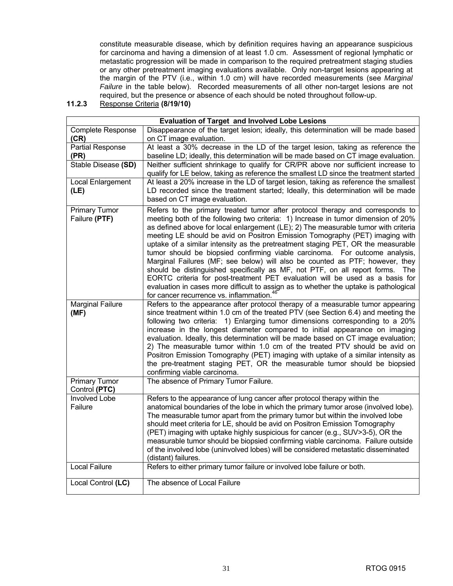constitute measurable disease, which by definition requires having an appearance suspicious for carcinoma and having a dimension of at least 1.0 cm. Assessment of regional lymphatic or metastatic progression will be made in comparison to the required pretreatment staging studies or any other pretreatment imaging evaluations available. Only non-target lesions appearing at the margin of the PTV (i.e., within 1.0 cm) will have recorded measurements (see *Marginal Failure* in the table below). Recorded measurements of all other non-target lesions are not required, but the presence or absence of each should be noted throughout follow-up.

**11.2.3** Response Criteria **(8/19/10)**

|                                       | <b>Evaluation of Target and Involved Lobe Lesions</b>                                                                                                                                                                                                                                                                                                                                                                                                                                                                                                                                                                                                                                                                                                                                                                                                                                                             |
|---------------------------------------|-------------------------------------------------------------------------------------------------------------------------------------------------------------------------------------------------------------------------------------------------------------------------------------------------------------------------------------------------------------------------------------------------------------------------------------------------------------------------------------------------------------------------------------------------------------------------------------------------------------------------------------------------------------------------------------------------------------------------------------------------------------------------------------------------------------------------------------------------------------------------------------------------------------------|
| <b>Complete Response</b>              | Disappearance of the target lesion; ideally, this determination will be made based                                                                                                                                                                                                                                                                                                                                                                                                                                                                                                                                                                                                                                                                                                                                                                                                                                |
| (CR)                                  | on CT image evaluation.                                                                                                                                                                                                                                                                                                                                                                                                                                                                                                                                                                                                                                                                                                                                                                                                                                                                                           |
| <b>Partial Response</b>               | At least a 30% decrease in the LD of the target lesion, taking as reference the                                                                                                                                                                                                                                                                                                                                                                                                                                                                                                                                                                                                                                                                                                                                                                                                                                   |
| (PR)                                  | baseline LD; ideally, this determination will be made based on CT image evaluation.                                                                                                                                                                                                                                                                                                                                                                                                                                                                                                                                                                                                                                                                                                                                                                                                                               |
| Stable Disease (SD)                   | Neither sufficient shrinkage to qualify for CR/PR above nor sufficient increase to<br>qualify for LE below, taking as reference the smallest LD since the treatment started                                                                                                                                                                                                                                                                                                                                                                                                                                                                                                                                                                                                                                                                                                                                       |
| Local Enlargement<br>(LE)             | At least a 20% increase in the LD of target lesion, taking as reference the smallest<br>LD recorded since the treatment started; Ideally, this determination will be made<br>based on CT image evaluation.                                                                                                                                                                                                                                                                                                                                                                                                                                                                                                                                                                                                                                                                                                        |
| <b>Primary Tumor</b><br>Failure (PTF) | Refers to the primary treated tumor after protocol therapy and corresponds to<br>meeting both of the following two criteria: 1) Increase in tumor dimension of 20%<br>as defined above for local enlargement (LE); 2) The measurable tumor with criteria<br>meeting LE should be avid on Positron Emission Tomography (PET) imaging with<br>uptake of a similar intensity as the pretreatment staging PET, OR the measurable<br>tumor should be biopsied confirming viable carcinoma. For outcome analysis,<br>Marginal Failures (MF; see below) will also be counted as PTF; however, they<br>should be distinguished specifically as MF, not PTF, on all report forms.<br>The<br>EORTC criteria for post-treatment PET evaluation will be used as a basis for<br>evaluation in cases more difficult to assign as to whether the uptake is pathological<br>for cancer recurrence vs. inflammation. <sup>46</sup> |
| <b>Marginal Failure</b><br>(MF)       | Refers to the appearance after protocol therapy of a measurable tumor appearing<br>since treatment within 1.0 cm of the treated PTV (see Section 6.4) and meeting the<br>following two criteria: 1) Enlarging tumor dimensions corresponding to a 20%<br>increase in the longest diameter compared to initial appearance on imaging<br>evaluation. Ideally, this determination will be made based on CT image evaluation;<br>2) The measurable tumor within 1.0 cm of the treated PTV should be avid on<br>Positron Emission Tomography (PET) imaging with uptake of a similar intensity as<br>the pre-treatment staging PET, OR the measurable tumor should be biopsied<br>confirming viable carcinoma.                                                                                                                                                                                                          |
| <b>Primary Tumor</b><br>Control (PTC) | The absence of Primary Tumor Failure.                                                                                                                                                                                                                                                                                                                                                                                                                                                                                                                                                                                                                                                                                                                                                                                                                                                                             |
| Involved Lobe<br>Failure              | Refers to the appearance of lung cancer after protocol therapy within the<br>anatomical boundaries of the lobe in which the primary tumor arose (involved lobe).<br>The measurable tumor apart from the primary tumor but within the involved lobe<br>should meet criteria for LE, should be avid on Positron Emission Tomography<br>(PET) imaging with uptake highly suspicious for cancer (e.g., SUV>3-5), OR the<br>measurable tumor should be biopsied confirming viable carcinoma. Failure outside<br>of the involved lobe (uninvolved lobes) will be considered metastatic disseminated<br>(distant) failures.                                                                                                                                                                                                                                                                                              |
| <b>Local Failure</b>                  | Refers to either primary tumor failure or involved lobe failure or both.                                                                                                                                                                                                                                                                                                                                                                                                                                                                                                                                                                                                                                                                                                                                                                                                                                          |
| Local Control (LC)                    | The absence of Local Failure                                                                                                                                                                                                                                                                                                                                                                                                                                                                                                                                                                                                                                                                                                                                                                                                                                                                                      |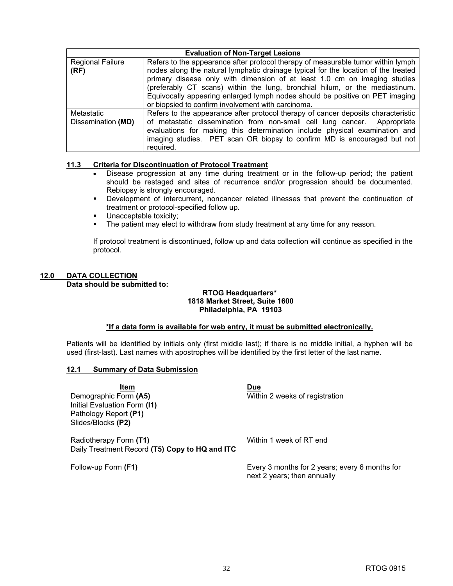| <b>Evaluation of Non-Target Lesions</b> |                                                                                                                                                                                                                                                                                                                                                                                                                                                                          |  |  |  |  |
|-----------------------------------------|--------------------------------------------------------------------------------------------------------------------------------------------------------------------------------------------------------------------------------------------------------------------------------------------------------------------------------------------------------------------------------------------------------------------------------------------------------------------------|--|--|--|--|
| <b>Regional Failure</b><br>(RF)         | Refers to the appearance after protocol therapy of measurable tumor within lymph<br>nodes along the natural lymphatic drainage typical for the location of the treated<br>primary disease only with dimension of at least 1.0 cm on imaging studies<br>(preferably CT scans) within the lung, bronchial hilum, or the mediastinum.<br>Equivocally appearing enlarged lymph nodes should be positive on PET imaging<br>or biopsied to confirm involvement with carcinoma. |  |  |  |  |
| Metastatic<br>Dissemination (MD)        | Refers to the appearance after protocol therapy of cancer deposits characteristic<br>of metastatic dissemination from non-small cell lung cancer. Appropriate<br>evaluations for making this determination include physical examination and<br>imaging studies. PET scan OR biopsy to confirm MD is encouraged but not<br>required.                                                                                                                                      |  |  |  |  |

#### **11.3 Criteria for Discontinuation of Protocol Treatment**

- Disease progression at any time during treatment or in the follow-up period; the patient should be restaged and sites of recurrence and/or progression should be documented. Rebiopsy is strongly encouraged.
- **Development of intercurrent, noncancer related illnesses that prevent the continuation of** treatment or protocol-specified follow up.
- Unacceptable toxicity;
- The patient may elect to withdraw from study treatment at any time for any reason.

If protocol treatment is discontinued, follow up and data collection will continue as specified in the protocol.

#### **12.0 DATA COLLECTION Data should be submitted to:**

#### **RTOG Headquarters\* 1818 Market Street, Suite 1600 Philadelphia, PA 19103**

#### **\*If a data form is available for web entry, it must be submitted electronically.**

Patients will be identified by initials only (first middle last); if there is no middle initial, a hyphen will be used (first-last). Last names with apostrophes will be identified by the first letter of the last name.

#### **12.1 Summary of Data Submission**

**Item Due** Demographic Form (A5) **Example 2** Within 2 weeks of registration Initial Evaluation Form **(I1)** Pathology Report **(P1)**  Slides/Blocks **(P2)** Radiotherapy Form (T1) Milliam State Within 1 week of RT end

Daily Treatment Record **(T5) Copy to HQ and ITC**

Follow-up Form **(F1)** Every 3 months for 2 years; every 6 months for next 2 years; then annually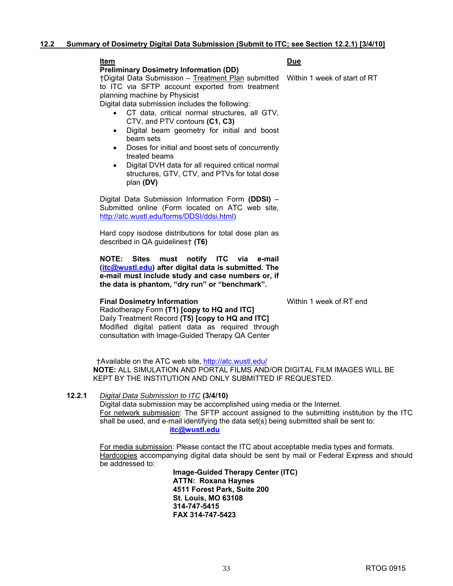#### **Item Due Preliminary Dosimetry Information (DD)**

†Digital Data Submission – Treatment Plan submitted Within 1 week of start of RT to ITC via SFTP account exported from treatment planning machine by Physicist

Digital data submission includes the following:

- CT data, critical normal structures, all GTV, CTV, and PTV contours **(C1, C3)**
- Digital beam geometry for initial and boost beam sets
- Doses for initial and boost sets of concurrently treated beams
- Digital DVH data for all required critical normal structures, GTV, CTV, and PTVs for total dose plan **(DV)**

Digital Data Submission Information Form **(DDSI)** – Submitted online (Form located on ATC web site, [http://atc.wustl.edu/forms/DDSI/ddsi.html\)](http://atc.wustl.edu/forms/DDSI/ddsi.html)

Hard copy isodose distributions for total dose plan as described in QA guidelines† **(T6)** 

**NOTE: Sites must notify ITC via e-mail [\(itc@wustl.edu\)](mailto:itc@wustl.edu) after digital data is submitted. The e-mail must include study and case numbers or, if the data is phantom, "dry run" or "benchmark".** 

#### **Final Dosimetry Information Within 1 week of RT end**

Radiotherapy Form **(T1) [copy to HQ and ITC]** Daily Treatment Record **(T5) [copy to HQ and ITC]**  Modified digital patient data as required through consultation with Image-Guided Therapy QA Center

 †Available on the ATC web site, [http://atc.wustl.edu/](http://atc.wustl.edu) **NOTE:** ALL SIMULATION AND PORTAL FILMS AND/OR DIGITAL FILM IMAGES WILL BE KEPT BY THE INSTITUTION AND ONLY SUBMITTED IF REQUESTED.

#### **12.2.1** *Digital Data Submission to ITC* **(3/4/10)**

Digital data submission may be accomplished using media or the Internet. For network submission: The SFTP account assigned to the submitting institution by the ITC shall be used, and e-mail identifying the data set(s) being submitted shall be sent to: **[itc@wustl.edu](mailto:itc@wustl.edu)**

For media submission: Please contact the ITC about acceptable media types and formats. Hardcopies accompanying digital data should be sent by mail or Federal Express and should be addressed to:

> **Image-Guided Therapy Center (ITC) ATTN: Roxana Haynes 4511 Forest Park, Suite 200 St. Louis, MO 63108 314-747-5415 FAX 314-747-5423**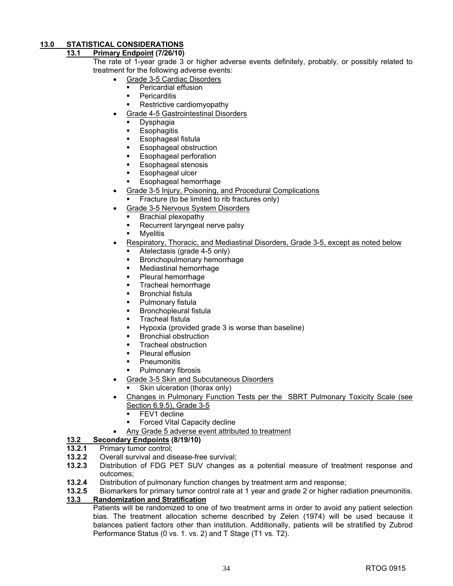#### **13.0 STATISTICAL CONSIDERATIONS**

#### **13.1 Primary Endpoint (7/26/10)**

- The rate of 1-year grade 3 or higher adverse events definitely, probably, or possibly related to treatment for the following adverse events:
	- Grade 3-5 Cardiac Disorders
		- Pericardial effusion
		- **Pericarditis**
		- Restrictive cardiomyopathy
	- Grade 4-5 Gastrointestinal Disorders
		- Dysphagia
		- **Esophagitis**
		- Esophageal fistula
		- **Esophageal obstruction**
		- **Esophageal perforation**
		- Esophageal stenosis
		- **Esophageal ulcer**
		- **Esophageal hemorrhage**
	- Grade 3-5 Injury, Poisoning, and Procedural Complications
		- Fracture (to be limited to rib fractures only)
	- Grade 3-5 Nervous System Disorders
		- Brachial plexopathy
		- **Recurrent laryngeal nerve palsy**
		- **M**velitis
	- Respiratory, Thoracic, and Mediastinal Disorders, Grade 3-5, except as noted below
		- Atelectasis (grade 4-5 only)
		- Bronchopulmonary hemorrhage
		- Mediastinal hemorrhage
		- Pleural hemorrhage
		- Tracheal hemorrhage
		- **Bronchial fistula**
		- **Pulmonary fistula**
		- **Bronchopleural fistula**
		- **Tracheal fistula**
		- **Hypoxia (provided grade 3 is worse than baseline)**
		- Bronchial obstruction
		- **Tracheal obstruction**
		- **Pleural effusion**
		- **Pneumonitis**
		- Pulmonary fibrosis
	- Grade 3-5 Skin and Subcutaneous Disorders
	- Skin ulceration (thorax only)
	- Changes in Pulmonary Function Tests per the SBRT Pulmonary Toxicity Scale (see Section 6.9.5), Grade 3-5
		- FEV1 decline
		- Forced Vital Capacity decline
		- Any Grade 5 adverse event attributed to treatment

## **13.2 Secondary Endpoints (8/19/10)**

## **13.2.1** Primary tumor control;<br>**13.2.2** Overall survival and dis

- **13.2.2** Overall survival and disease-free survival;
- **13.2.3** Distribution of FDG PET SUV changes as a potential measure of treatment response and outcomes;
- **13.2.4** Distribution of pulmonary function changes by treatment arm and response;
- **13.2.5** Biomarkers for primary tumor control rate at 1 year and grade 2 or higher radiation pneumonitis.

#### **13.3 Randomization and Stratification**

Patients will be randomized to one of two treatment arms in order to avoid any patient selection bias. The treatment allocation scheme described by Zelen (1974) will be used because it balances patient factors other than institution. Additionally, patients will be stratified by Zubrod Performance Status (0 vs. 1. vs. 2) and T Stage (T1 vs. T2).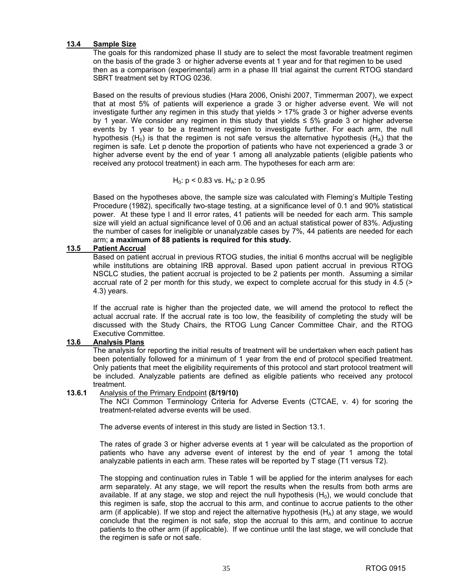#### **13.4 Sample Size**

 The goals for this randomized phase II study are to select the most favorable treatment regimen on the basis of the grade 3 or higher adverse events at 1 year and for that regimen to be used then as a comparison (experimental) arm in a phase III trial against the current RTOG standard SBRT treatment set by RTOG 0236.

Based on the results of previous studies (Hara 2006, Onishi 2007, Timmerman 2007), we expect that at most 5% of patients will experience a grade 3 or higher adverse event. We will not investigate further any regimen in this study that yields > 17% grade 3 or higher adverse events by 1 year. We consider any regimen in this study that yields  $\leq 5\%$  grade 3 or higher adverse events by 1 year to be a treatment regimen to investigate further. For each arm, the null hypothesis (H<sub>0</sub>) is that the regimen is not safe versus the alternative hypothesis (H<sub>A</sub>) that the regimen is safe. Let p denote the proportion of patients who have not experienced a grade 3 or higher adverse event by the end of year 1 among all analyzable patients (eligible patients who received any protocol treatment) in each arm. The hypotheses for each arm are:

$$
H_0
$$
: p < 0.83 vs.  $H_A$ : p  $\geq$  0.95

Based on the hypotheses above, the sample size was calculated with Fleming's Multiple Testing Procedure (1982), specifically two-stage testing, at a significance level of 0.1 and 90% statistical power. At these type I and II error rates, 41 patients will be needed for each arm. This sample size will yield an actual significance level of 0.06 and an actual statistical power of 83%. Adjusting the number of cases for ineligible or unanalyzable cases by 7%, 44 patients are needed for each arm; **a maximum of 88 patients is required for this study.** 

#### **13.5 Patient Accrual**

 Based on patient accrual in previous RTOG studies, the initial 6 months accrual will be negligible while institutions are obtaining IRB approval. Based upon patient accrual in previous RTOG NSCLC studies, the patient accrual is projected to be 2 patients per month. Assuming a similar accrual rate of 2 per month for this study, we expect to complete accrual for this study in 4.5 (> 4.3) years.

 If the accrual rate is higher than the projected date, we will amend the protocol to reflect the actual accrual rate. If the accrual rate is too low, the feasibility of completing the study will be discussed with the Study Chairs, the RTOG Lung Cancer Committee Chair, and the RTOG Executive Committee.

#### **13.6 Analysis Plans**

The analysis for reporting the initial results of treatment will be undertaken when each patient has been potentially followed for a minimum of 1 year from the end of protocol specified treatment. Only patients that meet the eligibility requirements of this protocol and start protocol treatment will be included. Analyzable patients are defined as eligible patients who received any protocol treatment.

#### **13.6.1** Analysis of the Primary Endpoint **(8/19/10)**

The NCI Common Terminology Criteria for Adverse Events (CTCAE, v. 4) for scoring the treatment-related adverse events will be used.

The adverse events of interest in this study are listed in Section 13.1.

The rates of grade 3 or higher adverse events at 1 year will be calculated as the proportion of patients who have any adverse event of interest by the end of year 1 among the total analyzable patients in each arm. These rates will be reported by T stage (T1 versus T2).

 The stopping and continuation rules in Table 1 will be applied for the interim analyses for each arm separately. At any stage, we will report the results when the results from both arms are available. If at any stage, we stop and reject the null hypothesis  $(H<sub>0</sub>)$ , we would conclude that this regimen is safe, stop the accrual to this arm, and continue to accrue patients to the other arm (if applicable). If we stop and reject the alternative hypothesis  $(H_A)$  at any stage, we would conclude that the regimen is not safe, stop the accrual to this arm, and continue to accrue patients to the other arm (if applicable). If we continue until the last stage, we will conclude that the regimen is safe or not safe.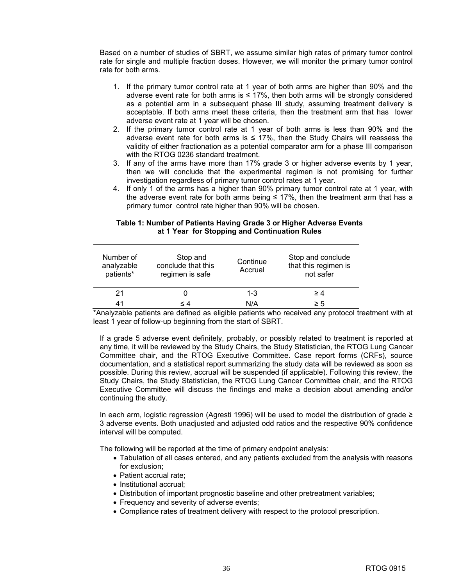Based on a number of studies of SBRT, we assume similar high rates of primary tumor control rate for single and multiple fraction doses. However, we will monitor the primary tumor control rate for both arms.

- 1. If the primary tumor control rate at 1 year of both arms are higher than 90% and the adverse event rate for both arms is  $\leq 17\%$ , then both arms will be strongly considered as a potential arm in a subsequent phase III study, assuming treatment delivery is acceptable. If both arms meet these criteria, then the treatment arm that has lower adverse event rate at 1 year will be chosen.
- 2. If the primary tumor control rate at 1 year of both arms is less than 90% and the adverse event rate for both arms is  $\leq$  17%, then the Study Chairs will reassess the validity of either fractionation as a potential comparator arm for a phase III comparison with the RTOG 0236 standard treatment.
- 3. If any of the arms have more than 17% grade 3 or higher adverse events by 1 year, then we will conclude that the experimental regimen is not promising for further investigation regardless of primary tumor control rates at 1 year.
- 4. If only 1 of the arms has a higher than 90% primary tumor control rate at 1 year, with the adverse event rate for both arms being  $\leq$  17%, then the treatment arm that has a primary tumor control rate higher than 90% will be chosen.

#### **Table 1: Number of Patients Having Grade 3 or Higher Adverse Events at 1 Year for Stopping and Continuation Rules**

| Number of<br>analyzable<br>patients* | Stop and<br>conclude that this<br>regimen is safe | Continue<br>Accrual | Stop and conclude<br>that this regimen is<br>not safer |
|--------------------------------------|---------------------------------------------------|---------------------|--------------------------------------------------------|
| 21                                   |                                                   | $1 - 3$             | $\geq 4$                                               |
| 41                                   | < 4                                               | N/A                 | $\geq 5$                                               |

\*Analyzable patients are defined as eligible patients who received any protocol treatment with at least 1 year of follow-up beginning from the start of SBRT.

If a grade 5 adverse event definitely, probably, or possibly related to treatment is reported at any time, it will be reviewed by the Study Chairs, the Study Statistician, the RTOG Lung Cancer Committee chair, and the RTOG Executive Committee. Case report forms (CRFs), source documentation, and a statistical report summarizing the study data will be reviewed as soon as possible. During this review, accrual will be suspended (if applicable). Following this review, the Study Chairs, the Study Statistician, the RTOG Lung Cancer Committee chair, and the RTOG Executive Committee will discuss the findings and make a decision about amending and/or continuing the study.

In each arm, logistic regression (Agresti 1996) will be used to model the distribution of grade ≥ 3 adverse events. Both unadjusted and adjusted odd ratios and the respective 90% confidence interval will be computed.

The following will be reported at the time of primary endpoint analysis:

- Tabulation of all cases entered, and any patients excluded from the analysis with reasons for exclusion;
- Patient accrual rate;
- Institutional accrual;
- Distribution of important prognostic baseline and other pretreatment variables;
- Frequency and severity of adverse events;
- Compliance rates of treatment delivery with respect to the protocol prescription.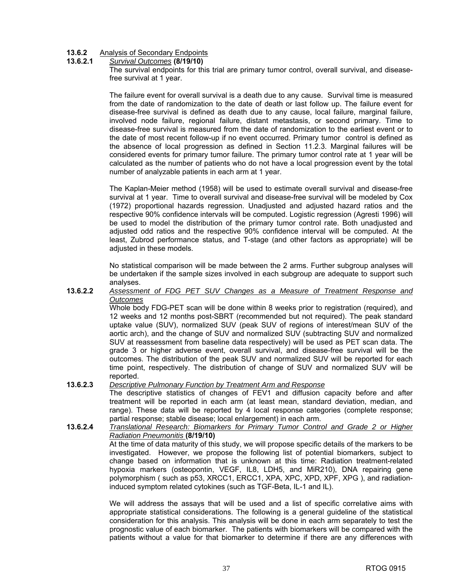#### **13.6.2** Analysis of Secondary Endpoints

#### **13.6.2.1** *Survival Outcomes* **(8/19/10)**

The survival endpoints for this trial are primary tumor control, overall survival, and diseasefree survival at 1 year.

 The failure event for overall survival is a death due to any cause. Survival time is measured from the date of randomization to the date of death or last follow up. The failure event for disease-free survival is defined as death due to any cause, local failure, marginal failure, involved node failure, regional failure, distant metastasis, or second primary. Time to disease-free survival is measured from the date of randomization to the earliest event or to the date of most recent follow-up if no event occurred. Primary tumor control is defined as the absence of local progression as defined in Section 11.2.3. Marginal failures will be considered events for primary tumor failure. The primary tumor control rate at 1 year will be calculated as the number of patients who do not have a local progression event by the total number of analyzable patients in each arm at 1 year.

 The Kaplan-Meier method (1958) will be used to estimate overall survival and disease-free survival at 1 year. Time to overall survival and disease-free survival will be modeled by Cox (1972) proportional hazards regression. Unadjusted and adjusted hazard ratios and the respective 90% confidence intervals will be computed. Logistic regression (Agresti 1996) will be used to model the distribution of the primary tumor control rate. Both unadjusted and adjusted odd ratios and the respective 90% confidence interval will be computed. At the least, Zubrod performance status, and T-stage (and other factors as appropriate) will be adjusted in these models.

 No statistical comparison will be made between the 2 arms. Further subgroup analyses will be undertaken if the sample sizes involved in each subgroup are adequate to support such analyses.

#### **13.6.2.2** *Assessment of FDG PET SUV Changes as a Measure of Treatment Response and Outcomes*

Whole body FDG-PET scan will be done within 8 weeks prior to registration (required), and 12 weeks and 12 months post-SBRT (recommended but not required). The peak standard uptake value (SUV), normalized SUV (peak SUV of regions of interest/mean SUV of the aortic arch), and the change of SUV and normalized SUV (subtracting SUV and normalized SUV at reassessment from baseline data respectively) will be used as PET scan data. The grade 3 or higher adverse event, overall survival, and disease-free survival will be the outcomes. The distribution of the peak SUV and normalized SUV will be reported for each time point, respectively. The distribution of change of SUV and normalized SUV will be reported.

#### **13.6.2.3** *Descriptive Pulmonary Function by Treatment Arm and Response*

The descriptive statistics of changes of FEV1 and diffusion capacity before and after treatment will be reported in each arm (at least mean, standard deviation, median, and range). These data will be reported by 4 local response categories (complete response; partial response; stable disease; local enlargement) in each arm.

#### **13.6.2.4** *Translational Research: Biomarkers for Primary Tumor Control and Grade 2 or Higher Radiation Pneumonitis* **(8/19/10)**  At the time of data maturity of this study, we will propose specific details of the markers to be investigated. However, we propose the following list of potential biomarkers, subject to change based on information that is unknown at this time: Radiation treatment-related hypoxia markers (osteopontin, VEGF, IL8, LDH5, and MiR210), DNA repairing gene

We will address the assays that will be used and a list of specific correlative aims with appropriate statistical considerations. The following is a general guideline of the statistical consideration for this analysis. This analysis will be done in each arm separately to test the prognostic value of each biomarker. The patients with biomarkers will be compared with the patients without a value for that biomarker to determine if there are any differences with

polymorphism ( such as p53, XRCC1, ERCC1, XPA, XPC, XPD, XPF, XPG ), and radiation-

induced symptom related cytokines (such as TGF-Beta, IL-1 and IL).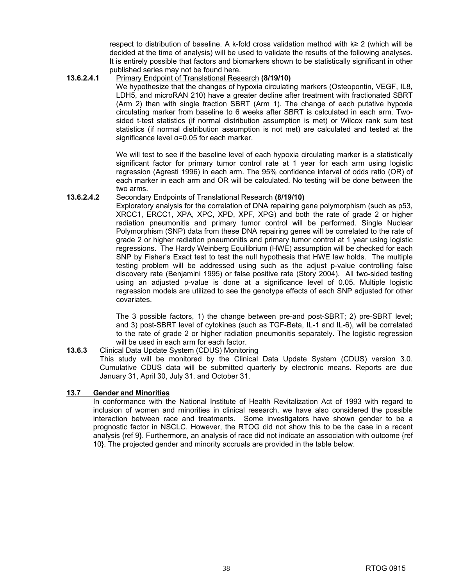respect to distribution of baseline. A k-fold cross validation method with k≥ 2 (which will be decided at the time of analysis) will be used to validate the results of the following analyses. It is entirely possible that factors and biomarkers shown to be statistically significant in other published series may not be found here.

#### **13.6.2.4.1** Primary Endpoint of Translational Research **(8/19/10)**

We hypothesize that the changes of hypoxia circulating markers (Osteopontin, VEGF, IL8, LDH5, and microRAN 210) have a greater decline after treatment with fractionated SBRT (Arm 2) than with single fraction SBRT (Arm 1). The change of each putative hypoxia circulating marker from baseline to 6 weeks after SBRT is calculated in each arm. Twosided t-test statistics (if normal distribution assumption is met) or Wilcox rank sum test statistics (if normal distribution assumption is not met) are calculated and tested at the significance level  $\alpha$ =0.05 for each marker.

We will test to see if the baseline level of each hypoxia circulating marker is a statistically significant factor for primary tumor control rate at 1 year for each arm using logistic regression (Agresti 1996) in each arm. The 95% confidence interval of odds ratio (OR) of each marker in each arm and OR will be calculated. No testing will be done between the two arms.

#### **13.6.2.4.2** Secondary Endpoints of Translational Research **(8/19/10)**

Exploratory analysis for the correlation of DNA repairing gene polymorphism (such as p53, XRCC1, ERCC1, XPA, XPC, XPD, XPF, XPG) and both the rate of grade 2 or higher radiation pneumonitis and primary tumor control will be performed. Single Nuclear Polymorphism (SNP) data from these DNA repairing genes will be correlated to the rate of grade 2 or higher radiation pneumonitis and primary tumor control at 1 year using logistic regressions. The Hardy Weinberg Equilibrium (HWE) assumption will be checked for each SNP by Fisher's Exact test to test the null hypothesis that HWE law holds. The multiple testing problem will be addressed using such as the adjust p-value controlling false discovery rate (Benjamini 1995) or false positive rate (Story 2004). All two-sided testing using an adjusted p-value is done at a significance level of 0.05. Multiple logistic regression models are utilized to see the genotype effects of each SNP adjusted for other covariates.

The 3 possible factors, 1) the change between pre-and post-SBRT; 2) pre-SBRT level; and 3) post-SBRT level of cytokines (such as TGF-Beta, IL-1 and IL-6), will be correlated to the rate of grade 2 or higher radiation pneumonitis separately. The logistic regression will be used in each arm for each factor.

#### **13.6.3** Clinical Data Update System (CDUS) Monitoring This study will be monitored by the Clinical Data Update System (CDUS) version 3.0. Cumulative CDUS data will be submitted quarterly by electronic means. Reports are due January 31, April 30, July 31, and October 31.

#### **13.7 Gender and Minorities**

In conformance with the National Institute of Health Revitalization Act of 1993 with regard to inclusion of women and minorities in clinical research, we have also considered the possible interaction between race and treatments. Some investigators have shown gender to be a prognostic factor in NSCLC. However, the RTOG did not show this to be the case in a recent analysis {ref 9}. Furthermore, an analysis of race did not indicate an association with outcome {ref 10}. The projected gender and minority accruals are provided in the table below.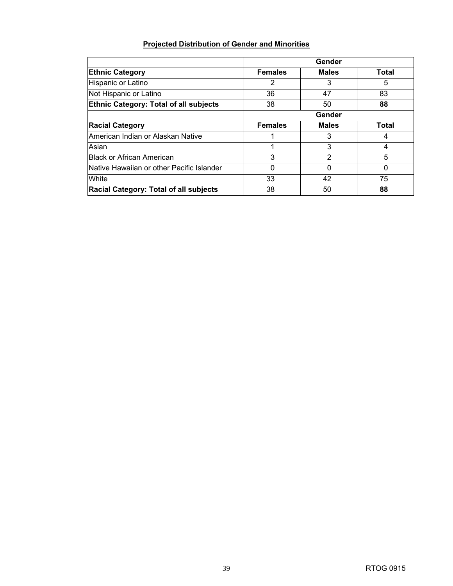#### **Projected Distribution of Gender and Minorities**

|                                               | Gender         |              |              |  |
|-----------------------------------------------|----------------|--------------|--------------|--|
| <b>Ethnic Category</b>                        | <b>Females</b> | <b>Males</b> | <b>Total</b> |  |
| Hispanic or Latino                            | $\overline{2}$ | 3            | 5            |  |
| Not Hispanic or Latino                        | 36             | 47           | 83           |  |
| <b>Ethnic Category: Total of all subjects</b> | 38             | 50           | 88           |  |
|                                               |                | Gender       |              |  |
| <b>Racial Category</b>                        | <b>Females</b> | <b>Males</b> | Total        |  |
| American Indian or Alaskan Native             |                | 3            | 4            |  |
| Asian                                         | 1              | 3            | 4            |  |
| <b>Black or African American</b>              | 3              | 2            | 5            |  |
| Native Hawaiian or other Pacific Islander     | 0              | 0            | 0            |  |
| <b>White</b>                                  | 33             | 42           | 75           |  |
| Racial Category: Total of all subjects        | 38             | 50           | 88           |  |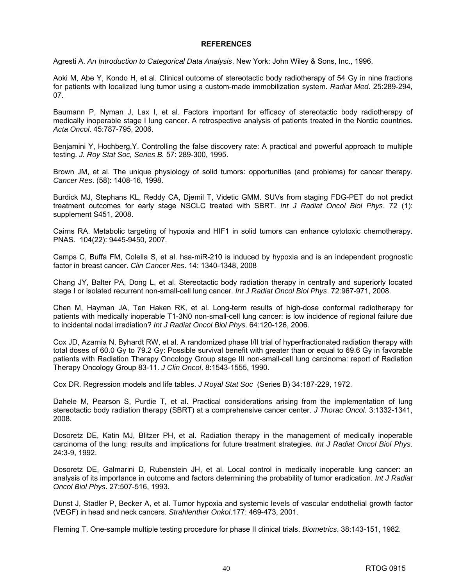#### **REFERENCES**

Agresti A. *An Introduction to Categorical Data Analysis*. New York: John Wiley & Sons, Inc., 1996.

Aoki M, Abe Y, Kondo H, et al. Clinical outcome of stereotactic body radiotherapy of 54 Gy in nine fractions for patients with localized lung tumor using a custom-made immobilization system. *Radiat Med*. 25:289-294, 07.

Baumann P, Nyman J, Lax I, et al. Factors important for efficacy of stereotactic body radiotherapy of medically inoperable stage I lung cancer. A retrospective analysis of patients treated in the Nordic countries. *Acta Oncol*. 45:787-795, 2006.

Benjamini Y, Hochberg,Y. Controlling the false discovery rate: A practical and powerful approach to multiple testing. *J. Roy Stat Soc, Series B.* 57: 289-300, 1995.

Brown JM, et al. The unique physiology of solid tumors: opportunities (and problems) for cancer therapy. *Cancer Res*. (58): 1408-16, 1998.

Burdick MJ, Stephans KL, Reddy CA, Djemil T, Videtic GMM. SUVs from staging FDG-PET do not predict treatment outcomes for early stage NSCLC treated with SBRT. *Int J Radiat Oncol Biol Phys*. 72 (1): supplement S451, 2008.

Cairns RA. Metabolic targeting of hypoxia and HIF1 in solid tumors can enhance cytotoxic chemotherapy. PNAS. 104(22): 9445-9450, 2007.

Camps C, Buffa FM, Colella S, et al. hsa-miR-210 is induced by hypoxia and is an independent prognostic factor in breast cancer. *Clin Cancer Res*. 14: 1340-1348, 2008

Chang JY, Balter PA, Dong L, et al. Stereotactic body radiation therapy in centrally and superiorly located stage I or isolated recurrent non-small-cell lung cancer. *Int J Radiat Oncol Biol Phys*. 72:967-971, 2008.

Chen M, Hayman JA, Ten Haken RK, et al. Long-term results of high-dose conformal radiotherapy for patients with medically inoperable T1-3N0 non-small-cell lung cancer: is low incidence of regional failure due to incidental nodal irradiation? *Int J Radiat Oncol Biol Phys*. 64:120-126, 2006.

Cox JD, Azarnia N, Byhardt RW, et al. A randomized phase I/II trial of hyperfractionated radiation therapy with total doses of 60.0 Gy to 79.2 Gy: Possible survival benefit with greater than or equal to 69.6 Gy in favorable patients with Radiation Therapy Oncology Group stage III non-small-cell lung carcinoma: report of Radiation Therapy Oncology Group 83-11. *J Clin Oncol*. 8:1543-1555, 1990.

Cox DR. Regression models and life tables. *J Royal Stat Soc* (Series B) 34:187-229, 1972.

Dahele M, Pearson S, Purdie T, et al. Practical considerations arising from the implementation of lung stereotactic body radiation therapy (SBRT) at a comprehensive cancer center. *J Thorac Oncol*. 3:1332-1341, 2008.

Dosoretz DE, Katin MJ, Blitzer PH, et al. Radiation therapy in the management of medically inoperable carcinoma of the lung: results and implications for future treatment strategies. *Int J Radiat Oncol Biol Phys*. 24:3-9, 1992.

Dosoretz DE, Galmarini D, Rubenstein JH, et al. Local control in medically inoperable lung cancer: an analysis of its importance in outcome and factors determining the probability of tumor eradication. *Int J Radiat Oncol Biol Phys*. 27:507-516, 1993.

Dunst J, Stadler P, Becker A, et al. Tumor hypoxia and systemic levels of vascular endothelial growth factor (VEGF) in head and neck cancers*. Strahlenther Onkol*.177: 469-473, 2001.

Fleming T. One-sample multiple testing procedure for phase II clinical trials. *Biometrics*. 38:143-151, 1982.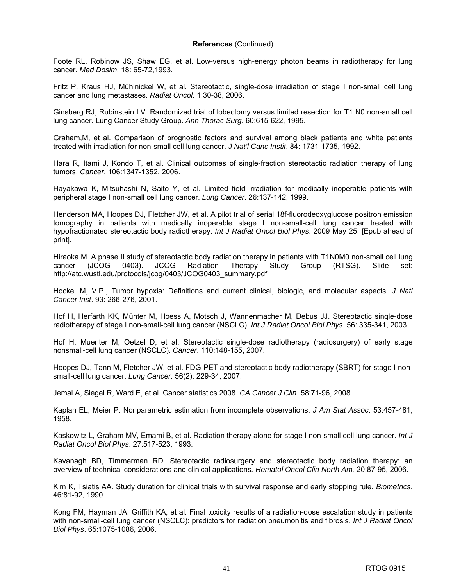Foote RL, Robinow JS, Shaw EG, et al. Low-versus high-energy photon beams in radiotherapy for lung cancer. *Med Dosim*. 18: 65-72,1993.

Fritz P, Kraus HJ, Mühlnickel W, et al. Stereotactic, single-dose irradiation of stage I non-small cell lung cancer and lung metastases. *Radiat Oncol*. 1:30-38, 2006.

Ginsberg RJ, Rubinstein LV. Randomized trial of lobectomy versus limited resection for T1 N0 non-small cell lung cancer. Lung Cancer Study Group. *Ann Thorac Surg*. 60:615-622, 1995.

Graham,M, et al. Comparison of prognostic factors and survival among black patients and white patients treated with irradiation for non-small cell lung cancer. *J Nat'l Canc Instit*. 84: 1731-1735, 1992.

Hara R, Itami J, Kondo T, et al. Clinical outcomes of single-fraction stereotactic radiation therapy of lung tumors. *Cancer*. 106:1347-1352, 2006.

Hayakawa K, Mitsuhashi N, Saito Y, et al. Limited field irradiation for medically inoperable patients with peripheral stage I non-small cell lung cancer. *Lung Cancer*. 26:137-142, 1999.

Henderson MA, Hoopes DJ, Fletcher JW, et al. A pilot trial of serial 18f-fluorodeoxyglucose positron emission tomography in patients with medically inoperable stage I non-small-cell lung cancer treated with hypofractionated stereotactic body radiotherapy. *Int J Radiat Oncol Biol Phys*. 2009 May 25. [Epub ahead of print].

Hiraoka M. A phase II study of stereotactic body radiation therapy in patients with T1N0M0 non-small cell lung cancer (JCOG 0403). JCOG Radiation Therapy Study Group (RTSG). Slide set: [http://atc.wustl.edu/protocols/jcog/0403/JCOG0403\\_summary.pdf](http://atc.wustl.edu/protocols/jcog/0403/JCOG0403_summary.pdf) 

Hockel M, V.P., Tumor hypoxia: Definitions and current clinical, biologic, and molecular aspects. *J Natl Cancer Inst*. 93: 266-276, 2001.

Hof H, Herfarth KK, Münter M, Hoess A, Motsch J, Wannenmacher M, Debus JJ. Stereotactic single-dose radiotherapy of stage I non-small-cell lung cancer (NSCLC). *Int J Radiat Oncol Biol Phys*. 56: 335-341, 2003.

Hof H, Muenter M, Oetzel D, et al. Stereotactic single-dose radiotherapy (radiosurgery) of early stage nonsmall-cell lung cancer (NSCLC). *Cancer*. 110:148-155, 2007.

Hoopes DJ, Tann M, Fletcher JW, et al. FDG-PET and stereotactic body radiotherapy (SBRT) for stage I nonsmall-cell lung cancer. *Lung Cancer*. 56(2): 229-34, 2007.

Jemal A, Siegel R, Ward E, et al. Cancer statistics 2008. *CA Cancer J Clin*. 58:71-96, 2008.

Kaplan EL, Meier P. Nonparametric estimation from incomplete observations. *J Am Stat Assoc*. 53:457-481, 1958.

Kaskowitz L, Graham MV, Emami B, et al. Radiation therapy alone for stage I non-small cell lung cancer. *Int J Radiat Oncol Biol Phys*. 27:517-523, 1993.

Kavanagh BD, Timmerman RD. Stereotactic radiosurgery and stereotactic body radiation therapy: an overview of technical considerations and clinical applications*. Hematol Oncol Clin North Am.* 20:87-95, 2006.

Kim K, Tsiatis AA. Study duration for clinical trials with survival response and early stopping rule. *Biometrics*. 46:81-92, 1990.

Kong FM, Hayman JA, Griffith KA, et al. Final toxicity results of a radiation-dose escalation study in patients with non-small-cell lung cancer (NSCLC): predictors for radiation pneumonitis and fibrosis. *Int J Radiat Oncol Biol Phys*. 65:1075-1086, 2006.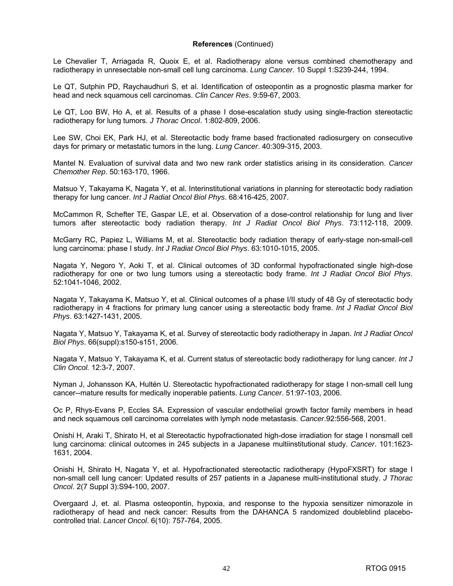Le Chevalier T, Arriagada R, Quoix E, et al. Radiotherapy alone versus combined chemotherapy and radiotherapy in unresectable non-small cell lung carcinoma. *Lung Cancer*. 10 Suppl 1:S239-244, 1994.

Le QT, Sutphin PD, Raychaudhuri S, et al. Identification of osteopontin as a prognostic plasma marker for head and neck squamous cell carcinomas. *Clin Cancer Res*. 9:59-67, 2003.

Le QT, Loo BW, Ho A, et al. Results of a phase I dose-escalation study using single-fraction stereotactic radiotherapy for lung tumors. *J Thorac Oncol*. 1:802-809, 2006.

Lee SW, Choi EK, Park HJ, et al. Stereotactic body frame based fractionated radiosurgery on consecutive days for primary or metastatic tumors in the lung. *Lung Cancer*. 40:309-315, 2003.

Mantel N. Evaluation of survival data and two new rank order statistics arising in its consideration. *Cancer Chemother Rep*. 50:163-170, 1966.

Matsuo Y, Takayama K, Nagata Y, et al. Interinstitutional variations in planning for stereotactic body radiation therapy for lung cancer. *Int J Radiat Oncol Biol Phys*. 68:416-425, 2007.

McCammon R, Schefter TE, Gaspar LE, et al. Observation of a dose-control relationship for lung and liver tumors after stereotactic body radiation therapy. *Int J Radiat Oncol Biol Phys*. 73:112-118, 2009.

McGarry RC, Papiez L, Williams M, et al. Stereotactic body radiation therapy of early-stage non-small-cell lung carcinoma: phase I study. *Int J Radiat Oncol Biol Phys*. 63:1010-1015, 2005.

Nagata Y, Negoro Y, Aoki T, et al. Clinical outcomes of 3D conformal hypofractionated single high-dose radiotherapy for one or two lung tumors using a stereotactic body frame. *Int J Radiat Oncol Biol Phys*. 52:1041-1046, 2002.

Nagata Y, Takayama K, Matsuo Y, et al. Clinical outcomes of a phase I/II study of 48 Gy of stereotactic body radiotherapy in 4 fractions for primary lung cancer using a stereotactic body frame. *Int J Radiat Oncol Biol Phys*. 63:1427-1431, 2005.

Nagata Y, Matsuo Y, Takayama K, et al. Survey of stereotactic body radiotherapy in Japan. *Int J Radiat Oncol Biol Phys*. 66(suppl):s150-s151, 2006.

Nagata Y, Matsuo Y, Takayama K, et al. Current status of stereotactic body radiotherapy for lung cancer. *Int J Clin Oncol.* 12:3-7, 2007.

Nyman J, Johansson KA, Hultén U. Stereotactic hypofractionated radiotherapy for stage I non-small cell lung cancer--mature results for medically inoperable patients. *Lung Cancer*. 51:97-103, 2006.

Oc P, Rhys-Evans P, Eccles SA. Expression of vascular endothelial growth factor family members in head and neck squamous cell carcinoma correlates with lymph node metastasis. *Cancer*.92:556-568, 2001.

Onishi H, Araki T, Shirato H, et al Stereotactic hypofractionated high-dose irradiation for stage I nonsmall cell lung carcinoma: clinical outcomes in 245 subjects in a Japanese multiinstitutional study. *Cancer*. 101:1623- 1631, 2004.

Onishi H, Shirato H, Nagata Y, et al. Hypofractionated stereotactic radiotherapy (HypoFXSRT) for stage I non-small cell lung cancer: Updated results of 257 patients in a Japanese multi-institutional study. *J Thorac Oncol*. 2(7 Suppl 3):S94-100, 2007.

Overgaard J, et. al. Plasma osteopontin, hypoxia, and response to the hypoxia sensitizer nimorazole in radiotherapy of head and neck cancer: Results from the DAHANCA 5 randomized doubleblind placebocontrolled trial. *Lancet Oncol*. 6(10): 757-764, 2005.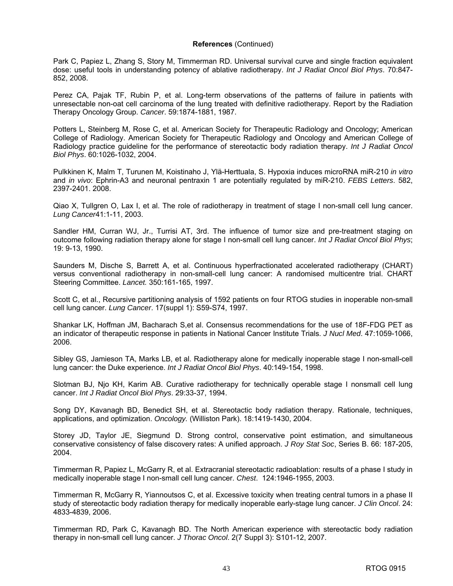Park C, Papiez L, Zhang S, Story M, Timmerman RD. Universal survival curve and single fraction equivalent dose: useful tools in understanding potency of ablative radiotherapy. *Int J Radiat Oncol Biol Phys*. 70:847- 852, 2008.

Perez CA, Pajak TF, Rubin P, et al. Long-term observations of the patterns of failure in patients with unresectable non-oat cell carcinoma of the lung treated with definitive radiotherapy. Report by the Radiation Therapy Oncology Group. *Cancer*. 59:1874-1881, 1987.

Potters L, Steinberg M, Rose C, et al. American Society for Therapeutic Radiology and Oncology; American College of Radiology. American Society for Therapeutic Radiology and Oncology and American College of Radiology practice guideline for the performance of stereotactic body radiation therapy. *Int J Radiat Oncol Biol Phys*. 60:1026-1032, 2004.

Pulkkinen K, Malm T, Turunen M, Koistinaho J, Ylä-Herttuala, S. Hypoxia induces microRNA miR-210 *in vitro* and *in vivo*: Ephrin-A3 and neuronal pentraxin 1 are potentially regulated by miR-210. *FEBS Letters*. 582, 2397-2401. 2008.

Qiao X, Tullgren O, Lax I, et al. The role of radiotherapy in treatment of stage I non-small cell lung cancer. *Lung Cancer*41:1-11, 2003.

Sandler HM, Curran WJ, Jr., Turrisi AT, 3rd. The influence of tumor size and pre-treatment staging on outcome following radiation therapy alone for stage I non-small cell lung cancer. *Int J Radiat Oncol Biol Phys*; 19: 9-13, 1990.

Saunders M, Dische S, Barrett A, et al. Continuous hyperfractionated accelerated radiotherapy (CHART) versus conventional radiotherapy in non-small-cell lung cancer: A randomised multicentre trial. CHART Steering Committee. *Lancet.* 350:161-165, 1997.

Scott C, et al., Recursive partitioning analysis of 1592 patients on four RTOG studies in inoperable non-small cell lung cancer. *Lung Cancer*. 17(suppl 1): S59-S74, 1997.

Shankar LK, Hoffman JM, Bacharach S,et al. Consensus recommendations for the use of 18F-FDG PET as an indicator of therapeutic response in patients in National Cancer Institute Trials. *J Nucl Med*. 47:1059-1066, 2006.

Sibley GS, Jamieson TA, Marks LB, et al. Radiotherapy alone for medically inoperable stage I non-small-cell lung cancer: the Duke experience. *Int J Radiat Oncol Biol Phys*. 40:149-154, 1998.

Slotman BJ, Njo KH, Karim AB. Curative radiotherapy for technically operable stage I nonsmall cell lung cancer. *Int J Radiat Oncol Biol Phys*. 29:33-37, 1994.

Song DY, Kavanagh BD, Benedict SH, et al. Stereotactic body radiation therapy. Rationale, techniques, applications, and optimization. *Oncology.* (Williston Park). 18:1419-1430, 2004.

Storey JD, Taylor JE, Siegmund D. Strong control, conservative point estimation, and simultaneous conservative consistency of false discovery rates: A unified approach. *J Roy Stat Soc*, Series B. 66: 187-205, 2004.

Timmerman R, Papiez L, McGarry R, et al. Extracranial stereotactic radioablation: results of a phase I study in medically inoperable stage I non-small cell lung cancer. *Chest*. 124:1946-1955, 2003.

Timmerman R, McGarry R, Yiannoutsos C, et al. Excessive toxicity when treating central tumors in a phase II study of stereotactic body radiation therapy for medically inoperable early-stage lung cancer. *J Clin Oncol*. 24: 4833-4839, 2006.

Timmerman RD, Park C, Kavanagh BD. The North American experience with stereotactic body radiation therapy in non-small cell lung cancer. *J Thorac Oncol*. 2(7 Suppl 3): S101-12, 2007.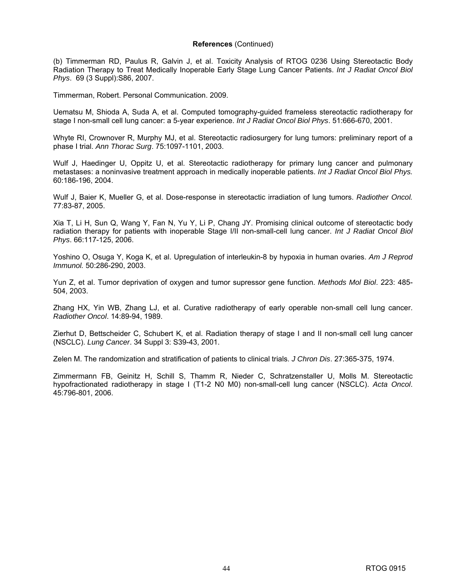(b) Timmerman RD, Paulus R, Galvin J, et al. Toxicity Analysis of RTOG 0236 Using Stereotactic Body Radiation Therapy to Treat Medically Inoperable Early Stage Lung Cancer Patients. *Int J Radiat Oncol Biol Phys*. 69 (3 Suppl):S86, 2007.

Timmerman, Robert. Personal Communication. 2009.

Uematsu M, Shioda A, Suda A, et al. Computed tomography-guided frameless stereotactic radiotherapy for stage I non-small cell lung cancer: a 5-year experience. *Int J Radiat Oncol Biol Phys*. 51:666-670, 2001.

Whyte RI, Crownover R, Murphy MJ, et al. Stereotactic radiosurgery for lung tumors: preliminary report of a phase I trial. *Ann Thorac Surg*. 75:1097-1101, 2003.

Wulf J, Haedinger U, Oppitz U, et al. Stereotactic radiotherapy for primary lung cancer and pulmonary metastases: a noninvasive treatment approach in medically inoperable patients. *Int J Radiat Oncol Biol Phys.* 60:186-196, 2004.

Wulf J, Baier K, Mueller G, et al. Dose-response in stereotactic irradiation of lung tumors. *Radiother Oncol.* 77:83-87, 2005.

Xia T, Li H, Sun Q, Wang Y, Fan N, Yu Y, Li P, Chang JY. Promising clinical outcome of stereotactic body radiation therapy for patients with inoperable Stage I/II non-small-cell lung cancer. *Int J Radiat Oncol Biol Phys*. 66:117-125, 2006.

Yoshino O, Osuga Y, Koga K, et al. Upregulation of interleukin-8 by hypoxia in human ovaries. *Am J Reprod Immunol.* 50:286-290, 2003.

Yun Z, et al. Tumor deprivation of oxygen and tumor supressor gene function. *Methods Mol Biol*. 223: 485- 504, 2003.

Zhang HX, Yin WB, Zhang LJ, et al. Curative radiotherapy of early operable non-small cell lung cancer. *Radiother Oncol*. 14:89-94, 1989.

Zierhut D, Bettscheider C, Schubert K, et al. Radiation therapy of stage I and II non-small cell lung cancer (NSCLC). *Lung Cancer*. 34 Suppl 3: S39-43, 2001.

Zelen M. The randomization and stratification of patients to clinical trials. *J Chron Dis*. 27:365-375, 1974.

Zimmermann FB, Geinitz H, Schill S, Thamm R, Nieder C, Schratzenstaller U, Molls M. Stereotactic hypofractionated radiotherapy in stage I (T1-2 N0 M0) non-small-cell lung cancer (NSCLC). *Acta Oncol*. 45:796-801, 2006.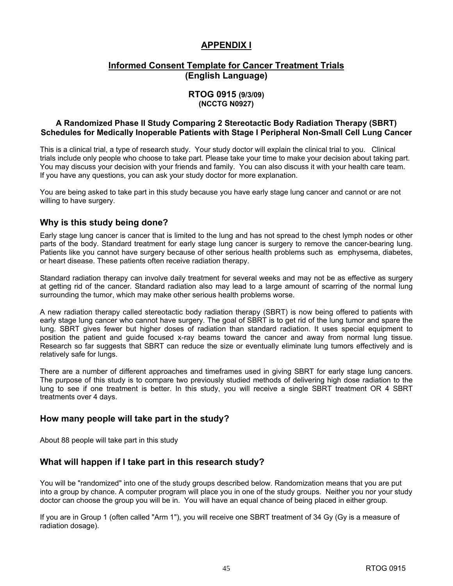#### **APPENDIX I**

#### **Informed Consent Template for Cancer Treatment Trials (English Language)**

#### **RTOG 0915 (9/3/09) (NCCTG N0927)**

#### **A Randomized Phase II Study Comparing 2 Stereotactic Body Radiation Therapy (SBRT) Schedules for Medically Inoperable Patients with Stage I Peripheral Non-Small Cell Lung Cancer**

This is a clinical trial, a type of research study. Your study doctor will explain the clinical trial to you. Clinical trials include only people who choose to take part. Please take your time to make your decision about taking part. You may discuss your decision with your friends and family. You can also discuss it with your health care team. If you have any questions, you can ask your study doctor for more explanation.

You are being asked to take part in this study because you have early stage lung cancer and cannot or are not willing to have surgery.

#### **Why is this study being done?**

Early stage lung cancer is cancer that is limited to the lung and has not spread to the chest lymph nodes or other parts of the body. Standard treatment for early stage lung cancer is surgery to remove the cancer-bearing lung. Patients like you cannot have surgery because of other serious health problems such as emphysema, diabetes, or heart disease. These patients often receive radiation therapy.

Standard radiation therapy can involve daily treatment for several weeks and may not be as effective as surgery at getting rid of the cancer. Standard radiation also may lead to a large amount of scarring of the normal lung surrounding the tumor, which may make other serious health problems worse.

A new radiation therapy called stereotactic body radiation therapy (SBRT) is now being offered to patients with early stage lung cancer who cannot have surgery. The goal of SBRT is to get rid of the lung tumor and spare the lung. SBRT gives fewer but higher doses of radiation than standard radiation. It uses special equipment to position the patient and guide focused x-ray beams toward the cancer and away from normal lung tissue. Research so far suggests that SBRT can reduce the size or eventually eliminate lung tumors effectively and is relatively safe for lungs.

There are a number of different approaches and timeframes used in giving SBRT for early stage lung cancers. The purpose of this study is to compare two previously studied methods of delivering high dose radiation to the lung to see if one treatment is better. In this study, you will receive a single SBRT treatment OR 4 SBRT treatments over 4 days.

#### **How many people will take part in the study?**

About 88 people will take part in this study

#### **What will happen if I take part in this research study?**

You will be "randomized" into one of the study groups described below. Randomization means that you are put into a group by chance. A computer program will place you in one of the study groups. Neither you nor your study doctor can choose the group you will be in. You will have an equal chance of being placed in either group.

If you are in Group 1 (often called "Arm 1"), you will receive one SBRT treatment of 34 Gy (Gy is a measure of radiation dosage).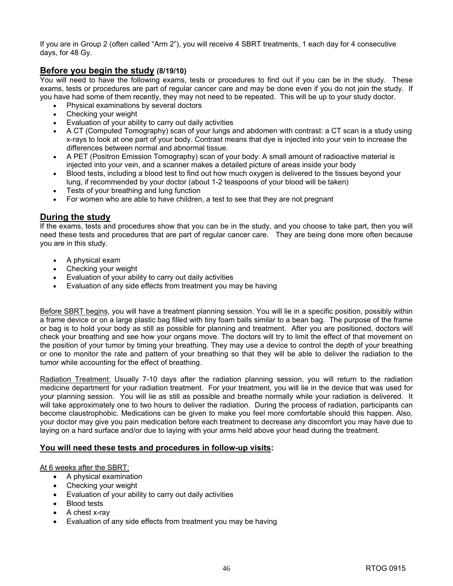If you are in Group 2 (often called "Arm 2"), you will receive 4 SBRT treatments, 1 each day for 4 consecutive days, for 48 Gy.

#### **Before you begin the study (8/19/10)**

You will need to have the following exams, tests or procedures to find out if you can be in the study. These exams, tests or procedures are part of regular cancer care and may be done even if you do not join the study. If you have had some of them recently, they may not need to be repeated. This will be up to your study doctor.

- Physical examinations by several doctors
- Checking your weight
- Evaluation of your ability to carry out daily activities
- A CT (Computed Tomography) scan of your lungs and abdomen with contrast: a CT scan is a study using x-rays to look at one part of your body. Contrast means that dye is injected into your vein to increase the differences between normal and abnormal tissue.
- A PET (Positron Emission Tomography) scan of your body: A small amount of radioactive material is injected into your vein, and a scanner makes a detailed picture of areas inside your body
- Blood tests, including a blood test to find out how much oxygen is delivered to the tissues beyond your lung, if recommended by your doctor (about 1-2 teaspoons of your blood will be taken)
- Tests of your breathing and lung function
- For women who are able to have children, a test to see that they are not pregnant

#### **During the study**

If the exams, tests and procedures show that you can be in the study, and you choose to take part, then you will need these tests and procedures that are part of regular cancer care. They are being done more often because you are in this study.

- A physical exam
- Checking your weight
- Evaluation of your ability to carry out daily activities
- Evaluation of any side effects from treatment you may be having

Before SBRT begins, you will have a treatment planning session. You will lie in a specific position, possibly within a frame device or on a large plastic bag filled with tiny foam balls similar to a bean bag. The purpose of the frame or bag is to hold your body as still as possible for planning and treatment. After you are positioned, doctors will check your breathing and see how your organs move. The doctors will try to limit the effect of that movement on the position of your tumor by timing your breathing. They may use a device to control the depth of your breathing or one to monitor the rate and pattern of your breathing so that they will be able to deliver the radiation to the tumor while accounting for the effect of breathing.

Radiation Treatment: Usually 7-10 days after the radiation planning session, you will return to the radiation medicine department for your radiation treatment. For your treatment, you will lie in the device that was used for your planning session. You will lie as still as possible and breathe normally while your radiation is delivered. It will take approximately one to two hours to deliver the radiation. During the process of radiation, participants can become claustrophobic. Medications can be given to make you feel more comfortable should this happen. Also, your doctor may give you pain medication before each treatment to decrease any discomfort you may have due to laying on a hard surface and/or due to laying with your arms held above your head during the treatment.

#### **You will need these tests and procedures in follow-up visits:**

At 6 weeks after the SBRT:

- A physical examination
- Checking your weight
- Evaluation of your ability to carry out daily activities
- Blood tests
- A chest x-ray
- Evaluation of any side effects from treatment you may be having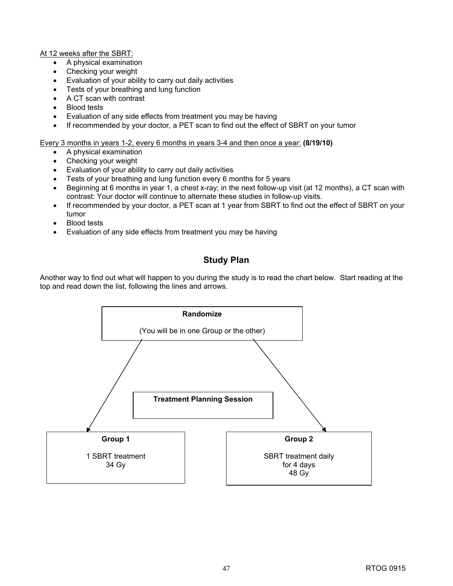At 12 weeks after the SBRT:

- A physical examination
- Checking your weight
- Evaluation of your ability to carry out daily activities
- Tests of your breathing and lung function
- A CT scan with contrast
- Blood tests
- Evaluation of any side effects from treatment you may be having
- If recommended by your doctor, a PET scan to find out the effect of SBRT on your tumor

Every 3 months in years 1-2, every 6 months in years 3-4 and then once a year: **(8/19/10)** 

- A physical examination
- Checking your weight
- Evaluation of your ability to carry out daily activities
- Tests of your breathing and lung function every 6 months for 5 years
- Beginning at 6 months in year 1, a chest x-ray; in the next follow-up visit (at 12 months), a CT scan with contrast: Your doctor will continue to alternate these studies in follow-up visits.
- If recommended by your doctor, a PET scan at 1 year from SBRT to find out the effect of SBRT on your tumor
- Blood tests
- Evaluation of any side effects from treatment you may be having

### **Study Plan**

Another way to find out what will happen to you during the study is to read the chart below. Start reading at the top and read down the list, following the lines and arrows.

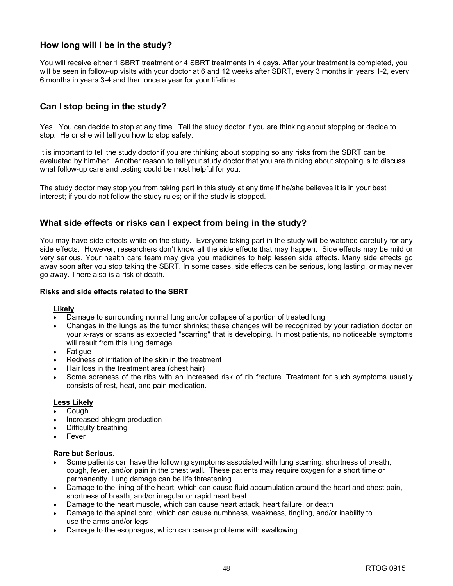### **How long will I be in the study?**

You will receive either 1 SBRT treatment or 4 SBRT treatments in 4 days. After your treatment is completed, you will be seen in follow-up visits with your doctor at 6 and 12 weeks after SBRT, every 3 months in years 1-2, every 6 months in years 3-4 and then once a year for your lifetime.

### **Can I stop being in the study?**

Yes. You can decide to stop at any time. Tell the study doctor if you are thinking about stopping or decide to stop. He or she will tell you how to stop safely.

It is important to tell the study doctor if you are thinking about stopping so any risks from the SBRT can be evaluated by him/her. Another reason to tell your study doctor that you are thinking about stopping is to discuss what follow-up care and testing could be most helpful for you.

The study doctor may stop you from taking part in this study at any time if he/she believes it is in your best interest; if you do not follow the study rules; or if the study is stopped.

#### **What side effects or risks can I expect from being in the study?**

You may have side effects while on the study. Everyone taking part in the study will be watched carefully for any side effects. However, researchers don't know all the side effects that may happen. Side effects may be mild or very serious. Your health care team may give you medicines to help lessen side effects. Many side effects go away soon after you stop taking the SBRT. In some cases, side effects can be serious, long lasting, or may never go away. There also is a risk of death.

#### **Risks and side effects related to the SBRT**

#### **Likely**

- Damage to surrounding normal lung and/or collapse of a portion of treated lung
- Changes in the lungs as the tumor shrinks; these changes will be recognized by your radiation doctor on your x-rays or scans as expected "scarring" that is developing. In most patients, no noticeable symptoms will result from this lung damage.
- **Fatigue**
- Redness of irritation of the skin in the treatment
- Hair loss in the treatment area (chest hair)
- Some soreness of the ribs with an increased risk of rib fracture. Treatment for such symptoms usually consists of rest, heat, and pain medication.

#### **Less Likely**

- Cough
- Increased phlegm production
- Difficulty breathing
- **Fever**

#### **Rare but Serious**.

- Some patients can have the following symptoms associated with lung scarring: shortness of breath, cough, fever, and/or pain in the chest wall. These patients may require oxygen for a short time or permanently. Lung damage can be life threatening.
- Damage to the lining of the heart, which can cause fluid accumulation around the heart and chest pain, shortness of breath, and/or irregular or rapid heart beat
- Damage to the heart muscle, which can cause heart attack, heart failure, or death
- Damage to the spinal cord, which can cause numbness, weakness, tingling, and/or inability to use the arms and/or legs
- Damage to the esophagus, which can cause problems with swallowing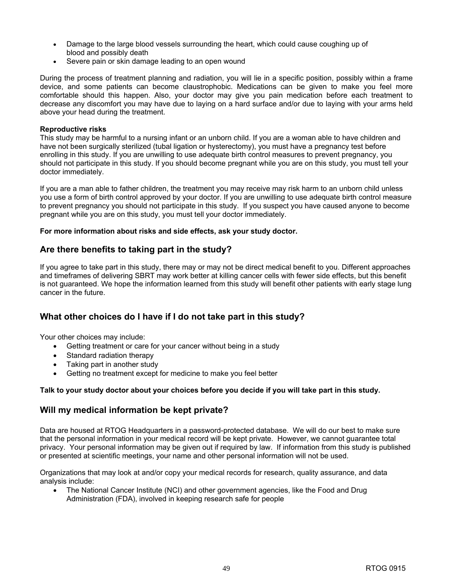- Damage to the large blood vessels surrounding the heart, which could cause coughing up of blood and possibly death
- Severe pain or skin damage leading to an open wound

During the process of treatment planning and radiation, you will lie in a specific position, possibly within a frame device, and some patients can become claustrophobic. Medications can be given to make you feel more comfortable should this happen. Also, your doctor may give you pain medication before each treatment to decrease any discomfort you may have due to laying on a hard surface and/or due to laying with your arms held above your head during the treatment.

#### **Reproductive risks**

This study may be harmful to a nursing infant or an unborn child. If you are a woman able to have children and have not been surgically sterilized (tubal ligation or hysterectomy), you must have a pregnancy test before enrolling in this study. If you are unwilling to use adequate birth control measures to prevent pregnancy, you should not participate in this study. If you should become pregnant while you are on this study, you must tell your doctor immediately.

If you are a man able to father children, the treatment you may receive may risk harm to an unborn child unless you use a form of birth control approved by your doctor. If you are unwilling to use adequate birth control measure to prevent pregnancy you should not participate in this study. If you suspect you have caused anyone to become pregnant while you are on this study, you must tell your doctor immediately.

#### **For more information about risks and side effects, ask your study doctor.**

#### **Are there benefits to taking part in the study?**

If you agree to take part in this study, there may or may not be direct medical benefit to you. Different approaches and timeframes of delivering SBRT may work better at killing cancer cells with fewer side effects, but this benefit is not guaranteed. We hope the information learned from this study will benefit other patients with early stage lung cancer in the future.

#### **What other choices do I have if I do not take part in this study?**

Your other choices may include:

- Getting treatment or care for your cancer without being in a study
- Standard radiation therapy
- Taking part in another study
- Getting no treatment except for medicine to make you feel better

#### **Talk to your study doctor about your choices before you decide if you will take part in this study.**

#### **Will my medical information be kept private?**

Data are housed at RTOG Headquarters in a password-protected database. We will do our best to make sure that the personal information in your medical record will be kept private. However, we cannot guarantee total privacy. Your personal information may be given out if required by law. If information from this study is published or presented at scientific meetings, your name and other personal information will not be used.

Organizations that may look at and/or copy your medical records for research, quality assurance, and data analysis include:

• The National Cancer Institute (NCI) and other government agencies, like the Food and Drug Administration (FDA), involved in keeping research safe for people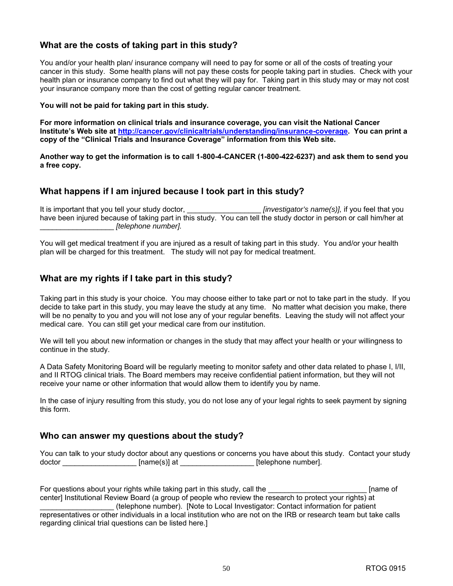#### **What are the costs of taking part in this study?**

You and/or your health plan/ insurance company will need to pay for some or all of the costs of treating your cancer in this study. Some health plans will not pay these costs for people taking part in studies. Check with your health plan or insurance company to find out what they will pay for. Taking part in this study may or may not cost your insurance company more than the cost of getting regular cancer treatment.

**You will not be paid for taking part in this study.** 

**For more information on clinical trials and insurance coverage, you can visit the National Cancer Institute's Web site at [http://cancer.gov/clinicaltrials/understanding/insurance-coverage.](http://cancer.gov/clinicaltrials/understanding/insurance-coverage) You can print a copy of the "Clinical Trials and Insurance Coverage" information from this Web site.** 

**Another way to get the information is to call 1-800-4-CANCER (1-800-422-6237) and ask them to send you a free copy.**

#### **What happens if I am injured because I took part in this study?**

It is important that you tell your study doctor,  $\blacksquare$  *[investigator's name(s)],* if you feel that you have been injured because of taking part in this study. You can tell the study doctor in person or call him/her at \_\_\_\_\_\_\_\_\_\_\_\_\_\_\_\_\_\_ *[telephone number].*

You will get medical treatment if you are injured as a result of taking part in this study. You and/or your health plan will be charged for this treatment. The study will not pay for medical treatment.

#### **What are my rights if I take part in this study?**

Taking part in this study is your choice. You may choose either to take part or not to take part in the study. If you decide to take part in this study, you may leave the study at any time. No matter what decision you make, there will be no penalty to you and you will not lose any of your regular benefits. Leaving the study will not affect your medical care. You can still get your medical care from our institution.

We will tell you about new information or changes in the study that may affect your health or your willingness to continue in the study.

A Data Safety Monitoring Board will be regularly meeting to monitor safety and other data related to phase I, I/II, and II RTOG clinical trials. The Board members may receive confidential patient information, but they will not receive your name or other information that would allow them to identify you by name.

In the case of injury resulting from this study, you do not lose any of your legal rights to seek payment by signing this form.

#### **Who can answer my questions about the study?**

You can talk to your study doctor about any questions or concerns you have about this study. Contact your study doctor [name(s)] at [elephone number].

For questions about your rights while taking part in this study, call the **Example 20** Fiame of center] Institutional Review Board (a group of people who review the research to protect your rights) at \_\_\_\_\_\_\_\_\_\_\_\_\_\_\_\_\_\_ (telephone number). [Note to Local Investigator: Contact information for patient representatives or other individuals in a local institution who are not on the IRB or research team but take calls regarding clinical trial questions can be listed here.]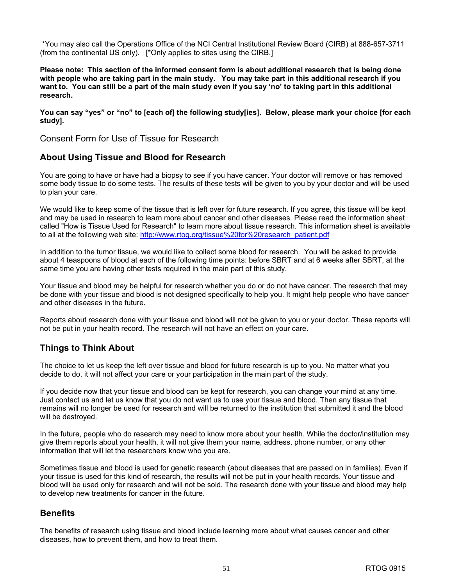\*You may also call the Operations Office of the NCI Central Institutional Review Board (CIRB) at 888-657-3711 (from the continental US only). [\*Only applies to sites using the CIRB.]

**Please note: This section of the informed consent form is about additional research that is being done with people who are taking part in the main study. You may take part in this additional research if you want to. You can still be a part of the main study even if you say 'no' to taking part in this additional research.** 

**You can say "yes" or "no" to [each of] the following study[ies]. Below, please mark your choice [for each study].** 

Consent Form for Use of Tissue for Research

#### **About Using Tissue and Blood for Research**

You are going to have or have had a biopsy to see if you have cancer. Your doctor will remove or has removed some body tissue to do some tests. The results of these tests will be given to you by your doctor and will be used to plan your care.

We would like to keep some of the tissue that is left over for future research. If you agree, this tissue will be kept and may be used in research to learn more about cancer and other diseases. Please read the information sheet called "How is Tissue Used for Research" to learn more about tissue research. This information sheet is available to all at the following web site: [http://www.rtog.org/tissue%20for%20research\\_patient.pdf](http://www.rtog.org/tissue%20for%20research_patient.pdf)

In addition to the tumor tissue, we would like to collect some blood for research. You will be asked to provide about 4 teaspoons of blood at each of the following time points: before SBRT and at 6 weeks after SBRT, at the same time you are having other tests required in the main part of this study.

Your tissue and blood may be helpful for research whether you do or do not have cancer. The research that may be done with your tissue and blood is not designed specifically to help you. It might help people who have cancer and other diseases in the future.

Reports about research done with your tissue and blood will not be given to you or your doctor. These reports will not be put in your health record. The research will not have an effect on your care.

#### **Things to Think About**

The choice to let us keep the left over tissue and blood for future research is up to you. No matter what you decide to do, it will not affect your care or your participation in the main part of the study.

If you decide now that your tissue and blood can be kept for research, you can change your mind at any time. Just contact us and let us know that you do not want us to use your tissue and blood. Then any tissue that remains will no longer be used for research and will be returned to the institution that submitted it and the blood will be destroyed.

In the future, people who do research may need to know more about your health. While the doctor/institution may give them reports about your health, it will not give them your name, address, phone number, or any other information that will let the researchers know who you are.

Sometimes tissue and blood is used for genetic research (about diseases that are passed on in families). Even if your tissue is used for this kind of research, the results will not be put in your health records. Your tissue and blood will be used only for research and will not be sold. The research done with your tissue and blood may help to develop new treatments for cancer in the future.

#### **Benefits**

The benefits of research using tissue and blood include learning more about what causes cancer and other diseases, how to prevent them, and how to treat them.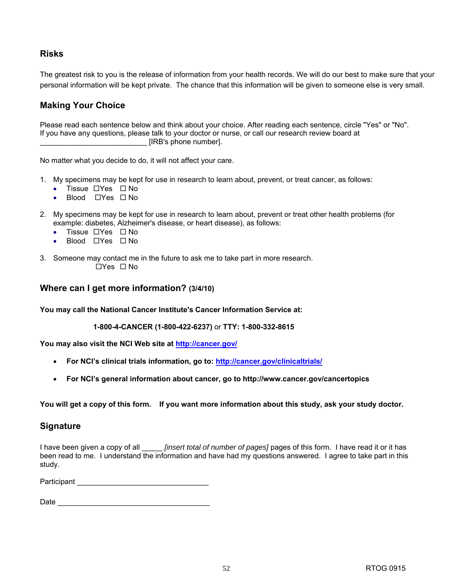#### **Risks**

The greatest risk to you is the release of information from your health records. We will do our best to make sure that your personal information will be kept private. The chance that this information will be given to someone else is very small.

### **Making Your Choice**

Please read each sentence below and think about your choice. After reading each sentence, circle "Yes" or "No". If you have any questions, please talk to your doctor or nurse, or call our research review board at \_\_\_\_\_\_\_\_\_\_\_\_\_\_\_\_\_\_\_\_\_\_\_\_\_\_ [IRB's phone number].

No matter what you decide to do, it will not affect your care.

- 1. My specimens may be kept for use in research to learn about, prevent, or treat cancer, as follows:
	- Tissue  $\Box$  Yes  $\Box$  No
	- Blood  $\Box$  Yes  $\Box$  No
- 2. My specimens may be kept for use in research to learn about, prevent or treat other health problems (for example: diabetes, Alzheimer's disease, or heart disease), as follows:
	- Tissue  $\Box$  Yes  $\Box$  No
	- Blood  $\Box$  Yes  $\Box$  No
- 3. Someone may contact me in the future to ask me to take part in more research.  $\Box$ Yes  $\Box$  No

#### **Where can I get more information? (3/4/10)**

**You may call the National Cancer Institute's Cancer Information Service at:** 

**1-800-4-CANCER (1-800-422-6237)** or **TTY: 1-800-332-8615**

**You may also visit the NCI Web site at [http://cancer.gov/](http://cancer.gov)**

- **For NCI's clinical trials information, go to: [http://cancer.gov/clinicaltrials/](http://cancer.gov/clinicaltrials)**
- **For NCI's general information about cancer, go to<http://www.cancer.gov/cancertopics>**

**You will get a copy of this form. If you want more information about this study, ask your study doctor.**

#### **Signature**

I have been given a copy of all \_\_\_\_\_ *[insert total of number of pages]* pages of this form. I have read it or it has been read to me. I understand the information and have had my questions answered. I agree to take part in this study.

Participant \_\_\_\_\_\_\_\_\_\_\_\_\_\_\_\_\_\_\_\_\_\_\_\_\_\_\_\_\_\_\_\_

Date \_\_\_\_\_\_\_\_\_\_\_\_\_\_\_\_\_\_\_\_\_\_\_\_\_\_\_\_\_\_\_\_\_\_\_\_\_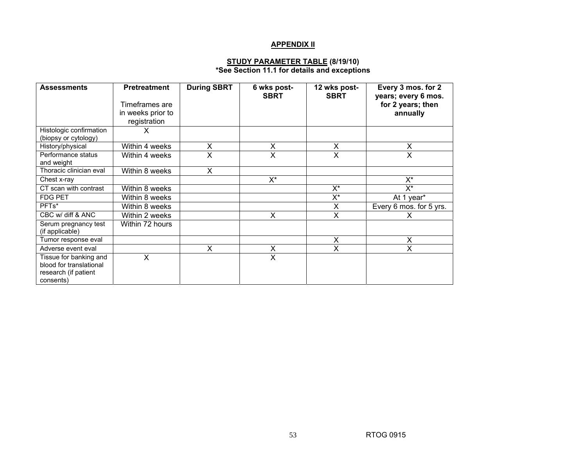#### **APPENDIX II**

#### **STUDY PARAMETER TABLE (8/19/10) \*See Section 11.1 for details and exceptions**

| <b>Assessments</b>                      | <b>Pretreatment</b> | <b>During SBRT</b> | 6 wks post-<br><b>SBRT</b> | 12 wks post-<br><b>SBRT</b> | Every 3 mos. for 2<br>years; every 6 mos. |
|-----------------------------------------|---------------------|--------------------|----------------------------|-----------------------------|-------------------------------------------|
|                                         | Timeframes are      |                    |                            |                             | for 2 years; then                         |
|                                         | in weeks prior to   |                    |                            |                             | annually                                  |
|                                         | registration        |                    |                            |                             |                                           |
| Histologic confirmation                 | X.                  |                    |                            |                             |                                           |
| (biopsy or cytology)                    |                     |                    |                            |                             |                                           |
| History/physical                        | Within 4 weeks      | X                  | X                          | X                           | X                                         |
| Performance status                      | Within 4 weeks      | X                  | X                          | X                           | X                                         |
| and weight                              |                     |                    |                            |                             |                                           |
| Thoracic clinician eval                 | Within 8 weeks      | X                  |                            |                             |                                           |
| Chest x-ray                             |                     |                    | X*                         |                             | X*                                        |
| CT scan with contrast                   | Within 8 weeks      |                    |                            | $X^*$                       | X*                                        |
| <b>FDG PET</b>                          | Within 8 weeks      |                    |                            | $X^*$                       | At 1 year*                                |
| PFTs*                                   | Within 8 weeks      |                    |                            | X                           | Every 6 mos. for 5 yrs.                   |
| CBC w/ diff & ANC                       | Within 2 weeks      |                    | X                          | X                           |                                           |
| Serum pregnancy test<br>(if applicable) | Within 72 hours     |                    |                            |                             |                                           |
| Tumor response eval                     |                     |                    |                            | X                           | X                                         |
| Adverse event eval                      |                     | X                  | X                          | X                           | X                                         |
| Tissue for banking and                  | X                   |                    | X                          |                             |                                           |
| blood for translational                 |                     |                    |                            |                             |                                           |
| research (if patient                    |                     |                    |                            |                             |                                           |
| consents)                               |                     |                    |                            |                             |                                           |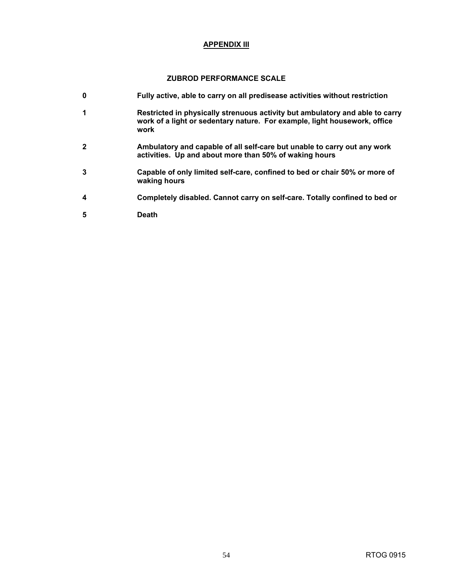#### **APPENDIX III**

#### **ZUBROD PERFORMANCE SCALE**

- **0 Fully active, able to carry on all predisease activities without restriction 1 Restricted in physically strenuous activity but ambulatory and able to carry work of a light or sedentary nature. For example, light housework, office work 2 Ambulatory and capable of all self-care but unable to carry out any work activities. Up and about more than 50% of waking hours 3 Capable of only limited self-care, confined to bed or chair 50% or more of waking hours 4 Completely disabled. Cannot carry on self-care. Totally confined to bed or**
- **5 Death**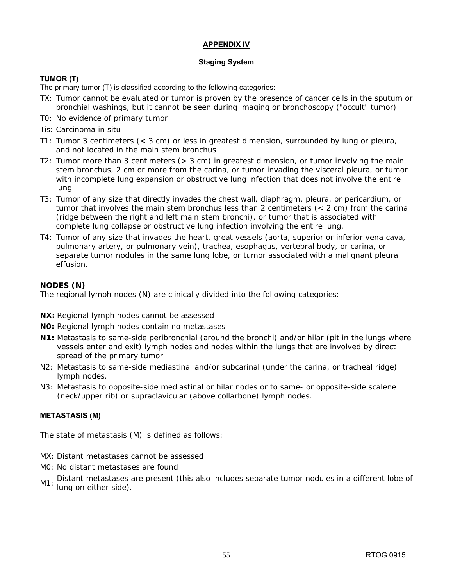#### **APPENDIX IV**

#### **Staging System**

#### **TUMOR (T)**

The primary tumor (T) is classified according to the following categories:

- TX: Tumor cannot be evaluated or tumor is proven by the presence of cancer cells in the sputum or bronchial washings, but it cannot be seen during imaging or bronchoscopy ("occult" tumor)
- T0: No evidence of primary tumor
- Tis: Carcinoma in situ
- T1: Tumor 3 centimeters (< 3 cm) or less in greatest dimension, surrounded by lung or pleura, and not located in the main stem bronchus
- T2: Tumor more than 3 centimeters (> 3 cm) in greatest dimension, or tumor involving the main stem bronchus, 2 cm or more from the carina, or tumor invading the visceral pleura, or tumor with incomplete lung expansion or obstructive lung infection that does not involve the entire lung
- T3: Tumor of any size that directly invades the chest wall, diaphragm, pleura, or pericardium, or tumor that involves the main stem bronchus less than 2 centimeters (< 2 cm) from the carina (ridge between the right and left main stem bronchi), or tumor that is associated with complete lung collapse or obstructive lung infection involving the entire lung.
- T4: Tumor of any size that invades the heart, great vessels (aorta, superior or inferior vena cava, pulmonary artery, or pulmonary vein), trachea, esophagus, vertebral body, or carina, or separate tumor nodules in the same lung lobe, or tumor associated with a malignant pleural effusion.

#### **NODES (N)**

The regional lymph nodes (N) are clinically divided into the following categories:

- **NX:** Regional lymph nodes cannot be assessed
- **N0:** Regional lymph nodes contain no metastases
- **N1:** Metastasis to same-side peribronchial (around the bronchi) and/or hilar (pit in the lungs where vessels enter and exit) lymph nodes and nodes within the lungs that are involved by direct spread of the primary tumor
- N2: Metastasis to same-side mediastinal and/or subcarinal (under the carina, or tracheal ridge) lymph nodes.
- N3: Metastasis to opposite-side mediastinal or hilar nodes or to same- or opposite-side scalene (neck/upper rib) or supraclavicular (above collarbone) lymph nodes.

#### **METASTASIS (M)**

The state of metastasis (M) is defined as follows:

- MX: Distant metastases cannot be assessed
- M0: No distant metastases are found
- M1: Distant metastases are present (this also includes separate tumor nodules in a different lobe of lung on either side).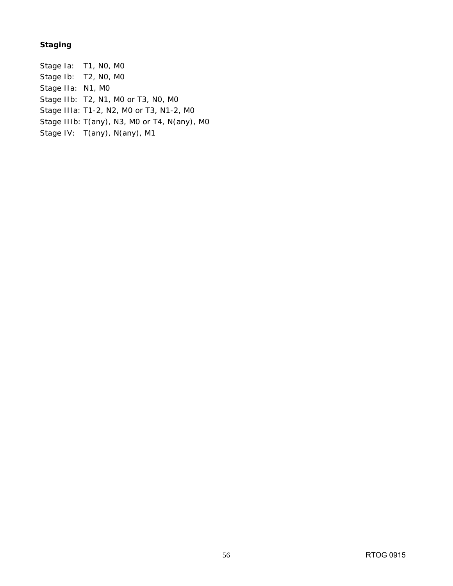#### **Staging**

Stage Ia: T1, N0, M0 Stage Ib: T2, N0, M0 Stage IIa: N1, M0 Stage IIb: T2, N1, M0 or T3, N0, M0 Stage IIIa: T1-2, N2, M0 or T3, N1-2, M0 Stage IIIb: T(any), N3, M0 or T4, N(any), M0 Stage IV: T(any), N(any), M1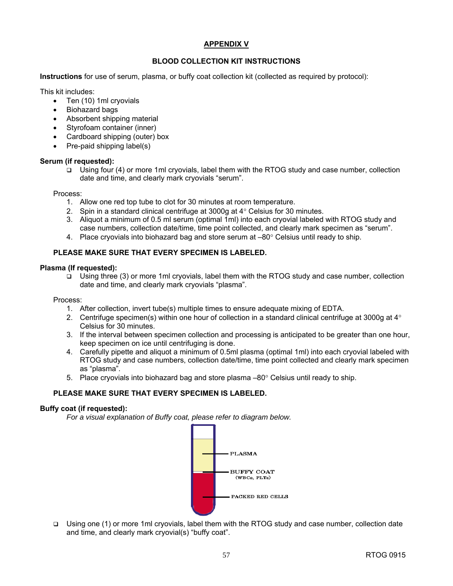#### **APPENDIX V**

#### **BLOOD COLLECTION KIT INSTRUCTIONS**

**Instructions** for use of serum, plasma, or buffy coat collection kit (collected as required by protocol):

This kit includes:

- Ten (10) 1ml cryovials
- Biohazard bags
- Absorbent shipping material
- Styrofoam container (inner)
- Cardboard shipping (outer) box
- Pre-paid shipping label(s)

#### **Serum (if requested):**

 $\Box$  Using four (4) or more 1ml cryovials, label them with the RTOG study and case number, collection date and time, and clearly mark cryovials "serum".

Process:

- 1. Allow one red top tube to clot for 30 minutes at room temperature.
- 2. Spin in a standard clinical centrifuge at 3000g at 4° Celsius for 30 minutes.
- 3. Aliquot a minimum of 0.5 ml serum (optimal 1ml) into each cryovial labeled with RTOG study and case numbers, collection date/time, time point collected, and clearly mark specimen as "serum".
- 4. Place cryovials into biohazard bag and store serum at  $-80^\circ$  Celsius until ready to ship.

#### **PLEASE MAKE SURE THAT EVERY SPECIMEN IS LABELED.**

#### **Plasma (If requested):**

□ Using three (3) or more 1ml cryovials, label them with the RTOG study and case number, collection date and time, and clearly mark cryovials "plasma".

Process:

- 1. After collection, invert tube(s) multiple times to ensure adequate mixing of EDTA.
- 2. Centrifuge specimen(s) within one hour of collection in a standard clinical centrifuge at 3000g at  $4^{\circ}$ Celsius for 30 minutes.
- 3. If the interval between specimen collection and processing is anticipated to be greater than one hour, keep specimen on ice until centrifuging is done.
- 4. Carefully pipette and aliquot a minimum of 0.5ml plasma (optimal 1ml) into each cryovial labeled with RTOG study and case numbers, collection date/time, time point collected and clearly mark specimen as "plasma".
- 5. Place cryovials into biohazard bag and store plasma  $-80^\circ$  Celsius until ready to ship.

#### **PLEASE MAKE SURE THAT EVERY SPECIMEN IS LABELED.**

#### **Buffy coat (if requested):**

*For a visual explanation of Buffy coat, please refer to diagram below.* 



 Using one (1) or more 1ml cryovials, label them with the RTOG study and case number, collection date and time, and clearly mark cryovial(s) "buffy coat".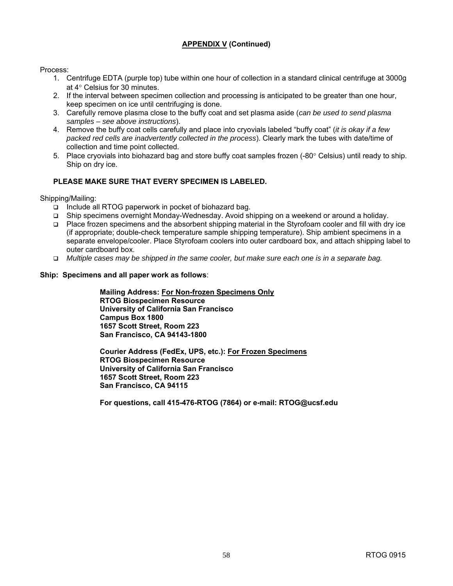#### **APPENDIX V (Continued)**

Process:

- 1. Centrifuge EDTA (purple top) tube within one hour of collection in a standard clinical centrifuge at 3000g at 4° Celsius for 30 minutes.
- 2. If the interval between specimen collection and processing is anticipated to be greater than one hour, keep specimen on ice until centrifuging is done.
- 3. Carefully remove plasma close to the buffy coat and set plasma aside (*can be used to send plasma samples – see above instructions*).
- 4. Remove the buffy coat cells carefully and place into cryovials labeled "buffy coat" (*it is okay if a few packed red cells are inadvertently collected in the process*). Clearly mark the tubes with date/time of collection and time point collected.
- 5. Place cryovials into biohazard bag and store buffy coat samples frozen (-80° Celsius) until ready to ship. Ship on dry ice.

#### **PLEASE MAKE SURE THAT EVERY SPECIMEN IS LABELED.**

Shipping/Mailing:

- □ Include all RTOG paperwork in pocket of biohazard bag.
- Ship specimens overnight Monday-Wednesday. Avoid shipping on a weekend or around a holiday.
- □ Place frozen specimens and the absorbent shipping material in the Styrofoam cooler and fill with dry ice (if appropriate; double-check temperature sample shipping temperature). Ship ambient specimens in a separate envelope/cooler. Place Styrofoam coolers into outer cardboard box, and attach shipping label to outer cardboard box.
- *Multiple cases may be shipped in the same cooler, but make sure each one is in a separate bag.*

#### **Ship: Specimens and all paper work as follows**:

**Mailing Address: For Non-frozen Specimens Only RTOG Biospecimen Resource University of California San Francisco Campus Box 1800 1657 Scott Street, Room 223 San Francisco, CA 94143-1800** 

**Courier Address (FedEx, UPS, etc.): For Frozen Specimens RTOG Biospecimen Resource University of California San Francisco 1657 Scott Street, Room 223 San Francisco, CA 94115**

**For questions, call 415-476-RTOG (7864) or e-mail: [RTOG@ucsf.edu](mailto:RTOG@ucsf.edu)**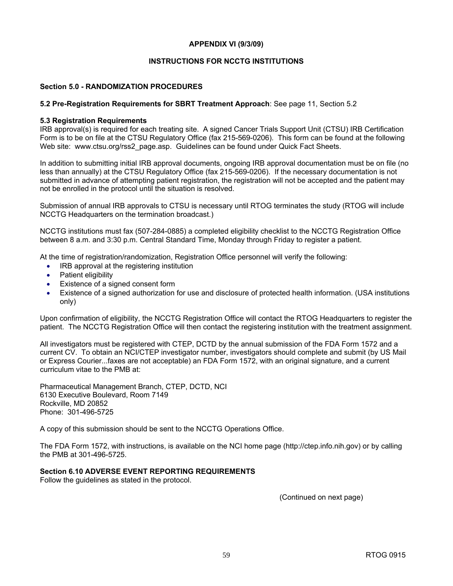#### **APPENDIX VI (9/3/09)**

#### **INSTRUCTIONS FOR NCCTG INSTITUTIONS**

#### **Section 5.0 - RANDOMIZATION PROCEDURES**

#### **5.2 Pre-Registration Requirements for SBRT Treatment Approach**: See page 11, Section 5.2

#### **5.3 Registration Requirements**

IRB approval(s) is required for each treating site. A signed Cancer Trials Support Unit (CTSU) IRB Certification Form is to be on file at the CTSU Regulatory Office (fax 215-569-0206). This form can be found at the following Web site: [www.ctsu.org/rss2\\_page.asp.](http://www.ctsu.org/rss2_page.asp) Guidelines can be found under Quick Fact Sheets.

In addition to submitting initial IRB approval documents, ongoing IRB approval documentation must be on file (no less than annually) at the CTSU Regulatory Office (fax 215-569-0206). If the necessary documentation is not submitted in advance of attempting patient registration, the registration will not be accepted and the patient may not be enrolled in the protocol until the situation is resolved.

Submission of annual IRB approvals to CTSU is necessary until RTOG terminates the study (RTOG will include NCCTG Headquarters on the termination broadcast.)

NCCTG institutions must fax (507-284-0885) a completed eligibility checklist to the NCCTG Registration Office between 8 a.m. and 3:30 p.m. Central Standard Time, Monday through Friday to register a patient.

At the time of registration/randomization, Registration Office personnel will verify the following:

- IRB approval at the registering institution
- Patient eligibility
- Existence of a signed consent form
- Existence of a signed authorization for use and disclosure of protected health information. (USA institutions only)

Upon confirmation of eligibility, the NCCTG Registration Office will contact the RTOG Headquarters to register the patient. The NCCTG Registration Office will then contact the registering institution with the treatment assignment.

All investigators must be registered with CTEP, DCTD by the annual submission of the FDA Form 1572 and a current CV. To obtain an NCI/CTEP investigator number, investigators should complete and submit (by US Mail or Express Courier...faxes are not acceptable) an FDA Form 1572, with an original signature, and a current curriculum vitae to the PMB at:

Pharmaceutical Management Branch, CTEP, DCTD, NCI 6130 Executive Boulevard, Room 7149 Rockville, MD 20852 Phone: 301-496-5725

A copy of this submission should be sent to the NCCTG Operations Office.

The FDA Form 1572, with instructions, is available on the NCI home page [\(http://ctep.info.nih.gov\)](http://ctep.info.nih.gov) or by calling the PMB at 301-496-5725.

#### **Section 6.10 ADVERSE EVENT REPORTING REQUIREMENTS**

Follow the guidelines as stated in the protocol.

(Continued on next page)